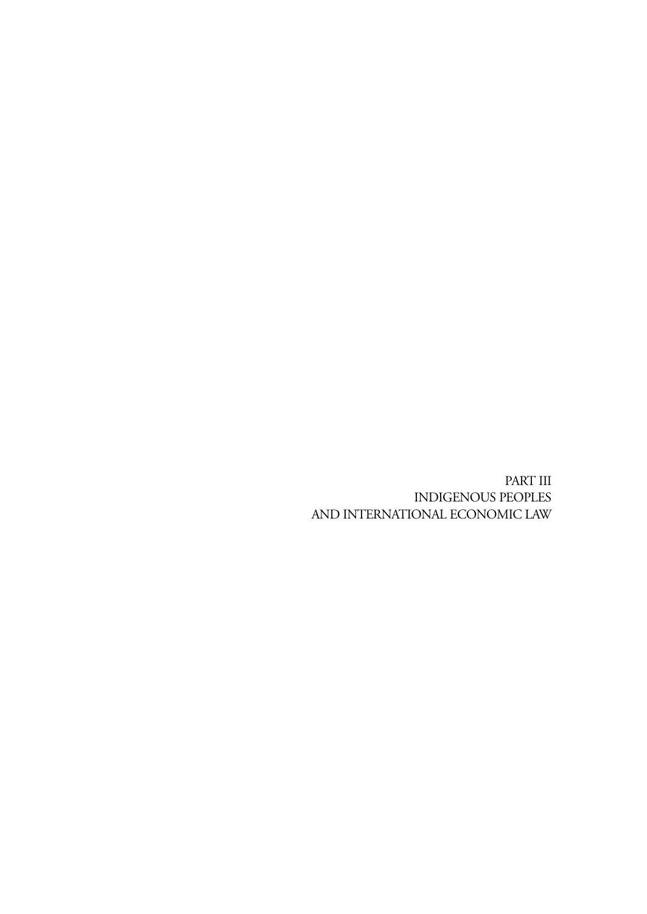PART III INDIGENOUS PEOPLES AND INTERNATIONAL ECONOMIC LAW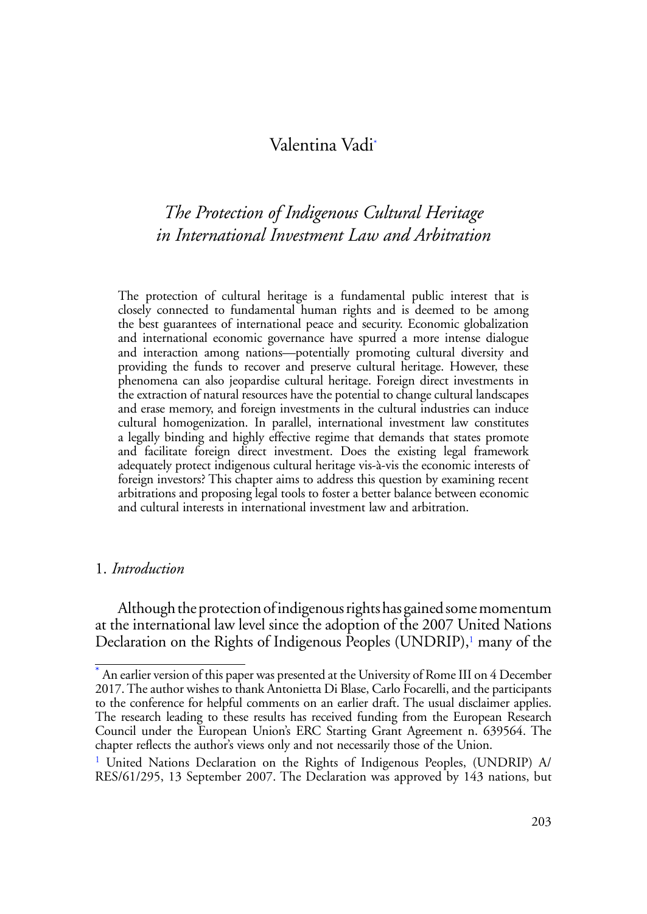# <span id="page-2-3"></span>Valentina Vad[i\\*](#page-2-0)

# *The Protection of Indigenous Cultural Heritage in International Investment Law and Arbitration*

The protection of cultural heritage is a fundamental public interest that is closely connected to fundamental human rights and is deemed to be among the best guarantees of international peace and security. Economic globalization and international economic governance have spurred a more intense dialogue and interaction among nations—potentially promoting cultural diversity and providing the funds to recover and preserve cultural heritage. However, these phenomena can also jeopardise cultural heritage. Foreign direct investments in the extraction of natural resources have the potential to change cultural landscapes and erase memory, and foreign investments in the cultural industries can induce cultural homogenization. In parallel, international investment law constitutes a legally binding and highly effective regime that demands that states promote and facilitate foreign direct investment. Does the existing legal framework adequately protect indigenous cultural heritage vis-à-vis the economic interests of foreign investors? This chapter aims to address this question by examining recent arbitrations and proposing legal tools to foster a better balance between economic and cultural interests in international investment law and arbitration.

#### 1. *Introduction*

<span id="page-2-2"></span>Although the protection of indigenous rights has gained some momentum at the international law level since the adoption of the 2007 United Nations Declaration on the Rights of Indigenous Peoples (UNDRIP), [1](#page-2-1) many of the

<span id="page-2-0"></span>[<sup>\\*</sup>](#page-2-3) An earlier version of this paper was presented at the University of Rome III on 4 December 2017. The author wishes to thank Antonietta Di Blase, Carlo Focarelli, and the participants to the conference for helpful comments on an earlier draft. The usual disclaimer applies. The research leading to these results has received funding from the European Research Council under the European Union's ERC Starting Grant Agreement n. 639564. The chapter reflects the author's views only and not necessarily those of the Union.

<span id="page-2-1"></span><sup>&</sup>lt;sup>[1](#page-2-2)</sup> United Nations Declaration on the Rights of Indigenous Peoples, (UNDRIP) A/ RES/61/295, 13 September 2007. The Declaration was approved by 143 nations, but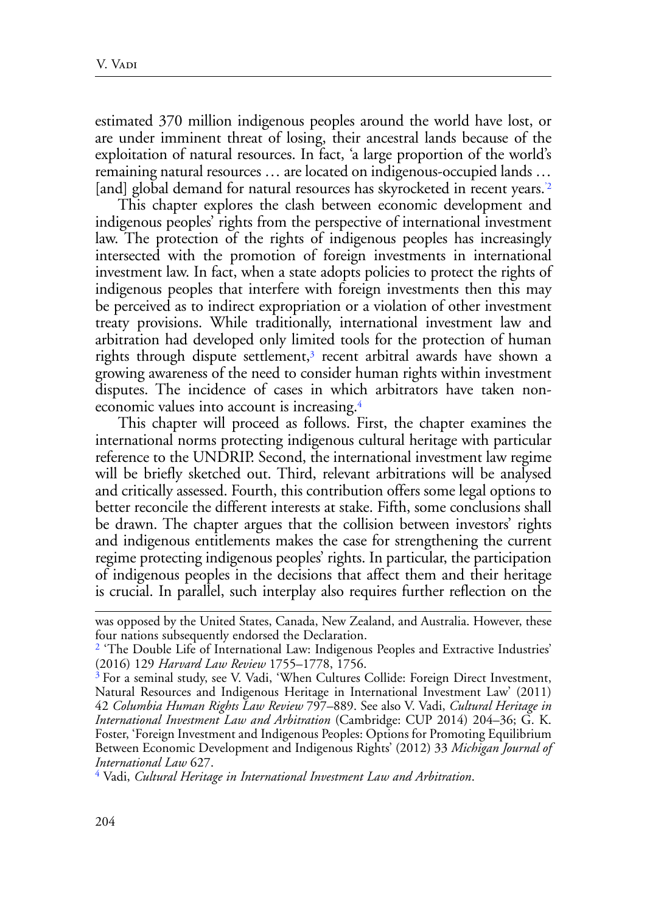estimated 370 million indigenous peoples around the world have lost, or are under imminent threat of losing, their ancestral lands because of the exploitation of natural resources. In fact, 'a large proportion of the world's remaining natural resources … are located on indigenous-occupied lands … [and] global demand for natural resources has skyrocketed in recent years.<sup>2</sup>

<span id="page-3-3"></span>This chapter explores the clash between economic development and indigenous peoples' rights from the perspective of international investment law. The protection of the rights of indigenous peoples has increasingly intersected with the promotion of foreign investments in international investment law. In fact, when a state adopts policies to protect the rights of indigenous peoples that interfere with foreign investments then this may be perceived as to indirect expropriation or a violation of other investment treaty provisions. While traditionally, international investment law and arbitration had developed only limited tools for the protection of human rights through dispute settlement,<sup>3</sup> recent arbitral awards have shown a growing awareness of the need to consider human rights within investment disputes. The incidence of cases in which arbitrators have taken noneconomic values into account is increasing[.4](#page-3-2)

<span id="page-3-5"></span><span id="page-3-4"></span>This chapter will proceed as follows. First, the chapter examines the international norms protecting indigenous cultural heritage with particular reference to the UNDRIP. Second, the international investment law regime will be briefly sketched out. Third, relevant arbitrations will be analysed and critically assessed. Fourth, this contribution offers some legal options to better reconcile the different interests at stake. Fifth, some conclusions shall be drawn. The chapter argues that the collision between investors' rights and indigenous entitlements makes the case for strengthening the current regime protecting indigenous peoples' rights. In particular, the participation of indigenous peoples in the decisions that affect them and their heritage is crucial. In parallel, such interplay also requires further reflection on the

was opposed by the United States, Canada, New Zealand, and Australia. However, these four nations subsequently endorsed the Declaration.

<span id="page-3-0"></span><sup>&</sup>lt;sup>[2](#page-3-3)</sup> 'The Double Life of International Law: Indigenous Peoples and Extractive Industries' (2016) 129 *Harvard Law Review* 1755–1778, 1756.

<span id="page-3-1"></span>[<sup>3</sup>](#page-3-4) For a seminal study, see V. Vadi, 'When Cultures Collide: Foreign Direct Investment, Natural Resources and Indigenous Heritage in International Investment Law' (2011) 42 *Columbia Human Rights Law Review* 797–889. See also V. Vadi, *Cultural Heritage in International Investment Law and Arbitration* (Cambridge: CUP 2014) 204–36; G. K. Foster, 'Foreign Investment and Indigenous Peoples: Options for Promoting Equilibrium Between Economic Development and Indigenous Rights' (2012) 33 *Michigan Journal of International Law* 627.

<span id="page-3-2"></span>[<sup>4</sup>](#page-3-5) Vadi, *Cultural Heritage in International Investment Law and Arbitration*.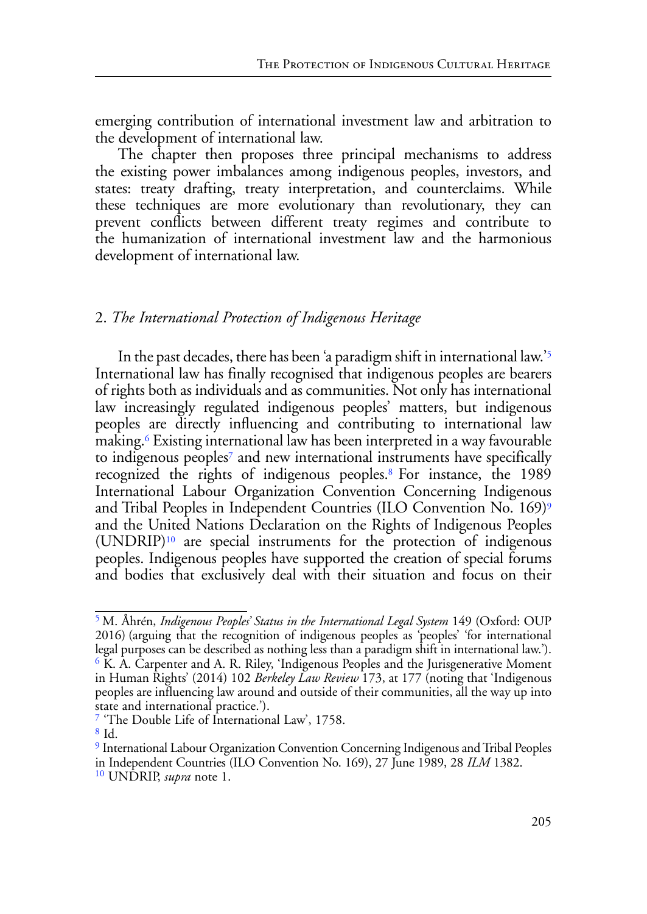emerging contribution of international investment law and arbitration to the development of international law.

The chapter then proposes three principal mechanisms to address the existing power imbalances among indigenous peoples, investors, and states: treaty drafting, treaty interpretation, and counterclaims. While these techniques are more evolutionary than revolutionary, they can prevent conflicts between different treaty regimes and contribute to the humanization of international investment law and the harmonious development of international law.

## 2. *The International Protection of Indigenous Heritage*

<span id="page-4-9"></span><span id="page-4-8"></span><span id="page-4-7"></span><span id="page-4-6"></span>In the past decades, there has been 'a paradigm shift in international law.'[5](#page-4-0) International law has finally recognised that indigenous peoples are bearers of rights both as individuals and as communities. Not only has international law increasingly regulated indigenous peoples' matters, but indigenous peoples are directly influencing and contributing to international law making.[6](#page-4-1) Existing international law has been interpreted in a way favourable to indigenous peoples<sup>7</sup> and new international instruments have specifically recognized the rights of indigenous peoples[.8 F](#page-4-3)or instance, the 1989 International Labour Organization Convention Concerning Indigenous and Tribal Peoples in Independent Countries (ILO Convention No. 169)[9](#page-4-4) and the United Nations Declaration on the Rights of Indigenous Peoples (UNDRIP)[10](#page-4-5) are special instruments for the protection of indigenous peoples. Indigenous peoples have supported the creation of special forums and bodies that exclusively deal with their situation and focus on their

<span id="page-4-2"></span>[7](#page-4-8) 'The Double Life of International Law', 1758.

<span id="page-4-5"></span>[10](#page-4-11) UNDRIP, *supra* note 1.

<span id="page-4-11"></span><span id="page-4-10"></span><span id="page-4-1"></span><span id="page-4-0"></span>[<sup>5</sup>](#page-4-6) M. Åhrén, *Indigenous Peoples' Status in the International Legal System* 149 (Oxford: OUP 2016) (arguing that the recognition of indigenous peoples as 'peoples' 'for international legal purposes can be described as nothing less than a paradigm shift in international law.').  $6$  K. A. Carpenter and A. R. Riley, 'Indigenous Peoples and the Jurisgenerative Moment in Human Rights' (2014) 102 *Berkeley Law Review* 173, at 177 (noting that 'Indigenous peoples are influencing law around and outside of their communities, all the way up into state and international practice.').

<span id="page-4-3"></span>[<sup>8</sup>](#page-4-9) Id.

<span id="page-4-4"></span>[<sup>9</sup>](#page-4-10) International Labour Organization Convention Concerning Indigenous and Tribal Peoples in Independent Countries (ILO Convention No. 169), 27 June 1989, 28 *ILM* 1382.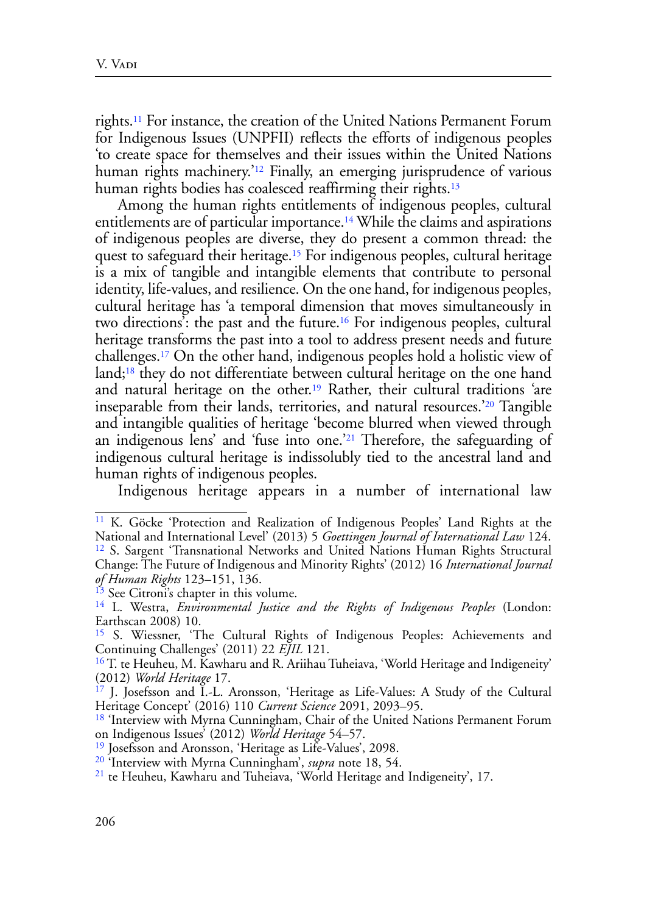<span id="page-5-11"></span>rights[.11](#page-5-0) For instance, the creation of the United Nations Permanent Forum for Indigenous Issues (UNPFII) reflects the efforts of indigenous peoples 'to create space for themselves and their issues within the United Nations human rights machinery.<sup>'[12](#page-5-1)</sup> Finally, an emerging jurisprudence of various human rights bodies has coalesced reaffirming their rights.<sup>[13](#page-5-2)</sup>

<span id="page-5-16"></span><span id="page-5-15"></span><span id="page-5-14"></span><span id="page-5-13"></span><span id="page-5-12"></span>Among the human rights entitlements of indigenous peoples, cultural entitlements are of particular importance.[14](#page-5-3) While the claims and aspirations of indigenous peoples are diverse, they do present a common thread: the quest to safeguard their heritage.<sup>[15](#page-5-4)</sup> For indigenous peoples, cultural heritage is a mix of tangible and intangible elements that contribute to personal identity, life-values, and resilience. On the one hand, for indigenous peoples, cultural heritage has 'a temporal dimension that moves simultaneously in two directions': the past and the future[.16](#page-5-5) For indigenous peoples, cultural heritage transforms the past into a tool to address present needs and future challenges[.17](#page-5-6) On the other hand, indigenous peoples hold a holistic view of land[;18](#page-5-7) they do not differentiate between cultural heritage on the one hand and natural heritage on the other[.19](#page-5-8) Rather, their cultural traditions 'are inseparable from their lands, territories, and natural resources.['20](#page-5-9) Tangible and intangible qualities of heritage 'become blurred when viewed through an indigenous lens' and 'fuse into one.'[21](#page-5-10) Therefore, the safeguarding of indigenous cultural heritage is indissolubly tied to the ancestral land and human rights of indigenous peoples.

<span id="page-5-21"></span><span id="page-5-20"></span><span id="page-5-19"></span><span id="page-5-18"></span><span id="page-5-17"></span>Indigenous heritage appears in a number of international law

<span id="page-5-1"></span><span id="page-5-0"></span><sup>&</sup>lt;sup>11</sup> K. Göcke 'Protection and Realization of Indigenous Peoples' Land Rights at the National and International Level' (2013) 5 *Goettingen Journal of International Law* 124. [12](#page-5-12) S. Sargent 'Transnational Networks and United Nations Human Rights Structural Change: The Future of Indigenous and Minority Rights' (2012) 16 *International Journal of Human Rights* 123–151, 136.

<span id="page-5-2"></span><sup>&</sup>lt;sup>13</sup> See Citroni's chapter in this volume.

<span id="page-5-3"></span>[<sup>14</sup>](#page-5-14) L. Westra, *Environmental Justice and the Rights of Indigenous Peoples* (London: Earthscan 2008) 10.

<span id="page-5-4"></span>[<sup>15</sup>](#page-5-15) S. Wiessner, 'The Cultural Rights of Indigenous Peoples: Achievements and Continuing Challenges' (2011) 22 *EJIL* 121.

<span id="page-5-5"></span><sup>&</sup>lt;sup>16</sup> T. te Heuheu, M. Kawharu and R. Ariihau Tuheiava, 'World Heritage and Indigeneity' (2012) *World Heritage* 17.

<span id="page-5-6"></span>[<sup>17</sup>](#page-5-17) J. Josefsson and I.-L. Aronsson, 'Heritage as Life-Values: A Study of the Cultural Heritage Concept' (2016) 110 *Current Science* 2091, 2093–95.

<span id="page-5-7"></span><sup>&</sup>lt;sup>18</sup> 'Interview with Myrna Cunningham, Chair of the United Nations Permanent Forum on Indigenous Issues' (2012) *World Heritage* 54–57.

<span id="page-5-8"></span><sup>&</sup>lt;sup>19</sup> Josefsson and Aronsson, 'Heritage as Life-Values', 2098.

<span id="page-5-10"></span>

<span id="page-5-9"></span><sup>&</sup>lt;sup>20</sup> 'Interview with Myrna Cunningham', *supra* note 18, 54.<br><sup>21</sup> te Heuheu, Kawharu and Tuheiava, 'World Heritage and Indigeneity', 17.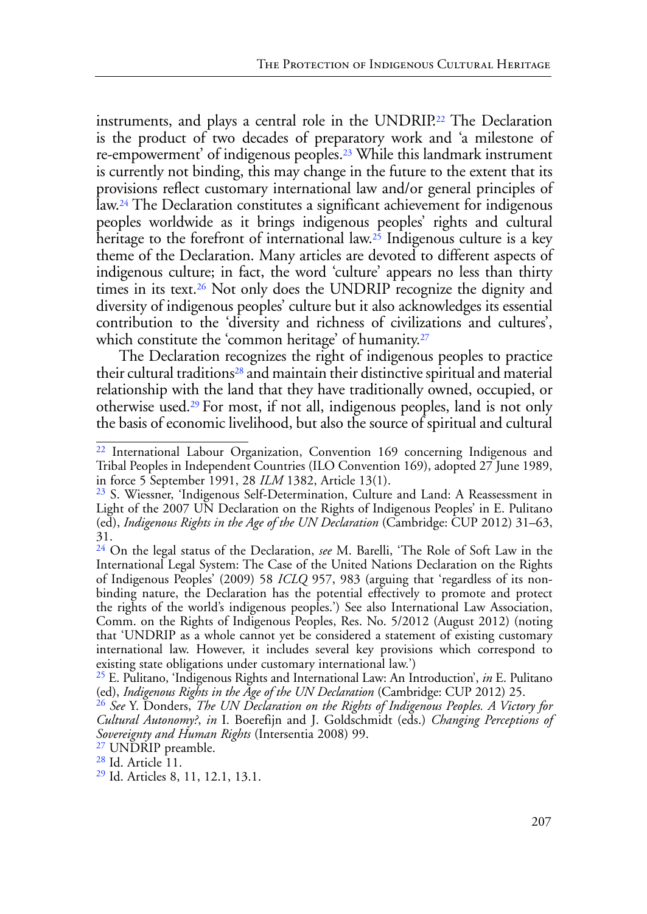<span id="page-6-11"></span><span id="page-6-10"></span><span id="page-6-9"></span><span id="page-6-8"></span>instruments, and plays a central role in the UNDRIP[.22](#page-6-0) The Declaration is the product of two decades of preparatory work and 'a milestone of re-empowerment' of indigenous peoples.[23](#page-6-1) While this landmark instrument is currently not binding, this may change in the future to the extent that its provisions reflect customary international law and/or general principles of law[.24](#page-6-2) The Declaration constitutes a significant achievement for indigenous peoples worldwide as it brings indigenous peoples' rights and cultural heritage to the forefront of international law.<sup>25</sup> Indigenous culture is a key theme of the Declaration. Many articles are devoted to different aspects of indigenous culture; in fact, the word 'culture' appears no less than thirty times in its text.[26](#page-6-4) Not only does the UNDRIP recognize the dignity and diversity of indigenous peoples' culture but it also acknowledges its essential contribution to the 'diversity and richness of civilizations and cultures', which constitute the 'common heritage' of humanity.<sup>27</sup>

<span id="page-6-15"></span><span id="page-6-14"></span><span id="page-6-13"></span><span id="page-6-12"></span>The Declaration recognizes the right of indigenous peoples to practice their cultural traditions<sup>28</sup> and maintain their distinctive spiritual and material relationship with the land that they have traditionally owned, occupied, or otherwise used.[29 F](#page-6-7)or most, if not all, indigenous peoples, land is not only the basis of economic livelihood, but also the source of spiritual and cultural

<span id="page-6-5"></span><sup>27</sup> UNDRIP preamble.

<span id="page-6-0"></span>[<sup>22</sup>](#page-6-8) International Labour Organization, Convention 169 concerning Indigenous and Tribal Peoples in Independent Countries (ILO Convention 169), adopted 27 June 1989, in force 5 September 1991, 28 *ILM* 1382, Article 13(1).

<span id="page-6-1"></span><sup>&</sup>lt;sup>23</sup> S. Wiessner, 'Indigenous Self-Determination, Culture and Land: A Reassessment in Light of the 2007 UN Declaration on the Rights of Indigenous Peoples' in E. Pulitano (ed), *Indigenous Rights in the Age of the UN Declaration* (Cambridge: CUP 2012) 31–63, 31.

<span id="page-6-2"></span>[<sup>24</sup>](#page-6-10) On the legal status of the Declaration, *see* M. Barelli, 'The Role of Soft Law in the International Legal System: The Case of the United Nations Declaration on the Rights of Indigenous Peoples' (2009) 58 *ICLQ* 957, 983 (arguing that 'regardless of its nonbinding nature, the Declaration has the potential effectively to promote and protect the rights of the world's indigenous peoples.') See also International Law Association, Comm. on the Rights of Indigenous Peoples, Res. No. 5/2012 (August 2012) (noting that 'UNDRIP as a whole cannot yet be considered a statement of existing customary international law. However, it includes several key provisions which correspond to existing state obligations under customary international law.')

<span id="page-6-3"></span><sup>&</sup>lt;sup>[25](#page-6-11)</sup> E. Pulitano, 'Indigenous Rights and International Law: An Introduction', *in* E. Pulitano (ed), *Indigenous Rights in the Age of the UN Declaration* (Cambridge: CUP 2012) 25.

<span id="page-6-4"></span><sup>&</sup>lt;sup>[26](#page-6-12)</sup> See Y. Donders, *The UN Declaration on the Rights of Indigenous Peoples. A Victory for Cultural Autonomy?*, *in* I. Boerefijn and J. Goldschmidt (eds.) *Changing Perceptions of Sovereignty and Human Rights* (Intersentia 2008) 99.

<span id="page-6-6"></span>[<sup>28</sup>](#page-6-14) Id. Article 11.

<span id="page-6-7"></span><sup>&</sup>lt;sup>29</sup> Id. Articles 8, 11, 12.1, 13.1.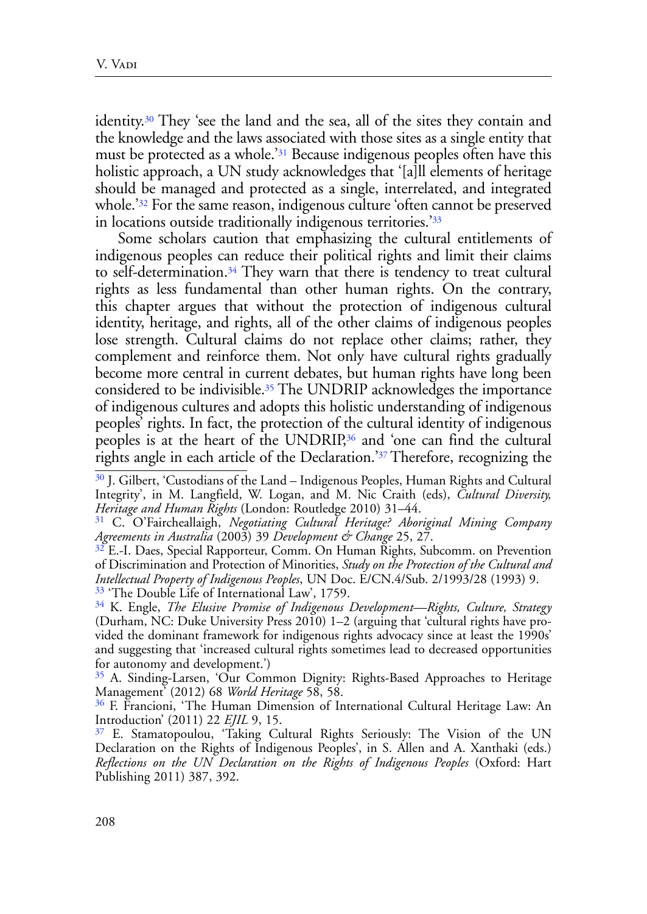<span id="page-7-9"></span><span id="page-7-8"></span>identity.[30](#page-7-0) They 'see the land and the sea, all of the sites they contain and the knowledge and the laws associated with those sites as a single entity that must be protected as a whole.<sup>31</sup> Because indigenous peoples often have this holistic approach, a UN study acknowledges that '[a]ll elements of heritage should be managed and protected as a single, interrelated, and integrated whole.<sup>['32](#page-7-2)</sup> For the same reason, indigenous culture 'often cannot be preserved in locations outside traditionally indigenous territories.['33](#page-7-3)

<span id="page-7-12"></span><span id="page-7-11"></span><span id="page-7-10"></span>Some scholars caution that emphasizing the cultural entitlements of indigenous peoples can reduce their political rights and limit their claims to self-determination.[34](#page-7-4) They warn that there is tendency to treat cultural rights as less fundamental than other human rights. On the contrary, this chapter argues that without the protection of indigenous cultural identity, heritage, and rights, all of the other claims of indigenous peoples lose strength. Cultural claims do not replace other claims; rather, they complement and reinforce them. Not only have cultural rights gradually become more central in current debates, but human rights have long been considered to be indivisible[.35](#page-7-5) The UNDRIP acknowledges the importance of indigenous cultures and adopts this holistic understanding of indigenous peoples' rights. In fact, the protection of the cultural identity of indigenous peoples is at the heart of the UNDRIP[,36](#page-7-6) and 'one can find the cultural rights angle in each article of the Declaration.['37 T](#page-7-7)herefore, recognizing the

<span id="page-7-5"></span>[35](#page-7-13) A. Sinding-Larsen, 'Our Common Dignity: Rights-Based Approaches to Heritage Management' (2012) 68 *World Heritage* 58, 58.

<span id="page-7-15"></span><span id="page-7-14"></span><span id="page-7-13"></span><span id="page-7-0"></span>[<sup>30</sup>](#page-7-8) J. Gilbert, 'Custodians of the Land – Indigenous Peoples, Human Rights and Cultural Integrity', in M. Langfield, W. Logan, and M. Nic Craith (eds), *Cultural Diversity, Heritage and Human Rights* (London: Routledge 2010) 31–44.

<span id="page-7-1"></span>[<sup>31</sup>](#page-7-9) C. O'Faircheallaigh, *Negotiating Cultural Heritage? Aboriginal Mining Company Agreements in Australia* (2003) 39 *Development & Change* 25, 27.

<span id="page-7-2"></span> $32$  E.-I. Daes, Special Rapporteur, Comm. On Human Rights, Subcomm. on Prevention of Discrimination and Protection of Minorities, *Study on the Protection of the Cultural and Intellectual Property of Indigenous Peoples*, UN Doc. E/CN.4/Sub. 2/1993/28 (1993) 9.  $33$  'The Double Life of International Law', 1759.

<span id="page-7-4"></span><span id="page-7-3"></span>[<sup>34</sup>](#page-7-12) K. Engle, *The Elusive Promise of Indigenous Development—Rights, Culture, Strategy* (Durham, NC: Duke University Press 2010) 1–2 (arguing that 'cultural rights have provided the dominant framework for indigenous rights advocacy since at least the 1990s' and suggesting that 'increased cultural rights sometimes lead to decreased opportunities for autonomy and development.')

<span id="page-7-6"></span>[<sup>36</sup>](#page-7-14) F. Francioni, 'The Human Dimension of International Cultural Heritage Law: An Introduction' (2011) 22 *EJIL* 9, 15.

<span id="page-7-7"></span>[<sup>37</sup>](#page-7-15) E. Stamatopoulou, 'Taking Cultural Rights Seriously: The Vision of the UN Declaration on the Rights of Indigenous Peoples', in S. Allen and A. Xanthaki (eds.) *Reflections on the UN Declaration on the Rights of Indigenous Peoples* (Oxford: Hart Publishing 2011) 387, 392.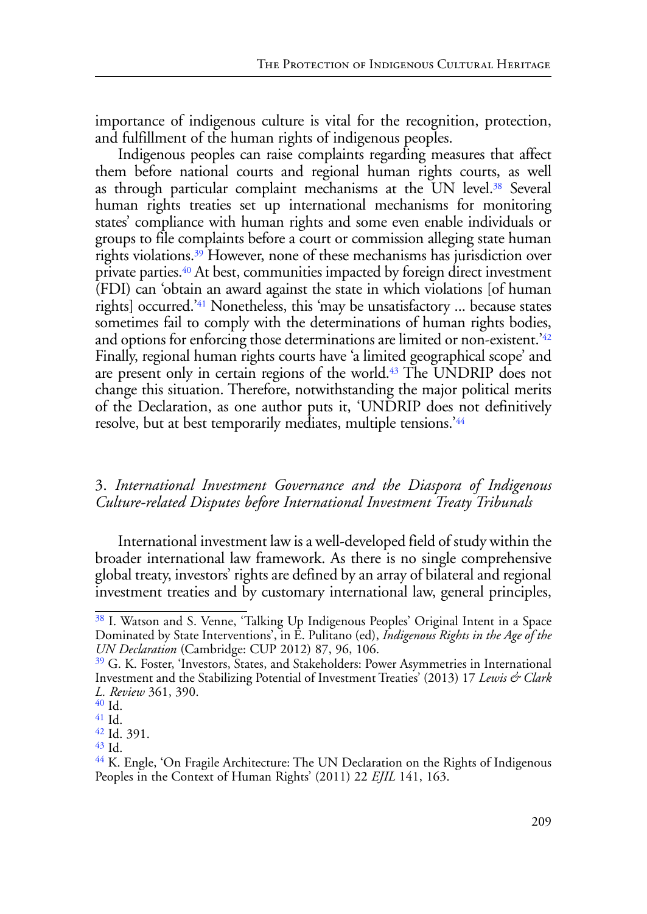importance of indigenous culture is vital for the recognition, protection, and fulfillment of the human rights of indigenous peoples.

<span id="page-8-10"></span><span id="page-8-9"></span><span id="page-8-8"></span><span id="page-8-7"></span>Indigenous peoples can raise complaints regarding measures that affect them before national courts and regional human rights courts, as well as through particular complaint mechanisms at the UN level.<sup>38</sup> Several human rights treaties set up international mechanisms for monitoring states' compliance with human rights and some even enable individuals or groups to file complaints before a court or commission alleging state human rights violations.[39](#page-8-1) However, none of these mechanisms has jurisdiction over private parties.[40](#page-8-2) At best, communities impacted by foreign direct investment (FDI) can 'obtain an award against the state in which violations [of human rights] occurred.['41](#page-8-3) Nonetheless, this 'may be unsatisfactory ... because states sometimes fail to comply with the determinations of human rights bodies, and options for enforcing those determinations are limited or non-existent.['42](#page-8-4) Finally, regional human rights courts have 'a limited geographical scope' and are present only in certain regions of the world[.43](#page-8-5) The UNDRIP does not change this situation. Therefore, notwithstanding the major political merits of the Declaration, as one author puts it, 'UNDRIP does not definitively resolve, but at best temporarily mediates, multiple tensions.'[44](#page-8-6)

## <span id="page-8-13"></span><span id="page-8-12"></span><span id="page-8-11"></span>3. *International Investment Governance and the Diaspora of Indigenous Culture-related Disputes before International Investment Treaty Tribunals*

International investment law is a well-developed field of study within the broader international law framework. As there is no single comprehensive global treaty, investors' rights are defined by an array of bilateral and regional investment treaties and by customary international law, general principles,

<span id="page-8-0"></span>[<sup>38</sup>](#page-8-7) I. Watson and S. Venne, 'Talking Up Indigenous Peoples' Original Intent in a Space Dominated by State Interventions', in E. Pulitano (ed), *Indigenous Rights in the Age of the UN Declaration* (Cambridge: CUP 2012) 87, 96, 106.

<span id="page-8-1"></span><sup>&</sup>lt;sup>39</sup> G. K. Foster, 'Investors, States, and Stakeholders: Power Asymmetries in International Investment and the Stabilizing Potential of Investment Treaties' (2013) 17 *Lewis & Clark L. Review* 361, 390.

<span id="page-8-2"></span> $^{40}$  Id. [41](#page-8-10) Id.

<span id="page-8-4"></span><span id="page-8-3"></span>[<sup>42</sup>](#page-8-11) Id. 391.

<span id="page-8-5"></span>[<sup>43</sup>](#page-8-12) Id.

<span id="page-8-6"></span><sup>&</sup>lt;sup>44</sup> K. Engle, 'On Fragile Architecture: The UN Declaration on the Rights of Indigenous Peoples in the Context of Human Rights' (2011) 22 *EJIL* 141, 163.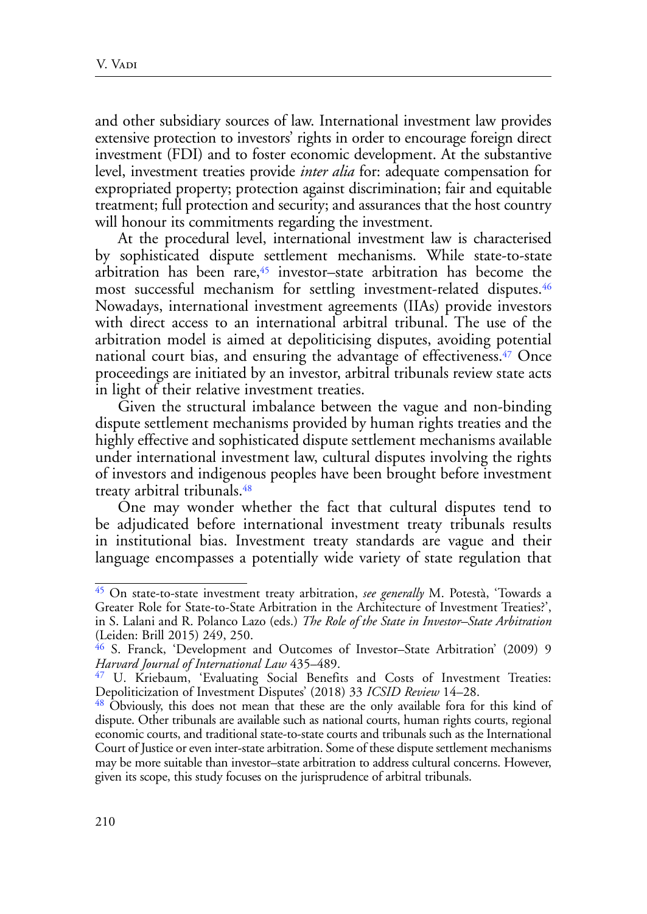and other subsidiary sources of law. International investment law provides extensive protection to investors' rights in order to encourage foreign direct investment (FDI) and to foster economic development. At the substantive level, investment treaties provide *inter alia* for: adequate compensation for expropriated property; protection against discrimination; fair and equitable treatment; full protection and security; and assurances that the host country will honour its commitments regarding the investment.

<span id="page-9-5"></span><span id="page-9-4"></span>At the procedural level, international investment law is characterised by sophisticated dispute settlement mechanisms. While state-to-state arbitration has been rare, $45$  investor–state arbitration has become the most successful mechanism for settling investment-related disputes.<sup>46</sup> Nowadays, international investment agreements (IIAs) provide investors with direct access to an international arbitral tribunal. The use of the arbitration model is aimed at depoliticising disputes, avoiding potential national court bias, and ensuring the advantage of effectiveness.<sup>47</sup> Once proceedings are initiated by an investor, arbitral tribunals review state acts in light of their relative investment treaties.

<span id="page-9-6"></span>Given the structural imbalance between the vague and non-binding dispute settlement mechanisms provided by human rights treaties and the highly effective and sophisticated dispute settlement mechanisms available under international investment law, cultural disputes involving the rights of investors and indigenous peoples have been brought before investment treaty arbitral tribunals.[48](#page-9-3)

<span id="page-9-7"></span>One may wonder whether the fact that cultural disputes tend to be adjudicated before international investment treaty tribunals results in institutional bias. Investment treaty standards are vague and their language encompasses a potentially wide variety of state regulation that

<span id="page-9-0"></span>[<sup>45</sup>](#page-9-4) On state-to-state investment treaty arbitration, *see generally* M. Potestà, 'Towards a Greater Role for State-to-State Arbitration in the Architecture of Investment Treaties?', in S. Lalani and R. Polanco Lazo (eds.) *The Role of the State in Investor–State Arbitration* (Leiden: Brill 2015) 249, 250.

<span id="page-9-1"></span>[<sup>46</sup>](#page-9-5) S. Franck, 'Development and Outcomes of Investor–State Arbitration' (2009) 9 *Harvard Journal of International Law* 435–489.

<span id="page-9-2"></span>[<sup>47</sup>](#page-9-6) U. Kriebaum, 'Evaluating Social Benefits and Costs of Investment Treaties: Depoliticization of Investment Disputes' (2018) 33 *ICSID Review* 14–28.

<span id="page-9-3"></span><sup>&</sup>lt;sup>48</sup> Obviously, this does not mean that these are the only available fora for this kind of dispute. Other tribunals are available such as national courts, human rights courts, regional economic courts, and traditional state-to-state courts and tribunals such as the International Court of Justice or even inter-state arbitration. Some of these dispute settlement mechanisms may be more suitable than investor–state arbitration to address cultural concerns. However, given its scope, this study focuses on the jurisprudence of arbitral tribunals.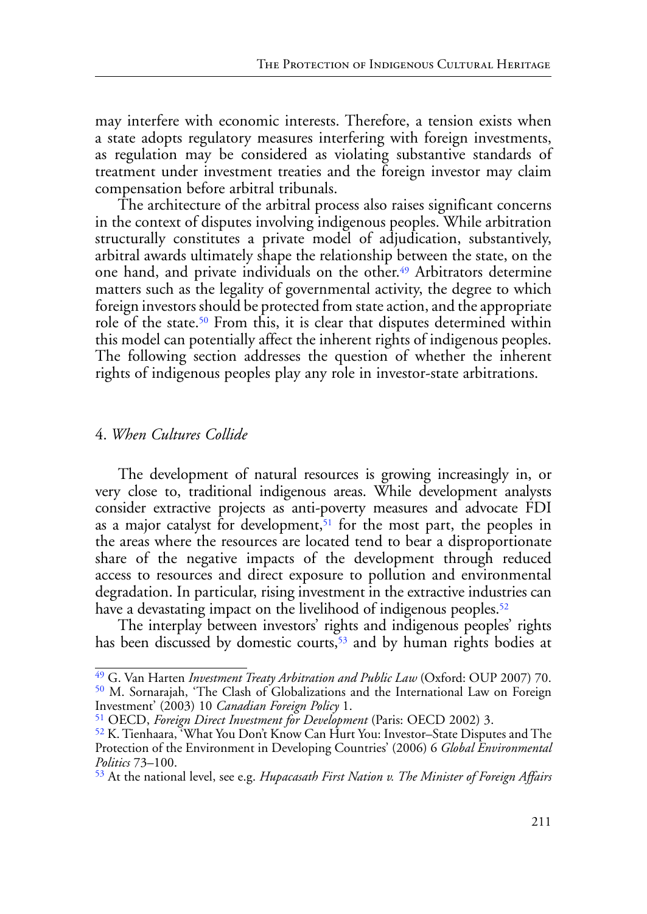may interfere with economic interests. Therefore, a tension exists when a state adopts regulatory measures interfering with foreign investments, as regulation may be considered as violating substantive standards of treatment under investment treaties and the foreign investor may claim compensation before arbitral tribunals.

<span id="page-10-5"></span>The architecture of the arbitral process also raises significant concerns in the context of disputes involving indigenous peoples. While arbitration structurally constitutes a private model of adjudication, substantively, arbitral awards ultimately shape the relationship between the state, on the one hand, and private individuals on the other.<sup>49</sup> Arbitrators determine matters such as the legality of governmental activity, the degree to which foreign investors should be protected from state action, and the appropriate role of the state.<sup>50</sup> From this, it is clear that disputes determined within this model can potentially affect the inherent rights of indigenous peoples. The following section addresses the question of whether the inherent rights of indigenous peoples play any role in investor-state arbitrations.

#### <span id="page-10-6"></span>4. *When Cultures Collide*

<span id="page-10-7"></span>The development of natural resources is growing increasingly in, or very close to, traditional indigenous areas. While development analysts consider extractive projects as anti-poverty measures and advocate FDI as a major catalyst for development,  $51$  for the most part, the peoples in the areas where the resources are located tend to bear a disproportionate share of the negative impacts of the development through reduced access to resources and direct exposure to pollution and environmental degradation. In particular, rising investment in the extractive industries can have a devastating impact on the livelihood of indigenous peoples.<sup>52</sup>

<span id="page-10-9"></span><span id="page-10-8"></span>The interplay between investors' rights and indigenous peoples' rights has been discussed by domestic courts,<sup>53</sup> and by human rights bodies at

<span id="page-10-1"></span><span id="page-10-0"></span>[<sup>49</sup>](#page-10-5) G. Van Harten *Investment Treaty Arbitration and Public Law* (Oxford: OUP 2007) 70. [50](#page-10-6) M. Sornarajah, 'The Clash of Globalizations and the International Law on Foreign Investment' (2003) 10 *Canadian Foreign Policy* 1.

<span id="page-10-2"></span>[<sup>51</sup>](#page-10-7) OECD, *Foreign Direct Investment for Development* (Paris: OECD 2002) 3.

<span id="page-10-3"></span>[<sup>52</sup>](#page-10-8) K. Tienhaara, 'What You Don't Know Can Hurt You: Investor–State Disputes and The Protection of the Environment in Developing Countries' (2006) 6 *Global Environmental Politics* 73–100.

<span id="page-10-4"></span>[<sup>53</sup>](#page-10-9) At the national level, see e.g. *Hupacasath First Nation v. The Minister of Foreign Affairs*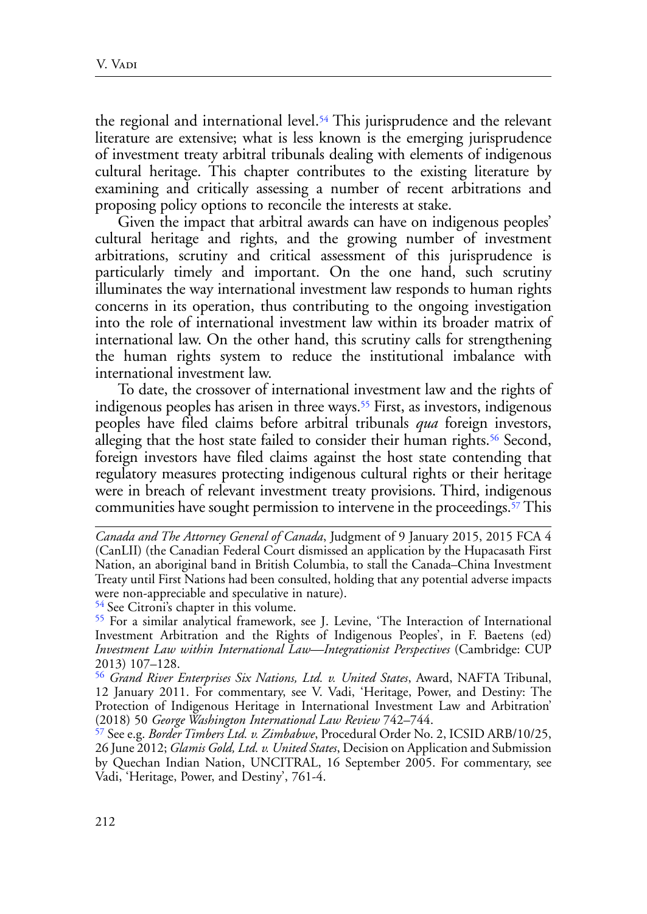<span id="page-11-4"></span>the regional and international level.<sup>54</sup> This jurisprudence and the relevant literature are extensive; what is less known is the emerging jurisprudence of investment treaty arbitral tribunals dealing with elements of indigenous cultural heritage. This chapter contributes to the existing literature by examining and critically assessing a number of recent arbitrations and proposing policy options to reconcile the interests at stake.

Given the impact that arbitral awards can have on indigenous peoples' cultural heritage and rights, and the growing number of investment arbitrations, scrutiny and critical assessment of this jurisprudence is particularly timely and important. On the one hand, such scrutiny illuminates the way international investment law responds to human rights concerns in its operation, thus contributing to the ongoing investigation into the role of international investment law within its broader matrix of international law. On the other hand, this scrutiny calls for strengthening the human rights system to reduce the institutional imbalance with international investment law.

<span id="page-11-6"></span><span id="page-11-5"></span>To date, the crossover of international investment law and the rights of indigenous peoples has arisen in three ways.<sup>55</sup> First, as investors, indigenous peoples have filed claims before arbitral tribunals *qua* foreign investors, alleging that the host state failed to consider their human rights.<sup>56</sup> Second, foreign investors have filed claims against the host state contending that regulatory measures protecting indigenous cultural rights or their heritage were in breach of relevant investment treaty provisions. Third, indigenous communities have sought permission to intervene in the proceedings.<sup>57</sup> This

<span id="page-11-0"></span>[54 S](#page-11-4)ee Citroni's chapter in this volume.

<span id="page-11-7"></span>*Canada and The Attorney General of Canada*, Judgment of 9 January 2015, 2015 FCA 4 (CanLII) (the Canadian Federal Court dismissed an application by the Hupacasath First Nation, an aboriginal band in British Columbia, to stall the Canada–China Investment Treaty until First Nations had been consulted, holding that any potential adverse impacts were non-appreciable and speculative in nature).

<span id="page-11-1"></span>[<sup>55</sup>](#page-11-5) For a similar analytical framework, see J. Levine, 'The Interaction of International Investment Arbitration and the Rights of Indigenous Peoples', in F. Baetens (ed) *Investment Law within International Law—Integrationist Perspectives* (Cambridge: CUP 2013) 107–128.

<span id="page-11-2"></span>[<sup>56</sup>](#page-11-6) *Grand River Enterprises Six Nations, Ltd. v. United States*, Award, NAFTA Tribunal, 12 January 2011. For commentary, see V. Vadi, 'Heritage, Power, and Destiny: The Protection of Indigenous Heritage in International Investment Law and Arbitration' (2018) 50 *George Washington International Law Review* 742–744.

<span id="page-11-3"></span>[<sup>57</sup>](#page-11-7) See e.g. *Border Timbers Ltd. v. Zimbabwe*, Procedural Order No. 2, ICSID ARB/10/25, 26 June 2012; *Glamis Gold, Ltd. v. United States*, Decision on Application and Submission by Quechan Indian Nation, UNCITRAL, 16 September 2005. For commentary, see Vadi, 'Heritage, Power, and Destiny', 761-4.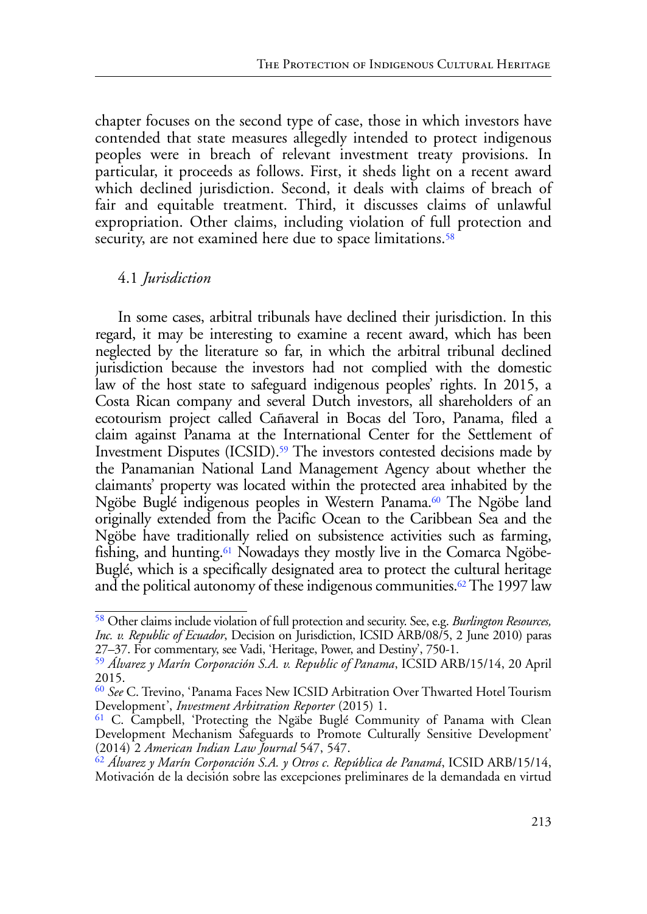chapter focuses on the second type of case, those in which investors have contended that state measures allegedly intended to protect indigenous peoples were in breach of relevant investment treaty provisions. In particular, it proceeds as follows. First, it sheds light on a recent award which declined jurisdiction. Second, it deals with claims of breach of fair and equitable treatment. Third, it discusses claims of unlawful expropriation. Other claims, including violation of full protection and security, are not examined here due to space limitations.<sup>[58](#page-12-0)</sup>

# <span id="page-12-6"></span><span id="page-12-5"></span>4.1 *Jurisdiction*

In some cases, arbitral tribunals have declined their jurisdiction. In this regard, it may be interesting to examine a recent award, which has been neglected by the literature so far, in which the arbitral tribunal declined jurisdiction because the investors had not complied with the domestic law of the host state to safeguard indigenous peoples' rights. In 2015, a Costa Rican company and several Dutch investors, all shareholders of an ecotourism project called Cañaveral in Bocas del Toro, Panama, filed a claim against Panama at the International Center for the Settlement of Investment Disputes (ICSID).<sup>59</sup> The investors contested decisions made by the Panamanian National Land Management Agency about whether the claimants' property was located within the protected area inhabited by the Ngöbe Buglé indigenous peoples in Western Panama.<sup>[60](#page-12-2)</sup> The Ngöbe land originally extended from the Pacific Ocean to the Caribbean Sea and the Ngöbe have traditionally relied on subsistence activities such as farming, fishing, and hunting[.61](#page-12-3) Nowadays they mostly live in the Comarca Ngöbe-Buglé, which is a specifically designated area to protect the cultural heritage and the political autonomy of these indigenous communities.<sup>[62](#page-12-4)</sup> The 1997 law

<span id="page-12-9"></span><span id="page-12-8"></span><span id="page-12-7"></span><span id="page-12-0"></span>[<sup>58</sup>](#page-12-5) Other claims include violation of full protection and security. See, e.g. *Burlington Resources, Inc. v. Republic of Ecuador*, Decision on Jurisdiction, ICSID ARB/08/5, 2 June 2010) paras 27–37. For commentary, see Vadi, 'Heritage, Power, and Destiny', 750-1.

<span id="page-12-1"></span>[<sup>59</sup>](#page-12-6) *Álvarez y Marín Corporación S.A. v. Republic of Panama*, ICSID ARB/15/14, 20 April 2015.

<span id="page-12-2"></span>[<sup>60</sup>](#page-12-7) *See* C. Trevino, 'Panama Faces New ICSID Arbitration Over Thwarted Hotel Tourism Development', *Investment Arbitration Reporter* (2015) 1.

<span id="page-12-3"></span><sup>&</sup>lt;sup>61</sup> C. Campbell, 'Protecting the Ngäbe Buglé Community of Panama with Clean Development Mechanism Safeguards to Promote Culturally Sensitive Development' (2014) 2 *American Indian Law Journal* 547, 547.

<span id="page-12-4"></span>[<sup>62</sup>](#page-12-9) *Álvarez y Marín Corporación S.A. y Otros c. República de Panamá*, ICSID ARB/15/14, Motivación de la decisión sobre las excepciones preliminares de la demandada en virtud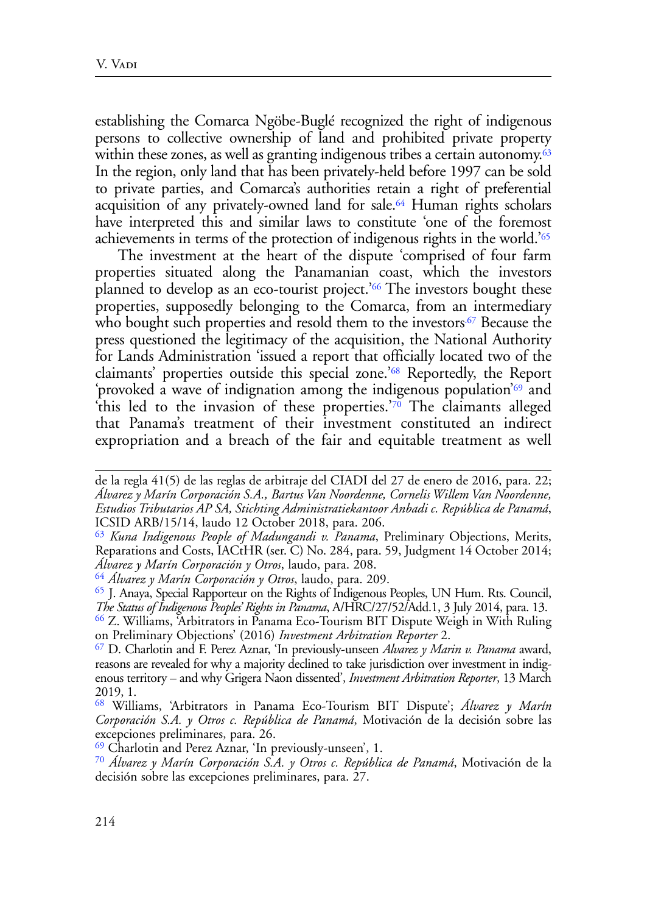<span id="page-13-8"></span>establishing the Comarca Ngöbe-Buglé recognized the right of indigenous persons to collective ownership of land and prohibited private property within these zones, as well as granting indigenous tribes a certain autonomy. $63$ In the region, only land that has been privately-held before 1997 can be sold to private parties, and Comarca's authorities retain a right of preferential acquisition of any privately-owned land for sale.<sup>64</sup> Human rights scholars have interpreted this and similar laws to constitute 'one of the foremost achievements in terms of the protection of indigenous rights in the world.['65](#page-13-2)

<span id="page-13-12"></span><span id="page-13-11"></span><span id="page-13-10"></span><span id="page-13-9"></span>The investment at the heart of the dispute 'comprised of four farm properties situated along the Panamanian coast, which the investors planned to develop as an eco-tourist project.<sup>['66](#page-13-3)</sup> The investors bought these properties, supposedly belonging to the Comarca, from an intermediary who bought such properties and resold them to the investors.<sup>67</sup> Because the press questioned the legitimacy of the acquisition, the National Authority for Lands Administration 'issued a report that officially located two of the claimants' properties outside this special zone.['68](#page-13-5) Reportedly, the Report 'provoked a wave of indignation among the indigenous population'[69](#page-13-6) and this led to the invasion of these properties.<sup>['70](#page-13-7)</sup> The claimants alleged that Panama's treatment of their investment constituted an indirect expropriation and a breach of the fair and equitable treatment as well

<span id="page-13-15"></span><span id="page-13-14"></span><span id="page-13-13"></span>de la regla 41(5) de las reglas de arbitraje del CIADI del 27 de enero de 2016, para. 22; *Álvarez y Marín Corporación S.A., Bartus Van Noordenne, Cornelis Willem Van Noordenne, Estudios Tributarios AP SA, Stichting Administratiekantoor Anbadi c. República de Panamá*, ICSID ARB/15/14, laudo 12 October 2018, para. 206.

<span id="page-13-0"></span>[<sup>63</sup>](#page-13-8) *Kuna Indigenous People of Madungandi v. Panama*, Preliminary Objections, Merits, Reparations and Costs, IACtHR (ser. C) No. 284, para. 59, Judgment 14 October 2014;

<span id="page-13-1"></span>*Álvarez y Marín Corporación y Otros*, laudo, para. 208. [64](#page-13-9) *Álvarez y Marín Corporación y Otros*, laudo, para. 209.

<span id="page-13-3"></span><span id="page-13-2"></span>[<sup>65</sup>](#page-13-10) J. Anaya, Special Rapporteur on the Rights of Indigenous Peoples, UN Hum. Rts. Council, *The Status of Indigenous Peoples' Rights in Panama*, A/HRC/27/52/Add.1, 3 July 2014, para. 13. [66](#page-13-11) Z. Williams, 'Arbitrators in Panama Eco-Tourism BIT Dispute Weigh in With Ruling on Preliminary Objections' (2016) *Investment Arbitration Reporter* 2.

<span id="page-13-4"></span>[<sup>67</sup>](#page-13-12) D. Charlotin and F. Perez Aznar, 'In previously-unseen *Alvarez y Marin v. Panama* award, reasons are revealed for why a majority declined to take jurisdiction over investment in indigenous territory – and why Grigera Naon dissented', *Investment Arbitration Reporter*, 13 March 2019, 1.

<span id="page-13-5"></span>[<sup>68</sup>](#page-13-13) Williams, 'Arbitrators in Panama Eco-Tourism BIT Dispute'; *Álvarez y Marín Corporación S.A. y Otros c. República de Panamá*, Motivación de la decisión sobre las excepciones preliminares, para. 26.

<span id="page-13-6"></span>[<sup>69</sup>](#page-13-14) Charlotin and Perez Aznar, 'In previously-unseen', 1.

<span id="page-13-7"></span>[<sup>70</sup>](#page-13-15) *Álvarez y Marín Corporación S.A. y Otros c. República de Panamá*, Motivación de la decisión sobre las excepciones preliminares, para. 27.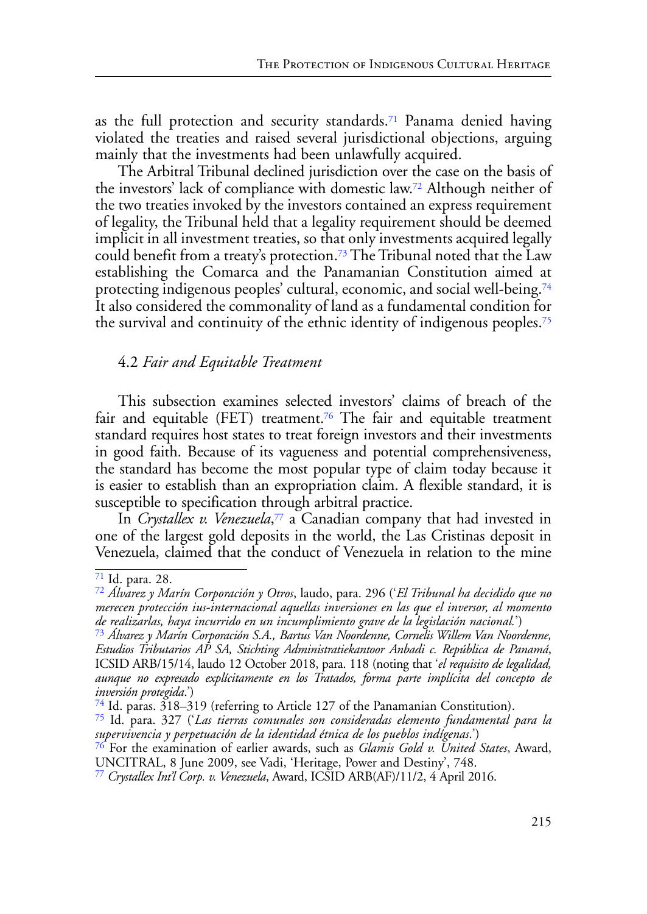<span id="page-14-7"></span>as the full protection and security standards[.71](#page-14-0) Panama denied having violated the treaties and raised several jurisdictional objections, arguing mainly that the investments had been unlawfully acquired.

<span id="page-14-8"></span>The Arbitral Tribunal declined jurisdiction over the case on the basis of the investors' lack of compliance with domestic law.[72](#page-14-1) Although neither of the two treaties invoked by the investors contained an express requirement of legality, the Tribunal held that a legality requirement should be deemed implicit in all investment treaties, so that only investments acquired legally could benefit from a treaty's protection.[73](#page-14-2) The Tribunal noted that the Law establishing the Comarca and the Panamanian Constitution aimed at protecting indigenous peoples' cultural, economic, and social well-being[.74](#page-14-3) It also considered the commonality of land as a fundamental condition for the survival and continuity of the ethnic identity of indigenous peoples[.75](#page-14-4)

## <span id="page-14-12"></span><span id="page-14-11"></span><span id="page-14-10"></span><span id="page-14-9"></span>4.2 *Fair and Equitable Treatment*

This subsection examines selected investors' claims of breach of the fair and equitable (FET) treatment.<sup>76</sup> The fair and equitable treatment standard requires host states to treat foreign investors and their investments in good faith. Because of its vagueness and potential comprehensiveness, the standard has become the most popular type of claim today because it is easier to establish than an expropriation claim. A flexible standard, it is susceptible to specification through arbitral practice.

<span id="page-14-13"></span>In *Crystallex v. Venezuela*, [77](#page-14-6) a Canadian company that had invested in one of the largest gold deposits in the world, the Las Cristinas deposit in Venezuela, claimed that the conduct of Venezuela in relation to the mine

<span id="page-14-0"></span>[<sup>71</sup>](#page-14-7) Id. para. 28.

<span id="page-14-1"></span>[<sup>72</sup>](#page-14-8) *Álvarez y Marín Corporación y Otros*, laudo, para. 296 ('*El Tribunal ha decidido que no merecen protección ius-internacional aquellas inversiones en las que el inversor, al momento de realizarlas, haya incurrido en un incumplimiento grave de la legislación nacional.*')

<span id="page-14-2"></span>[<sup>73</sup>](#page-14-9) *Álvarez y Marín Corporación S.A., Bartus Van Noordenne, Cornelis Willem Van Noordenne, Estudios Tributarios AP SA, Stichting Administratiekantoor Anbadi c. República de Panamá*, ICSID ARB/15/14, laudo 12 October 2018, para. 118 (noting that '*el requisito de legalidad, aunque no expresado explícitamente en los Tratados, forma parte implícita del concepto de inversión protegida*.')

<span id="page-14-3"></span>[<sup>74</sup>](#page-14-10) Id. paras. 318–319 (referring to Article 127 of the Panamanian Constitution).

<span id="page-14-4"></span>[<sup>75</sup>](#page-14-11) Id. para. 327 ('*Las tierras comunales son consideradas elemento fundamental para la supervivencia y perpetuación de la identidad étnica de los pueblos indígenas*.')

<span id="page-14-5"></span>[<sup>76</sup>](#page-14-12) For the examination of earlier awards, such as *Glamis Gold v. United States*, Award, UNCITRAL, 8 June 2009, see Vadi, 'Heritage, Power and Destiny', 748.

<span id="page-14-6"></span>[<sup>77</sup>](#page-14-13) *Crystallex Int'l Corp. v. Venezuela*, Award, ICSID ARB(AF)/11/2, 4 April 2016.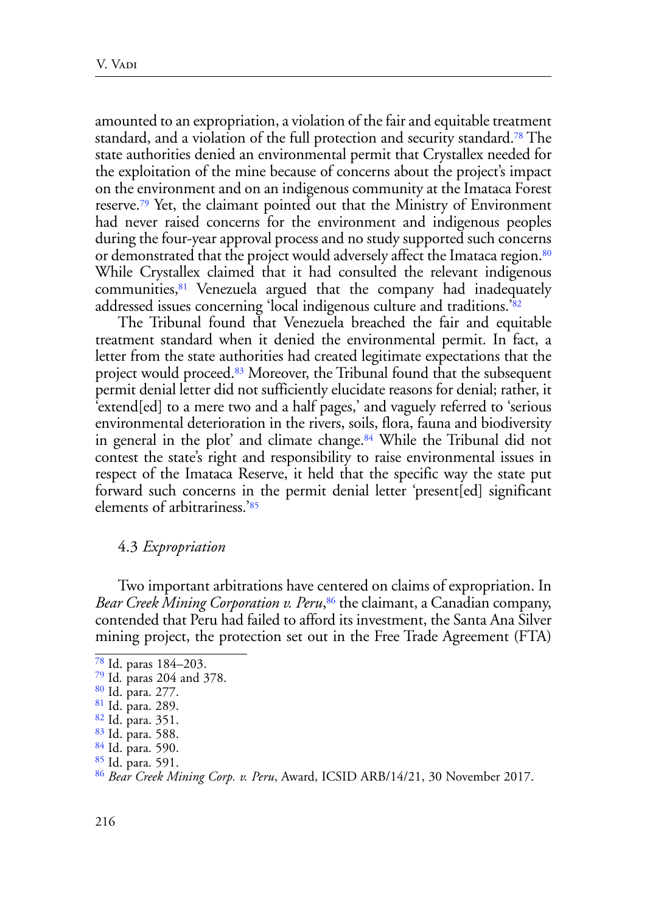<span id="page-15-10"></span><span id="page-15-9"></span>amounted to an expropriation, a violation of the fair and equitable treatment standard, and a violation of the full protection and security standard.<sup>78</sup> The state authorities denied an environmental permit that Crystallex needed for the exploitation of the mine because of concerns about the project's impact on the environment and on an indigenous community at the Imataca Forest reserve[.79](#page-15-1) Yet, the claimant pointed out that the Ministry of Environment had never raised concerns for the environment and indigenous peoples during the four-year approval process and no study supported such concerns or demonstrated that the project would adversely affect the Imataca region.<sup>80</sup> While Crystallex claimed that it had consulted the relevant indigenous communities,[81](#page-15-3) Venezuela argued that the company had inadequately addressed issues concerning 'local indigenous culture and traditions.'[82](#page-15-4) 

<span id="page-15-14"></span><span id="page-15-13"></span><span id="page-15-12"></span><span id="page-15-11"></span>The Tribunal found that Venezuela breached the fair and equitable treatment standard when it denied the environmental permit. In fact, a letter from the state authorities had created legitimate expectations that the project would proceed.[83](#page-15-5) Moreover, the Tribunal found that the subsequent permit denial letter did not sufficiently elucidate reasons for denial; rather, it 'extend[ed] to a mere two and a half pages,' and vaguely referred to 'serious environmental deterioration in the rivers, soils, flora, fauna and biodiversity in general in the plot' and climate change.<sup>84</sup> While the Tribunal did not contest the state's right and responsibility to raise environmental issues in respect of the Imataca Reserve, it held that the specific way the state put forward such concerns in the permit denial letter 'present[ed] significant elements of arbitrariness.['85](#page-15-7)

#### <span id="page-15-17"></span><span id="page-15-16"></span><span id="page-15-15"></span>4.3 *Expropriation*

Two important arbitrations have centered on claims of expropriation. In *Bear Creek Mining Corporation v. Peru*, [86](#page-15-8) the claimant, a Canadian company, contended that Peru had failed to afford its investment, the Santa Ana Silver mining project, the protection set out in the Free Trade Agreement (FTA)

<span id="page-15-0"></span>[<sup>78</sup>](#page-15-9) Id. paras 184–203.

<span id="page-15-1"></span>[<sup>79</sup>](#page-15-10) Id*.* paras 204 and 378.

<span id="page-15-2"></span>[<sup>80</sup>](#page-15-11) Id. para. 277.

<span id="page-15-3"></span>[<sup>81</sup>](#page-15-12) Id. para. 289.

<span id="page-15-4"></span>[<sup>82</sup>](#page-15-13) Id. para. 351.

<span id="page-15-5"></span>[<sup>83</sup>](#page-15-14) Id. para. 588.

<span id="page-15-6"></span>[<sup>84</sup>](#page-15-15) Id. para. 590.

<span id="page-15-7"></span>[<sup>85</sup>](#page-15-16) Id. para. 591.

<span id="page-15-8"></span>[<sup>86</sup>](#page-15-17) *Bear Creek Mining Corp. v. Peru*, Award, ICSID ARB/14/21, 30 November 2017.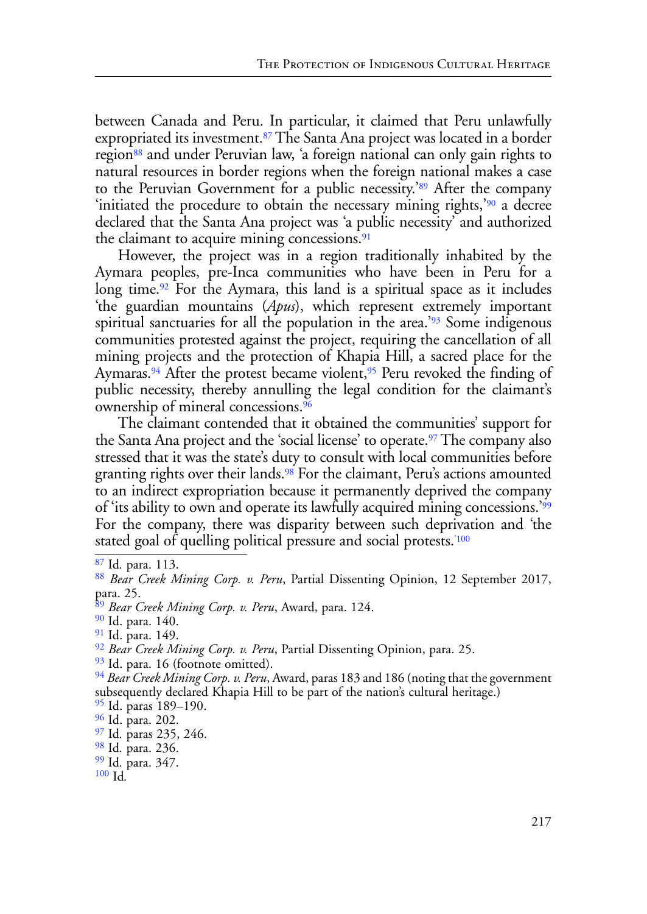<span id="page-16-15"></span><span id="page-16-14"></span><span id="page-16-13"></span>between Canada and Peru. In particular, it claimed that Peru unlawfully expropriated its investment.<sup>87</sup> The Santa Ana project was located in a border region<sup>88</sup> and under Peruvian law, 'a foreign national can only gain rights to natural resources in border regions when the foreign national makes a case to the Peruvian Government for a public necessity.['89](#page-16-2) After the company 'initiated the procedure to obtain the necessary mining rights,'[90](#page-16-3) a decree declared that the Santa Ana project was 'a public necessity' and authorized the claimant to acquire mining concessions.<sup>[91](#page-16-4)</sup>

<span id="page-16-19"></span><span id="page-16-18"></span><span id="page-16-17"></span><span id="page-16-16"></span>However, the project was in a region traditionally inhabited by the Aymara peoples, pre-Inca communities who have been in Peru for a long time.<sup>92</sup> For the Aymara, this land is a spiritual space as it includes 'the guardian mountains (*Apus*), which represent extremely important spiritual sanctuaries for all the population in the area.<sup>['93](#page-16-5)</sup> Some indigenous communities protested against the project, requiring the cancellation of all mining projects and the protection of Khapia Hill, a sacred place for the Aymaras.<sup>[94](#page-16-6)</sup> After the protest became violent,<sup>[95](#page-16-7)</sup> Peru revoked the finding of public necessity, thereby annulling the legal condition for the claimant's ownership of mineral concessions.[96](#page-16-8)

<span id="page-16-24"></span><span id="page-16-23"></span><span id="page-16-22"></span><span id="page-16-21"></span><span id="page-16-20"></span>The claimant contended that it obtained the communities' support for the Santa Ana project and the 'social license' to operate.<sup>97</sup> The company also stressed that it was the state's duty to consult with local communities before granting rights over their lands[.98](#page-16-10) For the claimant, Peru's actions amounted to an indirect expropriation because it permanently deprived the company of 'its ability to own and operate its lawfully acquired mining concessions.['99](#page-16-11) For the company, there was disparity between such deprivation and 'the stated goal of quelling political pressure and social protests.<sup>'100</sup>

<span id="page-16-12"></span>[100](#page-16-26) Id*.*

<span id="page-16-26"></span><span id="page-16-25"></span><span id="page-16-0"></span>[<sup>87</sup>](#page-16-13) Id*.* para. 113.

<span id="page-16-1"></span>[<sup>88</sup>](#page-16-14) *Bear Creek Mining Corp. v. Peru*, Partial Dissenting Opinion, 12 September 2017, para. 25.

<span id="page-16-2"></span>[<sup>89</sup>](#page-16-15) *Bear Creek Mining Corp. v. Peru*, Award, para. 124.

<span id="page-16-3"></span>[<sup>90</sup>](#page-16-16) Id. para. 140.

<span id="page-16-4"></span>[<sup>91</sup>](#page-16-17) Id. para. 149.

[<sup>92</sup>](#page-16-18) *Bear Creek Mining Corp. v. Peru*, Partial Dissenting Opinion, para. 25.

<span id="page-16-5"></span><sup>&</sup>lt;sup>93</sup> Id. para. 16 (footnote omitted).

<span id="page-16-6"></span>[<sup>94</sup>](#page-16-20) *Bear Creek Mining Corp. v. Peru*, Award, paras 183 and 186 (noting that the government subsequently declared Khapia Hill to be part of the nation's cultural heritage.)

<span id="page-16-7"></span><sup>&</sup>lt;sup>95</sup> Id. paras 189–190.

<span id="page-16-8"></span>[<sup>96</sup>](#page-16-22) Id. para. 202.

<span id="page-16-9"></span>[<sup>97</sup>](#page-16-23) Id*.* paras 235, 246.

<span id="page-16-10"></span>[<sup>98</sup>](#page-16-24) Id*.* para. 236.

<span id="page-16-11"></span>[<sup>99</sup>](#page-16-25) Id*.* para. 347.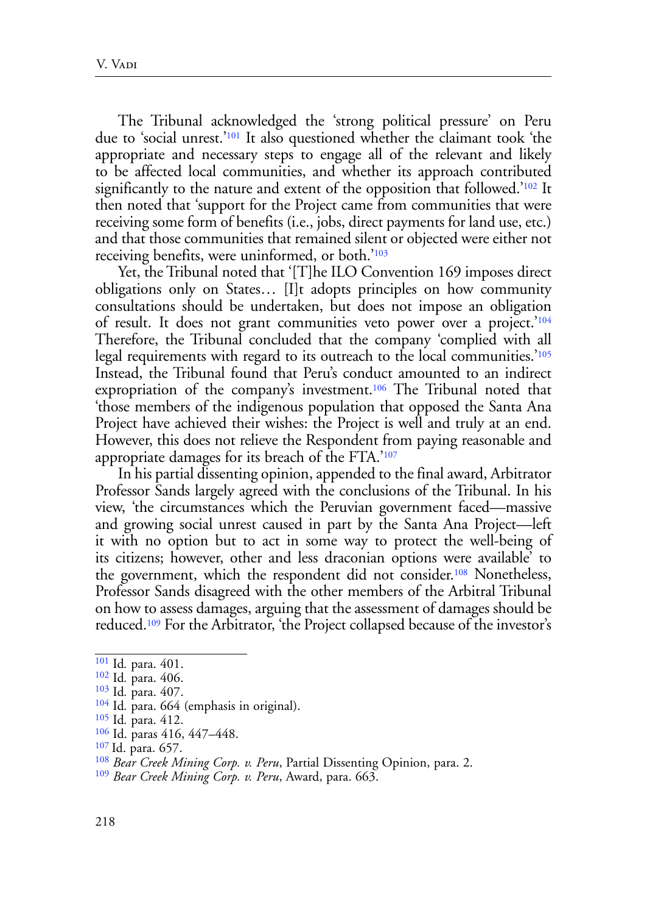<span id="page-17-10"></span><span id="page-17-9"></span>The Tribunal acknowledged the 'strong political pressure' on Peru due to 'social unrest.'[101](#page-17-0) It also questioned whether the claimant took 'the appropriate and necessary steps to engage all of the relevant and likely to be affected local communities, and whether its approach contributed significantly to the nature and extent of the opposition that followed.<sup>['102](#page-17-1)</sup> It then noted that 'support for the Project came from communities that were receiving some form of benefits (i.e., jobs, direct payments for land use, etc.) and that those communities that remained silent or objected were either not receiving benefits, were uninformed, or both.'[103](#page-17-2)

<span id="page-17-13"></span><span id="page-17-12"></span><span id="page-17-11"></span>Yet, the Tribunal noted that '[T]he ILO Convention 169 imposes direct obligations only on States… [I]t adopts principles on how community consultations should be undertaken, but does not impose an obligation of result. It does not grant communities veto power over a project.'[104](#page-17-3)  Therefore, the Tribunal concluded that the company 'complied with all legal requirements with regard to its outreach to the local communities.'[105](#page-17-4)  Instead, the Tribunal found that Peru's conduct amounted to an indirect expropriation of the company's investment.<sup>106</sup> The Tribunal noted that 'those members of the indigenous population that opposed the Santa Ana Project have achieved their wishes: the Project is well and truly at an end. However, this does not relieve the Respondent from paying reasonable and appropriate damages for its breach of the FTA.'[107](#page-17-6)

<span id="page-17-15"></span><span id="page-17-14"></span>In his partial dissenting opinion, appended to the final award, Arbitrator Professor Sands largely agreed with the conclusions of the Tribunal. In his view, 'the circumstances which the Peruvian government faced—massive and growing social unrest caused in part by the Santa Ana Project—left it with no option but to act in some way to protect the well-being of its citizens; however, other and less draconian options were available' to the government, which the respondent did not consider[.108](#page-17-7) Nonetheless, Professor Sands disagreed with the other members of the Arbitral Tribunal on how to assess damages, arguing that the assessment of damages should be reduced[.109](#page-17-8) For the Arbitrator, 'the Project collapsed because of the investor's

<span id="page-17-17"></span><span id="page-17-16"></span><span id="page-17-0"></span>[<sup>101</sup>](#page-17-9) Id*.* para. 401.

<span id="page-17-1"></span><sup>&</sup>lt;sup>[102](#page-17-10)</sup> Id. para. 406.<br><sup>103</sup> Id. para. 407.

<span id="page-17-2"></span>

<span id="page-17-3"></span><sup>&</sup>lt;sup>[104](#page-17-12)</sup> Id. para. 664 (emphasis in original).

<span id="page-17-4"></span>[<sup>105</sup>](#page-17-13) Id*.* para. 412.

<span id="page-17-5"></span>[<sup>106</sup>](#page-17-14) Id. paras 416, 447–448.

<span id="page-17-6"></span>[<sup>107</sup>](#page-17-15) Id. para. 657.

<span id="page-17-7"></span>[<sup>108</sup>](#page-17-16) *Bear Creek Mining Corp. v. Peru*, Partial Dissenting Opinion, para. 2.

<span id="page-17-8"></span>[<sup>109</sup>](#page-17-17) *Bear Creek Mining Corp. v. Peru*, Award, para. 663.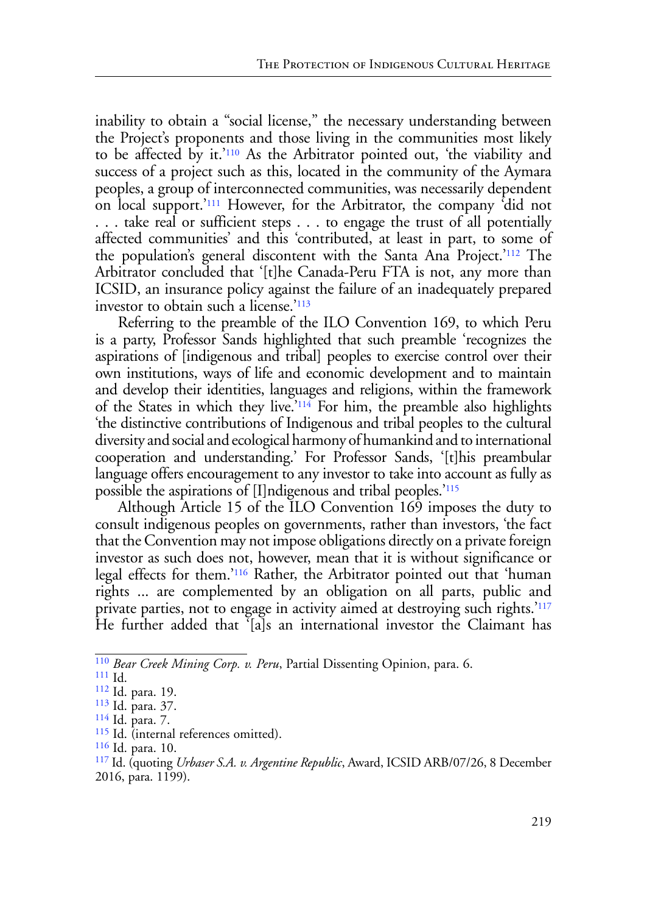<span id="page-18-9"></span><span id="page-18-8"></span>inability to obtain a "social license," the necessary understanding between the Project's proponents and those living in the communities most likely to be affected by it.['110](#page-18-0) As the Arbitrator pointed out, 'the viability and success of a project such as this, located in the community of the Aymara peoples, a group of interconnected communities, was necessarily dependent on local support.['111](#page-18-1) However, for the Arbitrator, the company 'did not . . . take real or sufficient steps . . . to engage the trust of all potentially affected communities' and this 'contributed, at least in part, to some of the population's general discontent with the Santa Ana Project.['112](#page-18-2) The Arbitrator concluded that '[t]he Canada-Peru FTA is not, any more than ICSID, an insurance policy against the failure of an inadequately prepared investor to obtain such a license.['113](#page-18-3)

<span id="page-18-12"></span><span id="page-18-11"></span><span id="page-18-10"></span>Referring to the preamble of the ILO Convention 169, to which Peru is a party, Professor Sands highlighted that such preamble 'recognizes the aspirations of [indigenous and tribal] peoples to exercise control over their own institutions, ways of life and economic development and to maintain and develop their identities, languages and religions, within the framework of the States in which they live.'[114](#page-18-4) For him, the preamble also highlights 'the distinctive contributions of Indigenous and tribal peoples to the cultural diversity and social and ecological harmony of humankind and to international cooperation and understanding.' For Professor Sands, '[t]his preambular language offers encouragement to any investor to take into account as fully as possible the aspirations of [I]ndigenous and tribal peoples.['115](#page-18-5)

<span id="page-18-14"></span><span id="page-18-13"></span>Although Article 15 of the ILO Convention 169 imposes the duty to consult indigenous peoples on governments, rather than investors, 'the fact that the Convention may not impose obligations directly on a private foreign investor as such does not, however, mean that it is without significance or legal effects for them.['116](#page-18-6) Rather, the Arbitrator pointed out that 'human rights ... are complemented by an obligation on all parts, public and private parties, not to engage in activity aimed at destroying such rights.'[117](#page-18-7) He further added that '[a]s an international investor the Claimant has

- <span id="page-18-5"></span>[115](#page-18-13) Id. (internal references omitted).
- <span id="page-18-6"></span>[116](#page-18-14) Id. para. 10.
- <span id="page-18-7"></span>[117](#page-18-15) Id. (quoting *Urbaser S.A. v. Argentine Republic*, Award, ICSID ARB/07/26, 8 December 2016, para. 1199).

<span id="page-18-0"></span>[<sup>110</sup>](#page-18-8) *Bear Creek Mining Corp. v. Peru*, Partial Dissenting Opinion, para. 6. [111](#page-18-9) Id. [112](#page-18-10) Id. para. 19.

<span id="page-18-15"></span><span id="page-18-1"></span>

<span id="page-18-2"></span>

<span id="page-18-3"></span><sup>&</sup>lt;sup>[113](#page-18-11)</sup> Id. para. 37.<br><sup>[114](#page-18-12)</sup> Id. para. 7.

<span id="page-18-4"></span>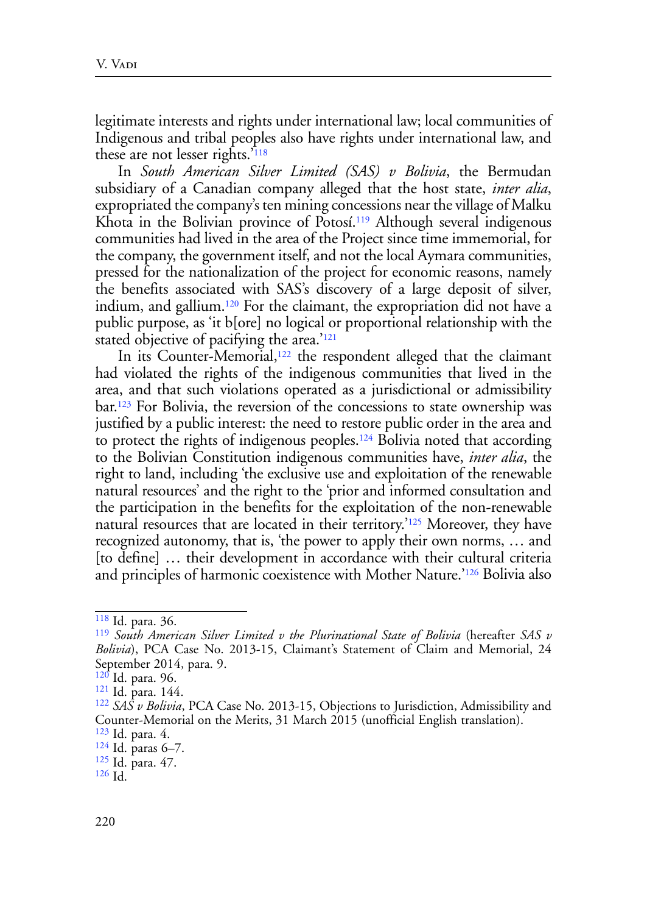legitimate interests and rights under international law; local communities of Indigenous and tribal peoples also have rights under international law, and these are not lesser rights.['118](#page-19-0)

<span id="page-19-10"></span><span id="page-19-9"></span>In *South American Silver Limited (SAS) v Bolivia*, the Bermudan subsidiary of a Canadian company alleged that the host state, *inter alia*, expropriated the company's ten mining concessions near the village of Malku Khota in the Bolivian province of Potosí.<sup>119</sup> Although several indigenous communities had lived in the area of the Project since time immemorial, for the company, the government itself, and not the local Aymara communities, pressed for the nationalization of the project for economic reasons, namely the benefits associated with SAS's discovery of a large deposit of silver, indium, and gallium.[120](#page-19-2) For the claimant, the expropriation did not have a public purpose, as 'it b[ore] no logical or proportional relationship with the stated objective of pacifying the area.<sup>'[121](#page-19-3)</sup>

<span id="page-19-15"></span><span id="page-19-14"></span><span id="page-19-13"></span><span id="page-19-12"></span><span id="page-19-11"></span>In its Counter-Memorial,<sup>122</sup> the respondent alleged that the claimant had violated the rights of the indigenous communities that lived in the area, and that such violations operated as a jurisdictional or admissibility bar.[123](#page-19-5) For Bolivia, the reversion of the concessions to state ownership was justified by a public interest: the need to restore public order in the area and to protect the rights of indigenous peoples.[124](#page-19-6) Bolivia noted that according to the Bolivian Constitution indigenous communities have, *inter alia*, the right to land, including 'the exclusive use and exploitation of the renewable natural resources' and the right to the 'prior and informed consultation and the participation in the benefits for the exploitation of the non-renewable natural resources that are located in their territory.['125](#page-19-7) Moreover, they have recognized autonomy, that is, 'the power to apply their own norms, … and [to define] … their development in accordance with their cultural criteria and principles of harmonic coexistence with Mother Nature.['126](#page-19-8) Bolivia also

<span id="page-19-17"></span><span id="page-19-16"></span><span id="page-19-0"></span>[<sup>118</sup>](#page-19-9) Id. para. 36.

<span id="page-19-1"></span>[<sup>119</sup>](#page-19-10) *South American Silver Limited v the Plurinational State of Bolivia* (hereafter *SAS v Bolivia*), PCA Case No. 2013-15, Claimant's Statement of Claim and Memorial, 24 September 2014, para. 9.<br><sup>120</sup> Id. para. 96.

<span id="page-19-2"></span>

<span id="page-19-4"></span>

<span id="page-19-3"></span><sup>&</sup>lt;sup>[121](#page-19-12)</sup> Id. para. 144.<br><sup>[122](#page-19-13)</sup> SAS v Bolivia, PCA Case No. 2013-15, Objections to Jurisdiction, Admissibility and Counter-Memorial on the Merits, 31 March 2015 (unofficial English translation).

<span id="page-19-6"></span><span id="page-19-5"></span> $\frac{123}{124}$  $\frac{123}{124}$  $\frac{123}{124}$  $\frac{123}{124}$  $\frac{123}{124}$  Id. para. 4.<br> $\frac{124}{124}$  Id. paras 6–7.

<span id="page-19-7"></span>

[<sup>125</sup>](#page-19-16) Id. para. 47.

<span id="page-19-8"></span>[<sup>126</sup>](#page-19-17) Id.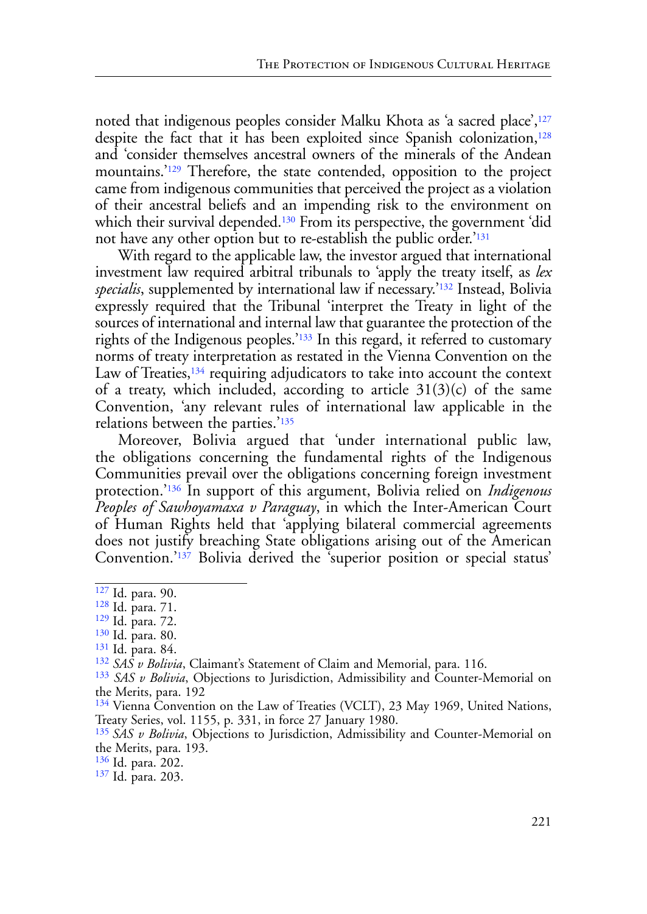<span id="page-20-13"></span><span id="page-20-12"></span><span id="page-20-11"></span>noted that indigenous peoples consider Malku Khota as 'a sacred place',<sup>127</sup> despite the fact that it has been exploited since Spanish colonization,<sup>128</sup> and 'consider themselves ancestral owners of the minerals of the Andean mountains.'[129](#page-20-2) Therefore, the state contended, opposition to the project came from indigenous communities that perceived the project as a violation of their ancestral beliefs and an impending risk to the environment on which their survival depended.<sup>[130](#page-20-3)</sup> From its perspective, the government 'did not have any other option but to re-establish the public order.<sup>'[131](#page-20-4)</sup>

<span id="page-20-17"></span><span id="page-20-16"></span><span id="page-20-15"></span><span id="page-20-14"></span>With regard to the applicable law, the investor argued that international investment law required arbitral tribunals to 'apply the treaty itself, as *lex specialis*, supplemented by international law if necessary.['132](#page-20-5) Instead, Bolivia expressly required that the Tribunal 'interpret the Treaty in light of the sources of international and internal law that guarantee the protection of the rights of the Indigenous peoples.['133](#page-20-6) In this regard, it referred to customary norms of treaty interpretation as restated in the Vienna Convention on the Law of Treaties,<sup>134</sup> requiring adjudicators to take into account the context of a treaty, which included, according to article  $31(3)(c)$  of the same Convention, 'any relevant rules of international law applicable in the relations between the parties.'[135](#page-20-8)

<span id="page-20-20"></span><span id="page-20-19"></span><span id="page-20-18"></span>Moreover, Bolivia argued that 'under international public law, the obligations concerning the fundamental rights of the Indigenous Communities prevail over the obligations concerning foreign investment protection.'[136](#page-20-9) In support of this argument, Bolivia relied on *Indigenous Peoples of Sawhoyamaxa v Paraguay*, in which the Inter-American Court of Human Rights held that 'applying bilateral commercial agreements does not justify breaching State obligations arising out of the American Convention.['137](#page-20-10) Bolivia derived the 'superior position or special status'

<span id="page-20-4"></span>[131](#page-20-15) Id. para. 84.

<span id="page-20-21"></span><span id="page-20-0"></span>[<sup>127</sup>](#page-20-11) Id. para. 90.

<span id="page-20-1"></span>[<sup>128</sup>](#page-20-12) Id. para. 71.

<span id="page-20-2"></span>[<sup>129</sup>](#page-20-13) Id. para. 72.

<span id="page-20-3"></span>[<sup>130</sup>](#page-20-14) Id. para. 80.

<span id="page-20-5"></span>[<sup>132</sup>](#page-20-16) *SAS v Bolivia*, Claimant's Statement of Claim and Memorial, para. 116.

<span id="page-20-6"></span>[<sup>133</sup>](#page-20-17) *SAS v Bolivia*, Objections to Jurisdiction, Admissibility and Counter-Memorial on the Merits, para. 192

<span id="page-20-7"></span><sup>&</sup>lt;sup>[134](#page-20-18)</sup> Vienna Convention on the Law of Treaties (VCLT), 23 May 1969, United Nations, Treaty Series, vol. 1155, p. 331, in force 27 January 1980.

<span id="page-20-8"></span>[<sup>135</sup>](#page-20-19) *SAS v Bolivia*, Objections to Jurisdiction, Admissibility and Counter-Memorial on the Merits, para. 193.

<span id="page-20-9"></span>[<sup>136</sup>](#page-20-20) Id. para. 202.

<span id="page-20-10"></span>[<sup>137</sup>](#page-20-21) Id. para. 203.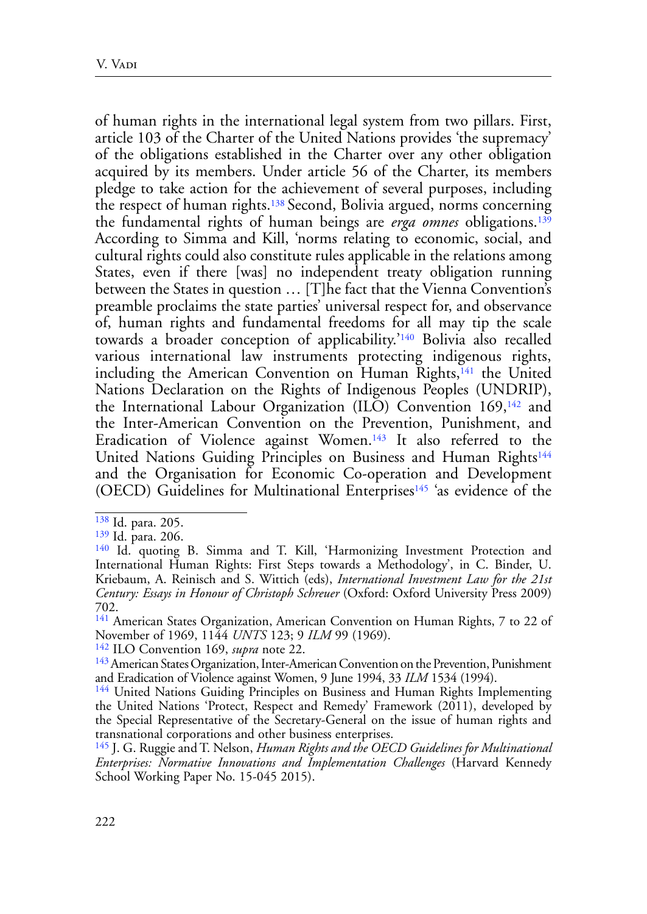<span id="page-21-8"></span><span id="page-21-7"></span>of human rights in the international legal system from two pillars. First, article 103 of the Charter of the United Nations provides 'the supremacy' of the obligations established in the Charter over any other obligation acquired by its members. Under article 56 of the Charter, its members pledge to take action for the achievement of several purposes, including the respect of human rights.[138](#page-21-0) Second, Bolivia argued, norms concerning the fundamental rights of human beings are *erga omnes* obligations.[139](#page-21-1) According to Simma and Kill, 'norms relating to economic, social, and cultural rights could also constitute rules applicable in the relations among States, even if there [was] no independent treaty obligation running between the States in question … [T]he fact that the Vienna Convention's preamble proclaims the state parties' universal respect for, and observance of, human rights and fundamental freedoms for all may tip the scale towards a broader conception of applicability.['140](#page-21-2) Bolivia also recalled various international law instruments protecting indigenous rights, including the American Convention on Human Rights,<sup>[141](#page-21-3)</sup> the United Nations Declaration on the Rights of Indigenous Peoples (UNDRIP), the International Labour Organization (ILO) Convention 169,142 and the Inter-American Convention on the Prevention, Punishment, and Eradication of Violence against Women.<sup>143</sup> It also referred to the United Nations Guiding Principles on Business and Human Rights<sup>[144](#page-21-5)</sup> and the Organisation for Economic Co-operation and Development (OECD) Guidelines for Multinational Enterprises[145](#page-21-6) 'as evidence of the

<span id="page-21-13"></span><span id="page-21-12"></span><span id="page-21-10"></span><span id="page-21-1"></span>

<span id="page-21-11"></span><span id="page-21-9"></span><span id="page-21-0"></span><sup>&</sup>lt;sup>[138](#page-21-7)</sup> Id. para. 205.<br><sup>139</sup> Id. para. 206.

<span id="page-21-2"></span><sup>&</sup>lt;sup>[140](#page-21-9)</sup> Id. quoting B. Simma and T. Kill, 'Harmonizing Investment Protection and International Human Rights: First Steps towards a Methodology', in C. Binder, U. Kriebaum, A. Reinisch and S. Wittich (eds), *International Investment Law for the 21st Century: Essays in Honour of Christoph Schreuer* (Oxford: Oxford University Press 2009) 702.

<span id="page-21-3"></span><sup>&</sup>lt;sup>[141](#page-21-10)</sup> American States Organization, American Convention on Human Rights, 7 to 22 of November of 1969, 1144 *UNTS* 123; 9 *ILM* 99 (1969).

<sup>142</sup> ILO Convention 169, *supra* note 22.

<span id="page-21-4"></span><sup>&</sup>lt;sup>143</sup> American States Organization, Inter-American Convention on the Prevention, Punishment and Eradication of Violence against Women, 9 June 1994, 33 *ILM* 1534 (1994).

<span id="page-21-5"></span><sup>&</sup>lt;sup>[144](#page-21-12)</sup> United Nations Guiding Principles on Business and Human Rights Implementing the United Nations 'Protect, Respect and Remedy' Framework (2011), developed by the Special Representative of the Secretary-General on the issue of human rights and transnational corporations and other business enterprises.

<span id="page-21-6"></span>[<sup>145</sup>](#page-21-13) J. G. Ruggie and T. Nelson, *Human Rights and the OECD Guidelines for Multinational Enterprises: Normative Innovations and Implementation Challenges* (Harvard Kennedy School Working Paper No. 15-045 2015).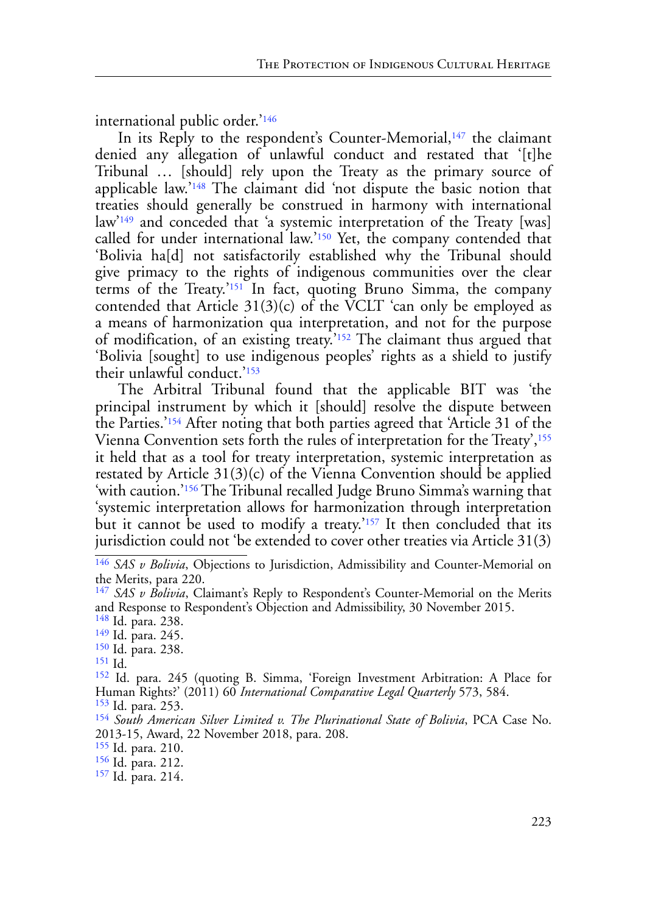<span id="page-22-12"></span>international public order.'[146](#page-22-0)

<span id="page-22-16"></span><span id="page-22-15"></span><span id="page-22-14"></span><span id="page-22-13"></span>In its Reply to the respondent's Counter-Memorial,<sup>147</sup> the claimant denied any allegation of unlawful conduct and restated that '[t]he Tribunal … [should] rely upon the Treaty as the primary source of applicable law.'[148](#page-22-2) The claimant did 'not dispute the basic notion that treaties should generally be construed in harmony with international law['149](#page-22-3) and conceded that 'a systemic interpretation of the Treaty [was] called for under international law.['150](#page-22-4) Yet, the company contended that 'Bolivia ha[d] not satisfactorily established why the Tribunal should give primacy to the rights of indigenous communities over the clear terms of the Treaty.'[151](#page-22-5) In fact, quoting Bruno Simma, the company contended that Article  $31(3)(c)$  of the VCLT 'can only be employed as a means of harmonization qua interpretation, and not for the purpose of modification, of an existing treaty.['152](#page-22-6) The claimant thus argued that 'Bolivia [sought] to use indigenous peoples' rights as a shield to justify their unlawful conduct.['153](#page-22-7)

<span id="page-22-21"></span><span id="page-22-20"></span><span id="page-22-19"></span><span id="page-22-18"></span><span id="page-22-17"></span>The Arbitral Tribunal found that the applicable BIT was 'the principal instrument by which it [should] resolve the dispute between the Parties.'[154](#page-22-8) After noting that both parties agreed that 'Article 31 of the Vienna Convention sets forth the rules of interpretation for the Treaty',<sup>[155](#page-22-9)</sup> it held that as a tool for treaty interpretation, systemic interpretation as restated by Article 31(3)(c) of the Vienna Convention should be applied 'with caution.['156](#page-22-10) The Tribunal recalled Judge Bruno Simma's warning that 'systemic interpretation allows for harmonization through interpretation but it cannot be used to modify a treaty.<sup>2157</sup> It then concluded that its jurisdiction could not 'be extended to cover other treaties via Article 31(3)

<span id="page-22-5"></span><span id="page-22-4"></span>[151](#page-22-17) Id.

<span id="page-22-9"></span>[155](#page-22-21) Id. para. 210.

<span id="page-22-23"></span><span id="page-22-22"></span><span id="page-22-0"></span>[<sup>146</sup>](#page-22-12) *SAS v Bolivia*, Objections to Jurisdiction, Admissibility and Counter-Memorial on the Merits, para 220.

<span id="page-22-1"></span>[<sup>147</sup>](#page-22-13) *SAS v Bolivia*, Claimant's Reply to Respondent's Counter-Memorial on the Merits and Response to Respondent's Objection and Admissibility, 30 November 2015.<br><sup>148</sup> Id. para. 238.

<span id="page-22-2"></span>

<span id="page-22-3"></span><sup>&</sup>lt;sup>[149](#page-22-15)</sup> Id. para. 245. [150](#page-22-16) Id. para. 238.

<span id="page-22-6"></span>[<sup>152</sup>](#page-22-18) Id. para. 245 (quoting B. Simma, 'Foreign Investment Arbitration: A Place for Human Rights?' (2011) 60 *International Comparative Legal Quarterly* 573, 584.

<span id="page-22-7"></span>

<span id="page-22-8"></span><sup>&</sup>lt;sup>[154](#page-22-20)</sup> South American Silver Limited v. The Plurinational State of Bolivia, PCA Case No. 2013-15, Award, 22 November 2018, para. 208.

<span id="page-22-10"></span>[<sup>156</sup>](#page-22-22) Id. para. 212.

<span id="page-22-11"></span>[<sup>157</sup>](#page-22-23) Id. para. 214.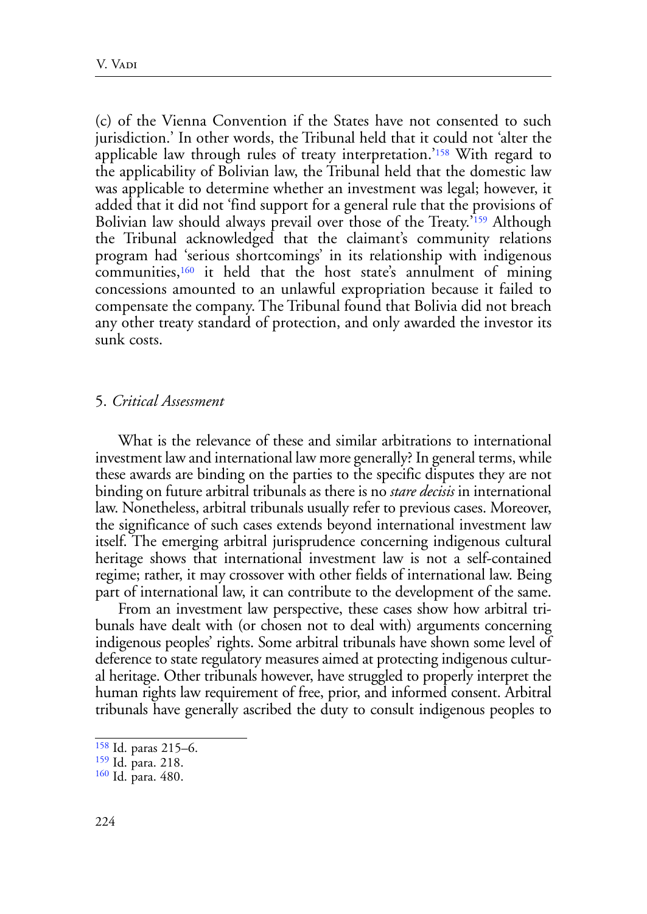<span id="page-23-4"></span><span id="page-23-3"></span>(c) of the Vienna Convention if the States have not consented to such jurisdiction.' In other words, the Tribunal held that it could not 'alter the applicable law through rules of treaty interpretation.['158](#page-23-0) With regard to the applicability of Bolivian law, the Tribunal held that the domestic law was applicable to determine whether an investment was legal; however, it added that it did not 'find support for a general rule that the provisions of Bolivian law should always prevail over those of the Treaty.'[159](#page-23-1) Although the Tribunal acknowledged that the claimant's community relations program had 'serious shortcomings' in its relationship with indigenous communities[,160](#page-23-2) it held that the host state's annulment of mining concessions amounted to an unlawful expropriation because it failed to compensate the company. The Tribunal found that Bolivia did not breach any other treaty standard of protection, and only awarded the investor its sunk costs.

### <span id="page-23-5"></span>5. *Critical Assessment*

What is the relevance of these and similar arbitrations to international investment law and international law more generally? In general terms, while these awards are binding on the parties to the specific disputes they are not binding on future arbitral tribunals as there is no *stare decisis* in international law. Nonetheless, arbitral tribunals usually refer to previous cases. Moreover, the significance of such cases extends beyond international investment law itself. The emerging arbitral jurisprudence concerning indigenous cultural heritage shows that international investment law is not a self-contained regime; rather, it may crossover with other fields of international law. Being part of international law, it can contribute to the development of the same.

From an investment law perspective, these cases show how arbitral tribunals have dealt with (or chosen not to deal with) arguments concerning indigenous peoples' rights. Some arbitral tribunals have shown some level of deference to state regulatory measures aimed at protecting indigenous cultural heritage. Other tribunals however, have struggled to properly interpret the human rights law requirement of free, prior, and informed consent. Arbitral tribunals have generally ascribed the duty to consult indigenous peoples to

<span id="page-23-0"></span>[<sup>158</sup>](#page-23-3) Id. paras 215–6.

<span id="page-23-1"></span>[<sup>159</sup>](#page-23-4) Id. para. 218.

<span id="page-23-2"></span>[<sup>160</sup>](#page-23-5) Id. para. 480.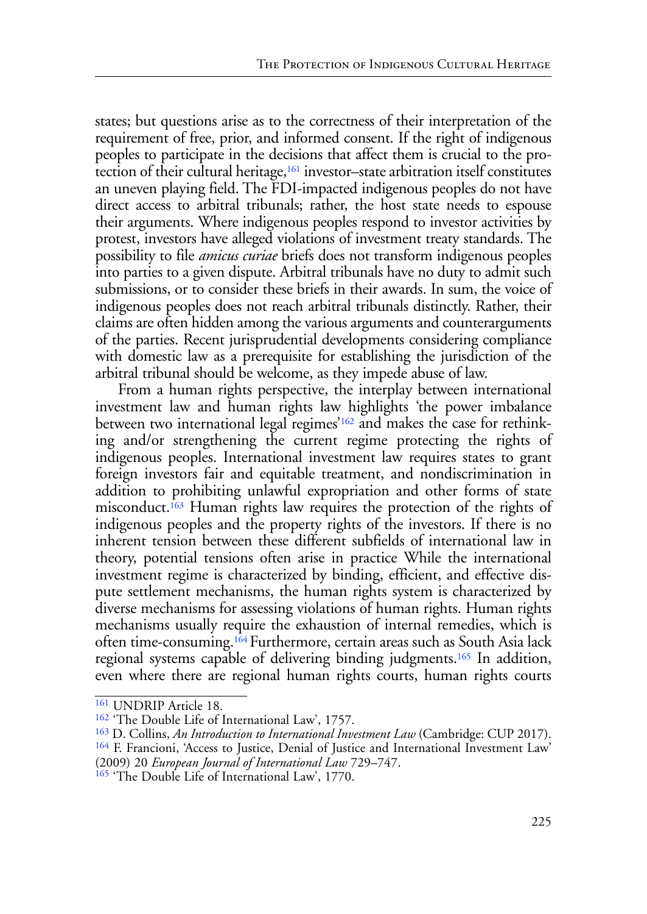states; but questions arise as to the correctness of their interpretation of the requirement of free, prior, and informed consent. If the right of indigenous peoples to participate in the decisions that affect them is crucial to the protection of their cultural heritage,<sup>161</sup> investor–state arbitration itself constitutes an uneven playing field. The FDI-impacted indigenous peoples do not have direct access to arbitral tribunals; rather, the host state needs to espouse their arguments. Where indigenous peoples respond to investor activities by protest, investors have alleged violations of investment treaty standards. The possibility to file *amicus curiae* briefs does not transform indigenous peoples into parties to a given dispute. Arbitral tribunals have no duty to admit such submissions, or to consider these briefs in their awards. In sum, the voice of indigenous peoples does not reach arbitral tribunals distinctly. Rather, their claims are often hidden among the various arguments and counterarguments of the parties. Recent jurisprudential developments considering compliance with domestic law as a prerequisite for establishing the jurisdiction of the arbitral tribunal should be welcome, as they impede abuse of law.

<span id="page-24-5"></span><span id="page-24-4"></span>From a human rights perspective, the interplay between international investment law and human rights law highlights 'the power imbalance between two international legal regimes'[162](#page-24-0) and makes the case for rethinking and/or strengthening the current regime protecting the rights of indigenous peoples. International investment law requires states to grant foreign investors fair and equitable treatment, and nondiscrimination in addition to prohibiting unlawful expropriation and other forms of state misconduct.[163](#page-24-1) Human rights law requires the protection of the rights of indigenous peoples and the property rights of the investors. If there is no inherent tension between these different subfields of international law in theory, potential tensions often arise in practice While the international investment regime is characterized by binding, efficient, and effective dispute settlement mechanisms, the human rights system is characterized by diverse mechanisms for assessing violations of human rights. Human rights mechanisms usually require the exhaustion of internal remedies, which is often time-consuming[.164](#page-24-2) Furthermore, certain areas such as South Asia lack regional systems capable of delivering binding judgments.[165](#page-24-3) In addition, even where there are regional human rights courts, human rights courts

<span id="page-24-7"></span><span id="page-24-6"></span><sup>161</sup> UNDRIP Article 18.

<span id="page-24-0"></span><sup>&</sup>lt;sup>[162](#page-24-4)</sup> 'The Double Life of International Law', 1757.

<span id="page-24-2"></span><span id="page-24-1"></span><sup>&</sup>lt;sup>[163](#page-24-5)</sup> D. Collins, *An Introduction to International Investment Law* (Cambridge: CUP 2017).<br><sup>[164](#page-24-6)</sup> F. Francioni, 'Access to Justice, Denial of Justice and International Investment Law'

<sup>(2009) 20</sup> *European Journal of International Law* 729–747.

<span id="page-24-3"></span><sup>&</sup>lt;sup>[165](#page-24-7)</sup> 'The Double Life of International Law', 1770.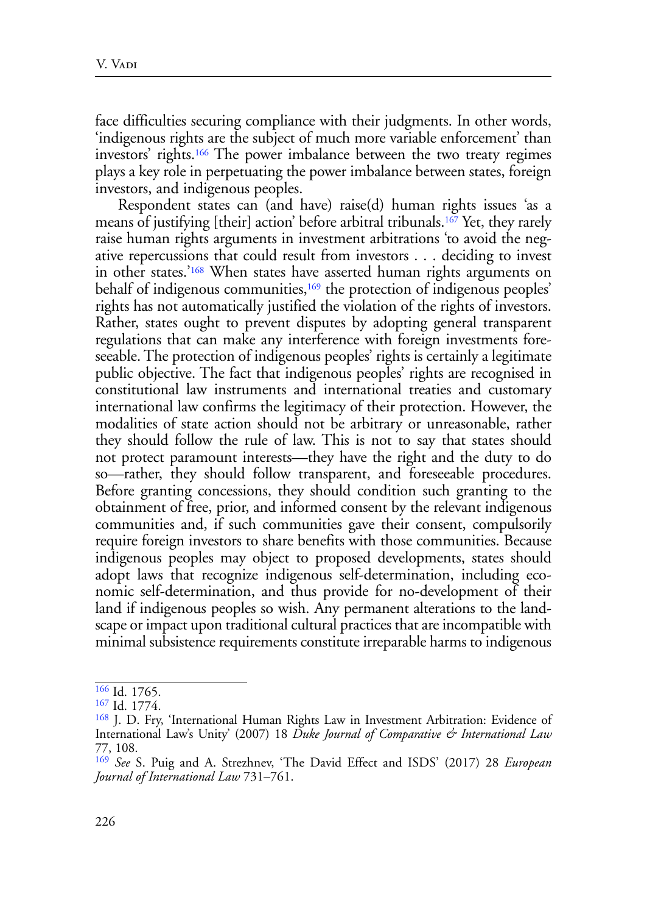<span id="page-25-4"></span>face difficulties securing compliance with their judgments. In other words, 'indigenous rights are the subject of much more variable enforcement' than investors' rights[.166](#page-25-0) The power imbalance between the two treaty regimes plays a key role in perpetuating the power imbalance between states, foreign investors, and indigenous peoples.

<span id="page-25-7"></span><span id="page-25-6"></span><span id="page-25-5"></span>Respondent states can (and have) raise(d) human rights issues 'as a means of justifying [their] action' before arbitral tribunals[.167](#page-25-1) Yet, they rarely raise human rights arguments in investment arbitrations 'to avoid the negative repercussions that could result from investors . . . deciding to invest in other states.'[168](#page-25-2) When states have asserted human rights arguments on behalf of indigenous communities,<sup>[169](#page-25-3)</sup> the protection of indigenous peoples' rights has not automatically justified the violation of the rights of investors. Rather, states ought to prevent disputes by adopting general transparent regulations that can make any interference with foreign investments foreseeable. The protection of indigenous peoples' rights is certainly a legitimate public objective. The fact that indigenous peoples' rights are recognised in constitutional law instruments and international treaties and customary international law confirms the legitimacy of their protection. However, the modalities of state action should not be arbitrary or unreasonable, rather they should follow the rule of law. This is not to say that states should not protect paramount interests—they have the right and the duty to do so—rather, they should follow transparent, and foreseeable procedures. Before granting concessions, they should condition such granting to the obtainment of free, prior, and informed consent by the relevant indigenous communities and, if such communities gave their consent, compulsorily require foreign investors to share benefits with those communities. Because indigenous peoples may object to proposed developments, states should adopt laws that recognize indigenous self-determination, including economic self-determination, and thus provide for no-development of their land if indigenous peoples so wish. Any permanent alterations to the landscape or impact upon traditional cultural practices that are incompatible with minimal subsistence requirements constitute irreparable harms to indigenous

<span id="page-25-0"></span>[<sup>166</sup>](#page-25-4) Id. 1765.

<span id="page-25-1"></span>[<sup>167</sup>](#page-25-5) Id. 1774.

<span id="page-25-2"></span>[<sup>168</sup>](#page-25-6) J. D. Fry, 'International Human Rights Law in Investment Arbitration: Evidence of International Law's Unity' (2007) 18 *Duke Journal of Comparative & International Law* 77, 108.

<span id="page-25-3"></span>[<sup>169</sup>](#page-25-7) *See* S. Puig and A. Strezhnev, 'The David Effect and ISDS' (2017) 28 *European Journal of International Law* 731–761.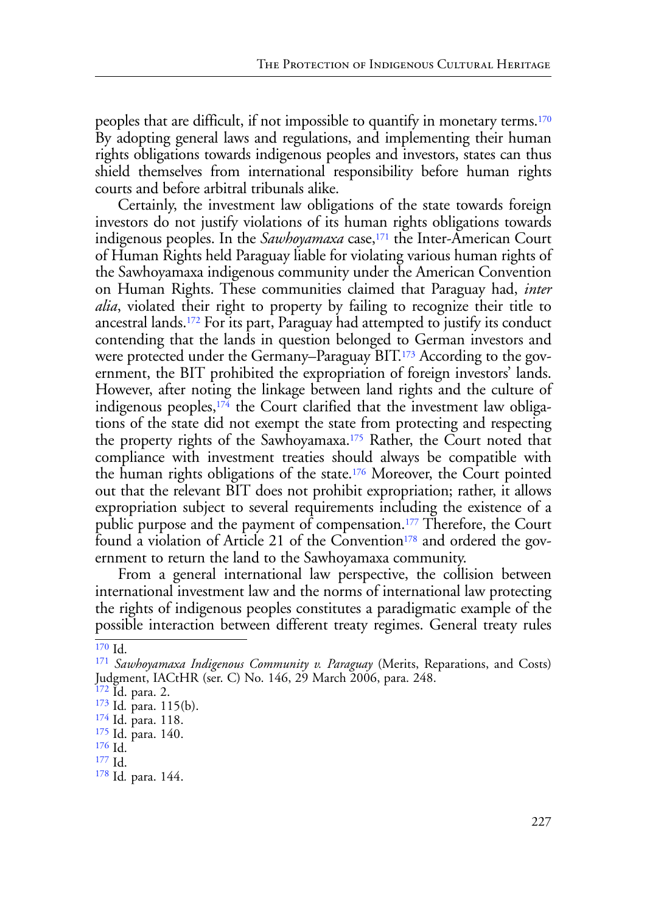<span id="page-26-9"></span>peoples that are difficult, if not impossible to quantify in monetary terms.[170](#page-26-0) By adopting general laws and regulations, and implementing their human rights obligations towards indigenous peoples and investors, states can thus shield themselves from international responsibility before human rights courts and before arbitral tribunals alike.

<span id="page-26-12"></span><span id="page-26-11"></span><span id="page-26-10"></span>Certainly, the investment law obligations of the state towards foreign investors do not justify violations of its human rights obligations towards indigenous peoples. In the *Sawhoyamaxa* case,<sup>[171](#page-26-1)</sup> the Inter-American Court of Human Rights held Paraguay liable for violating various human rights of the Sawhoyamaxa indigenous community under the American Convention on Human Rights. These communities claimed that Paraguay had, *inter alia*, violated their right to property by failing to recognize their title to ancestral lands[.172](#page-26-2) For its part, Paraguay had attempted to justify its conduct contending that the lands in question belonged to German investors and were protected under the Germany–Paraguay BIT[.173](#page-26-3) According to the government, the BIT prohibited the expropriation of foreign investors' lands. However, after noting the linkage between land rights and the culture of indigenous peoples, $174$  the Court clarified that the investment law obligations of the state did not exempt the state from protecting and respecting the property rights of the Sawhoyamaxa.[175](#page-26-5) Rather, the Court noted that compliance with investment treaties should always be compatible with the human rights obligations of the state[.176](#page-26-6) Moreover, the Court pointed out that the relevant BIT does not prohibit expropriation; rather, it allows expropriation subject to several requirements including the existence of a public purpose and the payment of compensation.[177](#page-26-7) Therefore, the Court found a violation of Article 21 of the Convention<sup>[178](#page-26-8)</sup> and ordered the government to return the land to the Sawhoyamaxa community.

<span id="page-26-17"></span><span id="page-26-16"></span><span id="page-26-15"></span><span id="page-26-14"></span><span id="page-26-13"></span>From a general international law perspective, the collision between international investment law and the norms of international law protecting the rights of indigenous peoples constitutes a paradigmatic example of the possible interaction between different treaty regimes. General treaty rules

<span id="page-26-0"></span> $\overline{170}$  $\overline{170}$  $\overline{170}$  Id.

<span id="page-26-1"></span>[<sup>171</sup>](#page-26-10) *Sawhoyamaxa Indigenous Community v. Paraguay* (Merits, Reparations, and Costs) Judgment, IACtHR (ser. C) No. 146, 29 March 2006, para. 248.

<span id="page-26-2"></span>[<sup>172</sup>](#page-26-11) Id. para. 2.

<span id="page-26-3"></span>[<sup>173</sup>](#page-26-12) Id*.* para. 115(b). [174](#page-26-13) Id. para. 118.

<span id="page-26-4"></span>

<span id="page-26-5"></span>[<sup>175</sup>](#page-26-14) Id. para. 140.

<span id="page-26-6"></span>[<sup>176</sup>](#page-26-15) Id.

<span id="page-26-7"></span>[<sup>177</sup>](#page-26-16) Id.

<span id="page-26-8"></span>[<sup>178</sup>](#page-26-17) Id*.* para. 144.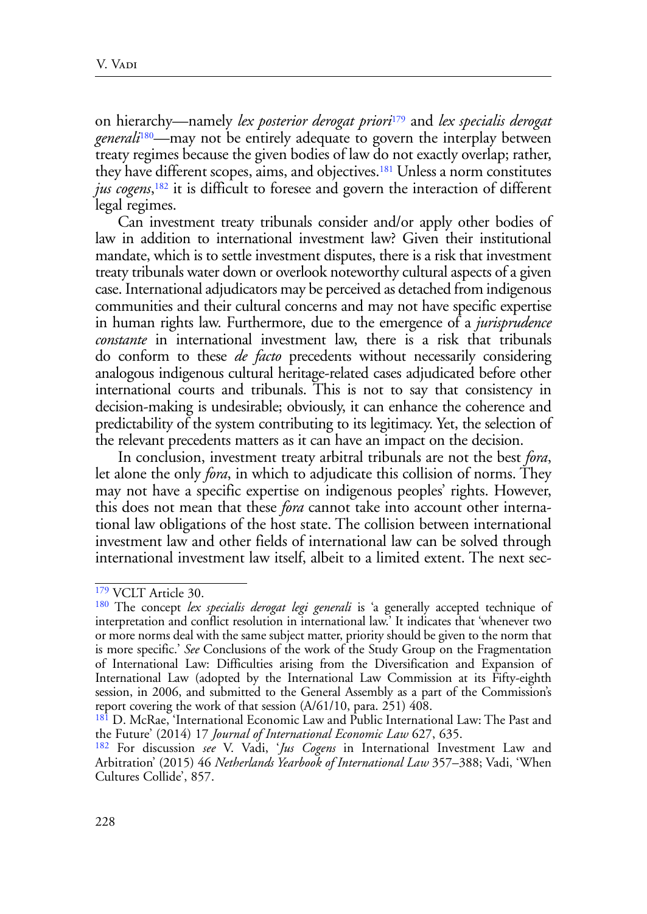<span id="page-27-6"></span><span id="page-27-5"></span><span id="page-27-4"></span>on hierarchy—namely *lex posterior derogat priori*[179](#page-27-0) and *lex specialis derogat generali*[180](#page-27-1)—may not be entirely adequate to govern the interplay between treaty regimes because the given bodies of law do not exactly overlap; rather, they have different scopes, aims, and objectives.[181](#page-27-2) Unless a norm constitutes *jus cogens*, [182](#page-27-3) it is difficult to foresee and govern the interaction of different legal regimes.

<span id="page-27-7"></span>Can investment treaty tribunals consider and/or apply other bodies of law in addition to international investment law? Given their institutional mandate, which is to settle investment disputes, there is a risk that investment treaty tribunals water down or overlook noteworthy cultural aspects of a given case. International adjudicators may be perceived as detached from indigenous communities and their cultural concerns and may not have specific expertise in human rights law. Furthermore, due to the emergence of a *jurisprudence constante* in international investment law, there is a risk that tribunals do conform to these *de facto* precedents without necessarily considering analogous indigenous cultural heritage-related cases adjudicated before other international courts and tribunals. This is not to say that consistency in decision-making is undesirable; obviously, it can enhance the coherence and predictability of the system contributing to its legitimacy. Yet, the selection of the relevant precedents matters as it can have an impact on the decision.

In conclusion, investment treaty arbitral tribunals are not the best *fora*, let alone the only *fora*, in which to adjudicate this collision of norms. They may not have a specific expertise on indigenous peoples' rights. However, this does not mean that these *fora* cannot take into account other international law obligations of the host state. The collision between international investment law and other fields of international law can be solved through international investment law itself, albeit to a limited extent. The next sec-

<span id="page-27-0"></span>[<sup>179</sup>](#page-27-4) VCLT Article 30.

<span id="page-27-1"></span>[<sup>180</sup>](#page-27-5) The concept *lex specialis derogat legi generali* is 'a generally accepted technique of interpretation and conflict resolution in international law.' It indicates that 'whenever two or more norms deal with the same subject matter, priority should be given to the norm that is more specific.' *See* Conclusions of the work of the Study Group on the Fragmentation of International Law: Difficulties arising from the Diversification and Expansion of International Law (adopted by the International Law Commission at its Fifty-eighth session, in 2006, and submitted to the General Assembly as a part of the Commission's report covering the work of that session (A/61/10, para. 251) 408.

<span id="page-27-2"></span>[<sup>181</sup>](#page-27-6) D. McRae, 'International Economic Law and Public International Law: The Past and the Future' (2014) 17 *Journal of International Economic Law* 627, 635.

<span id="page-27-3"></span>[<sup>182</sup>](#page-27-7) For discussion *see* V. Vadi, '*Jus Cogens* in International Investment Law and Arbitration' (2015) 46 *Netherlands Yearbook of International Law* 357–388; Vadi, 'When Cultures Collide', 857.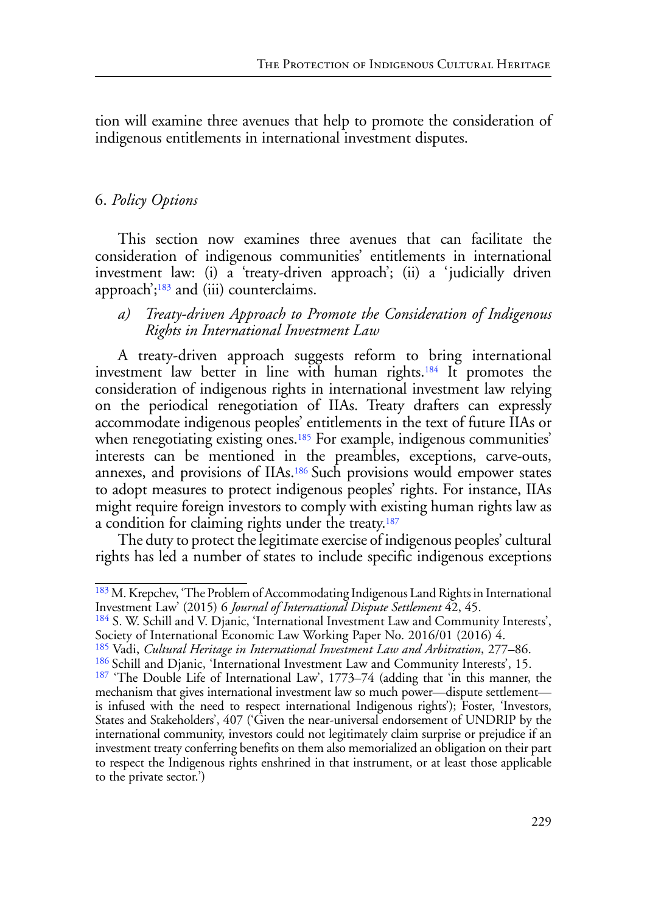tion will examine three avenues that help to promote the consideration of indigenous entitlements in international investment disputes.

# 6. *Policy Options*

This section now examines three avenues that can facilitate the consideration of indigenous communities' entitlements in international investment law: (i) a 'treaty-driven approach'; (ii) a 'judicially driven approach'; $183$  and (iii) counterclaims.

## <span id="page-28-6"></span><span id="page-28-5"></span>*a) Treaty-driven Approach to Promote the Consideration of Indigenous Rights in International Investment Law*

<span id="page-28-7"></span>A treaty-driven approach suggests reform to bring international investment law better in line with human rights[.184](#page-28-1) It promotes the consideration of indigenous rights in international investment law relying on the periodical renegotiation of IIAs. Treaty drafters can expressly accommodate indigenous peoples' entitlements in the text of future IIAs or when renegotiating existing ones.<sup>185</sup> For example, indigenous communities' interests can be mentioned in the preambles, exceptions, carve-outs, annexes, and provisions of IIAs[.186 S](#page-28-3)uch provisions would empower states to adopt measures to protect indigenous peoples' rights. For instance, IIAs might require foreign investors to comply with existing human rights law as a condition for claiming rights under the treaty[.187](#page-28-4)

<span id="page-28-9"></span><span id="page-28-8"></span>The duty to protect the legitimate exercise of indigenous peoples' cultural rights has led a number of states to include specific indigenous exceptions

<span id="page-28-2"></span>[185](#page-28-7) Vadi, *Cultural Heritage in International Investment Law and Arbitration*, 277–86.

<span id="page-28-0"></span><sup>&</sup>lt;sup>[183](#page-28-5)</sup> M. Krepchev, 'The Problem of Accommodating Indigenous Land Rights in International Investment Law' (2015) 6 *Journal of International Dispute Settlement* 42, 45.

<span id="page-28-1"></span>[<sup>184</sup>](#page-28-6) S. W. Schill and V. Djanic, 'International Investment Law and Community Interests', Society of International Economic Law Working Paper No. 2016/01 (2016) 4.

<span id="page-28-3"></span>[<sup>186</sup>](#page-28-8) Schill and Djanic, 'International Investment Law and Community Interests', 15.

<span id="page-28-4"></span>[<sup>187</sup>](#page-28-9) 'The Double Life of International Law', 1773–74 (adding that 'in this manner, the mechanism that gives international investment law so much power—dispute settlement is infused with the need to respect international Indigenous rights'); Foster, 'Investors, States and Stakeholders', 407 ('Given the near-universal endorsement of UNDRIP by the international community, investors could not legitimately claim surprise or prejudice if an investment treaty conferring benefits on them also memorialized an obligation on their part to respect the Indigenous rights enshrined in that instrument, or at least those applicable to the private sector.')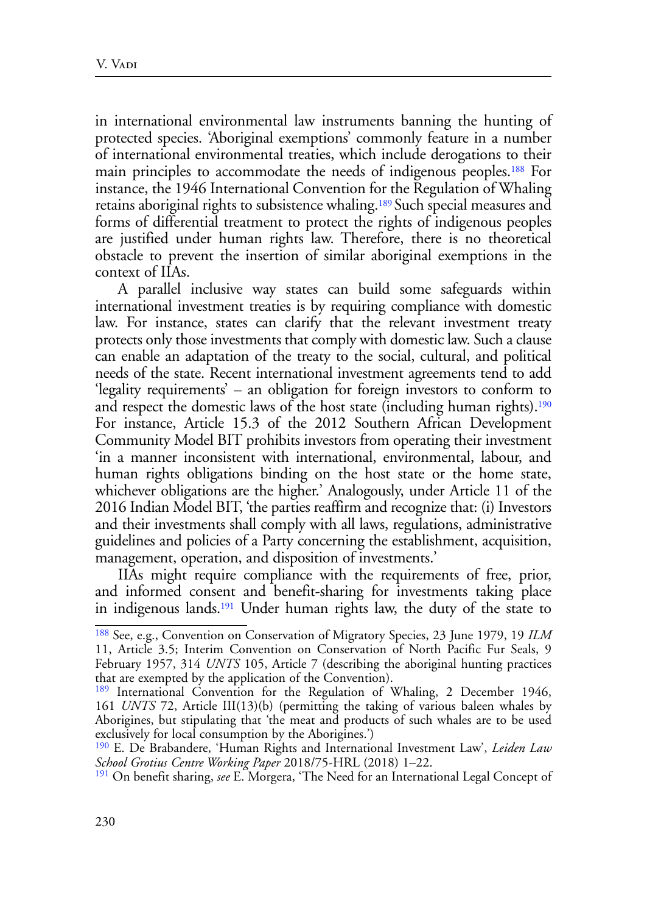<span id="page-29-5"></span><span id="page-29-4"></span>in international environmental law instruments banning the hunting of protected species. 'Aboriginal exemptions' commonly feature in a number of international environmental treaties, which include derogations to their main principles to accommodate the needs of indigenous peoples.[188](#page-29-0) For instance, the 1946 International Convention for the Regulation of Whaling retains aboriginal rights to subsistence whaling[.189 S](#page-29-1)uch special measures and forms of differential treatment to protect the rights of indigenous peoples are justified under human rights law. Therefore, there is no theoretical obstacle to prevent the insertion of similar aboriginal exemptions in the context of IIAs.

<span id="page-29-6"></span>A parallel inclusive way states can build some safeguards within international investment treaties is by requiring compliance with domestic law. For instance, states can clarify that the relevant investment treaty protects only those investments that comply with domestic law. Such a clause can enable an adaptation of the treaty to the social, cultural, and political needs of the state. Recent international investment agreements tend to add 'legality requirements' – an obligation for foreign investors to conform to and respect the domestic laws of the host state (including human rights).<sup>[190](#page-29-2)</sup> For instance, Article 15.3 of the 2012 Southern African Development Community Model BIT prohibits investors from operating their investment 'in a manner inconsistent with international, environmental, labour, and human rights obligations binding on the host state or the home state, whichever obligations are the higher.' Analogously, under Article 11 of the 2016 Indian Model BIT, 'the parties reaffirm and recognize that: (i) Investors and their investments shall comply with all laws, regulations, administrative guidelines and policies of a Party concerning the establishment, acquisition, management, operation, and disposition of investments.'

IIAs might require compliance with the requirements of free, prior, and informed consent and benefit-sharing for investments taking place in indigenous lands[.191](#page-29-3) Under human rights law, the duty of the state to

<span id="page-29-7"></span><span id="page-29-0"></span>[<sup>188</sup>](#page-29-4) See, e.g., Convention on Conservation of Migratory Species, 23 June 1979, 19 *ILM*  11, Article 3.5; Interim Convention on Conservation of North Pacific Fur Seals, 9 February 1957, 314 *UNTS* 105, Article 7 (describing the aboriginal hunting practices that are exempted by the application of the Convention).

<span id="page-29-1"></span>[<sup>189</sup>](#page-29-5) International Convention for the Regulation of Whaling, 2 December 1946, 161 *UNTS* 72, Article III(13)(b) (permitting the taking of various baleen whales by Aborigines, but stipulating that 'the meat and products of such whales are to be used exclusively for local consumption by the Aborigines.')

<span id="page-29-2"></span>[<sup>190</sup>](#page-29-6) E. De Brabandere, 'Human Rights and International Investment Law', *Leiden Law School Grotius Centre Working Paper* 2018/75-HRL (2018) 1–22.

<span id="page-29-3"></span>[<sup>191</sup>](#page-29-7) On benefit sharing, *see* E. Morgera, 'The Need for an International Legal Concept of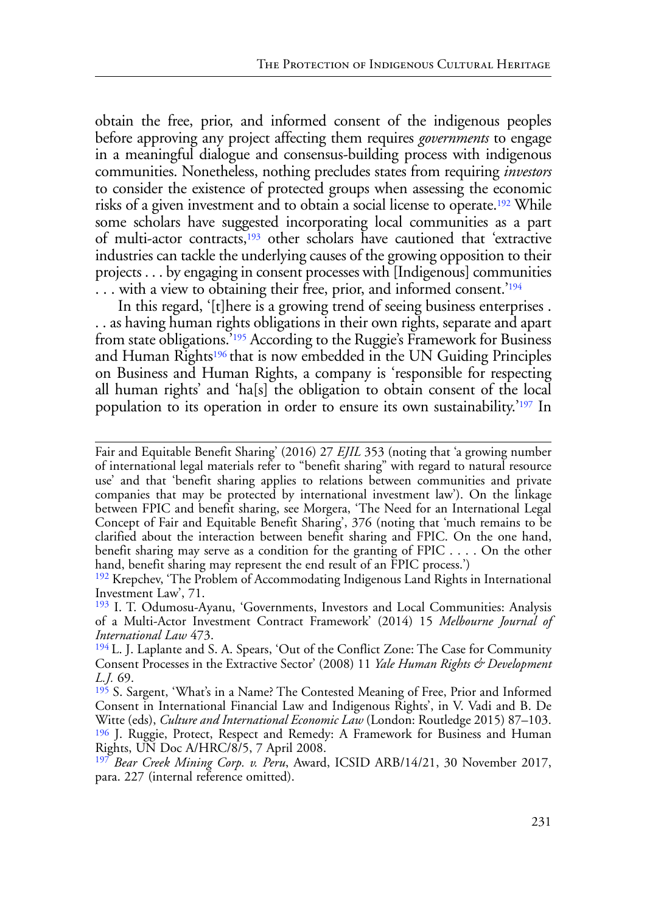<span id="page-30-6"></span>obtain the free, prior, and informed consent of the indigenous peoples before approving any project affecting them requires *governments* to engage in a meaningful dialogue and consensus-building process with indigenous communities. Nonetheless, nothing precludes states from requiring *investors* to consider the existence of protected groups when assessing the economic risks of a given investment and to obtain a social license to operate[.192](#page-30-0) While some scholars have suggested incorporating local communities as a part of multi-actor contracts[,193](#page-30-1) other scholars have cautioned that 'extractive industries can tackle the underlying causes of the growing opposition to their projects . . . by engaging in consent processes with [Indigenous] communities ... with a view to obtaining their free, prior, and informed consent.'<sup>[194](#page-30-2)</sup>

<span id="page-30-10"></span><span id="page-30-9"></span><span id="page-30-8"></span><span id="page-30-7"></span>In this regard, '[t]here is a growing trend of seeing business enterprises. . . as having human rights obligations in their own rights, separate and apart from state obligations.['195](#page-30-3) According to the Ruggie's Framework for Business and Human Rights<sup>196</sup> that is now embedded in the UN Guiding Principles on Business and Human Rights, a company is 'responsible for respecting all human rights' and 'ha[s] the obligation to obtain consent of the local population to its operation in order to ensure its own sustainability.'[197](#page-30-5) In

<span id="page-30-11"></span>Fair and Equitable Benefit Sharing' (2016) 27 *EJIL* 353 (noting that 'a growing number of international legal materials refer to "benefit sharing" with regard to natural resource use' and that 'benefit sharing applies to relations between communities and private companies that may be protected by international investment law'). On the linkage between FPIC and benefit sharing, see Morgera, 'The Need for an International Legal Concept of Fair and Equitable Benefit Sharing', 376 (noting that 'much remains to be clarified about the interaction between benefit sharing and FPIC. On the one hand, benefit sharing may serve as a condition for the granting of FPIC . . . . On the other hand, benefit sharing may represent the end result of an FPIC process.')

<span id="page-30-0"></span>[<sup>192</sup>](#page-30-6) Krepchev, 'The Problem of Accommodating Indigenous Land Rights in International Investment Law', 71.

<span id="page-30-1"></span>[<sup>193</sup>](#page-30-7) I. T. Odumosu-Ayanu, 'Governments, Investors and Local Communities: Analysis of a Multi-Actor Investment Contract Framework' (2014) 15 *Melbourne Journal of International Law* 473.

<span id="page-30-2"></span>[<sup>194</sup>](#page-30-8) L. J. Laplante and S. A. Spears, 'Out of the Conflict Zone: The Case for Community Consent Processes in the Extractive Sector' (2008) 11 *Yale Human Rights & Development L.J.* 69.

<span id="page-30-3"></span>[<sup>195</sup>](#page-30-9) S. Sargent, 'What's in a Name? The Contested Meaning of Free, Prior and Informed Consent in International Financial Law and Indigenous Rights', in V. Vadi and B. De Witte (eds), *Culture and International Economic Law* (London: Routledge 2015) 87–103. [196](#page-30-10) J. Ruggie, Protect, Respect and Remedy: A Framework for Business and Human Rights, UN Doc A/HRC/8/5, 7 April 2008.

<span id="page-30-5"></span><span id="page-30-4"></span>[<sup>197</sup>](#page-30-11) *Bear Creek Mining Corp. v. Peru*, Award, ICSID ARB/14/21, 30 November 2017, para. 227 (internal reference omitted).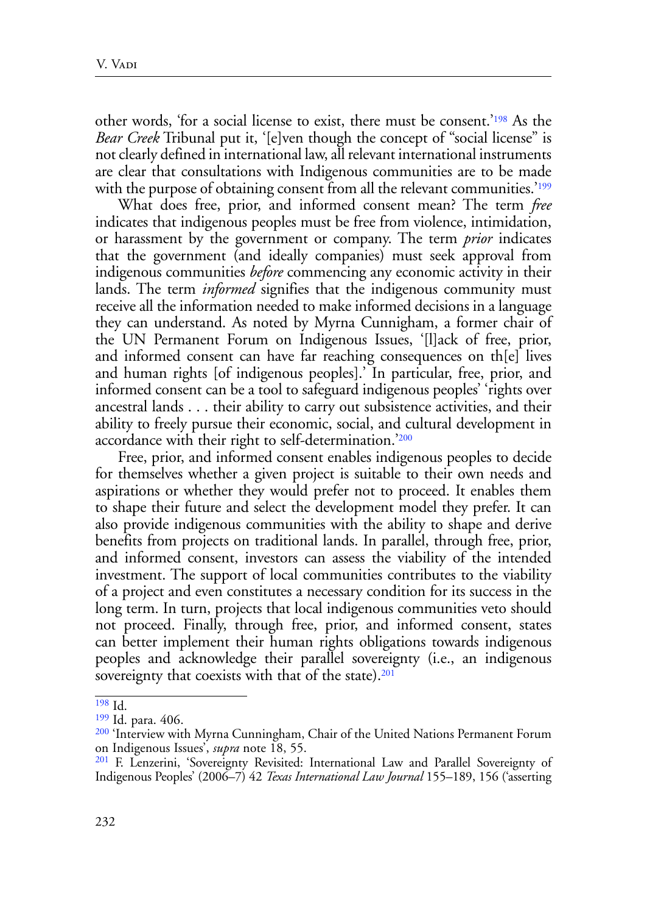<span id="page-31-4"></span>other words, 'for a social license to exist, there must be consent.'[198](#page-31-0) As the *Bear Creek* Tribunal put it, '[e]ven though the concept of "social license" is not clearly defined in international law, all relevant international instruments are clear that consultations with Indigenous communities are to be made with the purpose of obtaining consent from all the relevant communities.<sup>'[199](#page-31-1)</sup>

<span id="page-31-5"></span>What does free, prior, and informed consent mean? The term *free* indicates that indigenous peoples must be free from violence, intimidation, or harassment by the government or company. The term *prior* indicates that the government (and ideally companies) must seek approval from indigenous communities *before* commencing any economic activity in their lands. The term *informed* signifies that the indigenous community must receive all the information needed to make informed decisions in a language they can understand. As noted by Myrna Cunnigham, a former chair of the UN Permanent Forum on Indigenous Issues, '[l]ack of free, prior, and informed consent can have far reaching consequences on th[e] lives and human rights [of indigenous peoples].' In particular, free, prior, and informed consent can be a tool to safeguard indigenous peoples' 'rights over ancestral lands . . . their ability to carry out subsistence activities, and their ability to freely pursue their economic, social, and cultural development in accordance with their right to self-determination.['200](#page-31-2) 

<span id="page-31-6"></span>Free, prior, and informed consent enables indigenous peoples to decide for themselves whether a given project is suitable to their own needs and aspirations or whether they would prefer not to proceed. It enables them to shape their future and select the development model they prefer. It can also provide indigenous communities with the ability to shape and derive benefits from projects on traditional lands. In parallel, through free, prior, and informed consent, investors can assess the viability of the intended investment. The support of local communities contributes to the viability of a project and even constitutes a necessary condition for its success in the long term. In turn, projects that local indigenous communities veto should not proceed. Finally, through free, prior, and informed consent, states can better implement their human rights obligations towards indigenous peoples and acknowledge their parallel sovereignty (i.e., an indigenous sovereignty that coexists with that of the state).<sup>201</sup>

<span id="page-31-7"></span><span id="page-31-0"></span>[<sup>198</sup>](#page-31-4) Id.

<span id="page-31-1"></span>[<sup>199</sup>](#page-31-5) Id. para. 406.

<span id="page-31-2"></span><sup>&</sup>lt;sup>[200](#page-31-6)</sup> 'Interview with Myrna Cunningham, Chair of the United Nations Permanent Forum on Indigenous Issues', *supra* note 18, 55.

<span id="page-31-3"></span>[<sup>201</sup>](#page-31-7) F. Lenzerini, 'Sovereignty Revisited: International Law and Parallel Sovereignty of Indigenous Peoples' (2006–7) 42 *Texas International Law Journal* 155–189, 156 ('asserting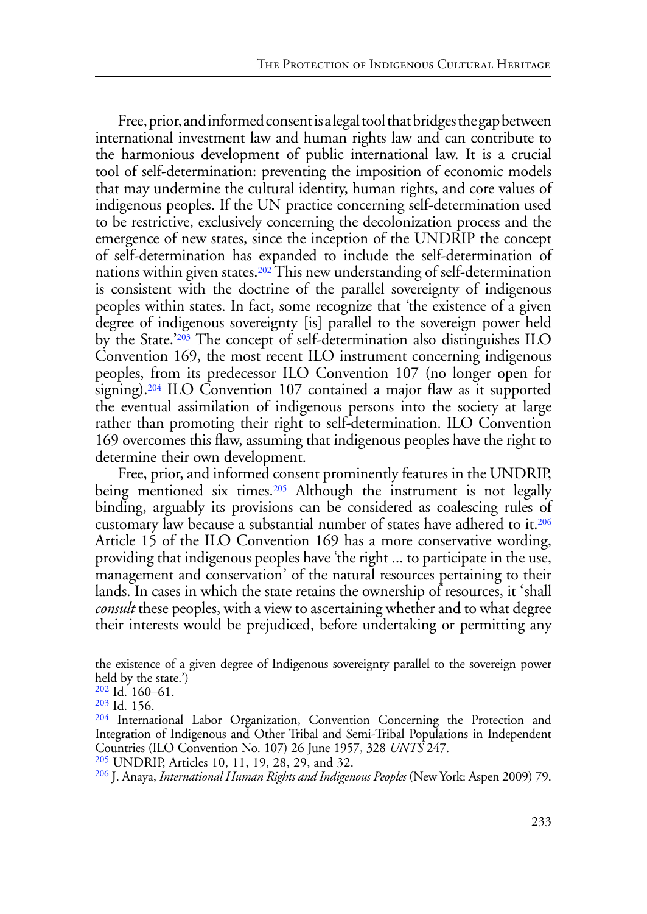<span id="page-32-5"></span>Free, prior, and informed consent is a legal tool that bridges the gap between international investment law and human rights law and can contribute to the harmonious development of public international law. It is a crucial tool of self-determination: preventing the imposition of economic models that may undermine the cultural identity, human rights, and core values of indigenous peoples. If the UN practice concerning self-determination used to be restrictive, exclusively concerning the decolonization process and the emergence of new states, since the inception of the UNDRIP the concept of self-determination has expanded to include the self-determination of nations within given states.<sup>202</sup> This new understanding of self-determination is consistent with the doctrine of the parallel sovereignty of indigenous peoples within states. In fact, some recognize that 'the existence of a given degree of indigenous sovereignty [is] parallel to the sovereign power held by the State.'[203](#page-32-1) The concept of self-determination also distinguishes ILO Convention 169, the most recent ILO instrument concerning indigenous peoples, from its predecessor ILO Convention 107 (no longer open for signing)[.204](#page-32-2) ILO Convention 107 contained a major flaw as it supported the eventual assimilation of indigenous persons into the society at large rather than promoting their right to self-determination. ILO Convention 169 overcomes this flaw, assuming that indigenous peoples have the right to determine their own development.

<span id="page-32-9"></span><span id="page-32-8"></span><span id="page-32-7"></span><span id="page-32-6"></span>Free, prior, and informed consent prominently features in the UNDRIP, being mentioned six times.<sup>205</sup> Although the instrument is not legally binding, arguably its provisions can be considered as coalescing rules of customary law because a substantial number of states have adhered to it.[206](#page-32-4) Article 15 of the ILO Convention 169 has a more conservative wording, providing that indigenous peoples have 'the right ... to participate in the use, management and conservation' of the natural resources pertaining to their lands. In cases in which the state retains the ownership of resources, it 'shall *consult* these peoples, with a view to ascertaining whether and to what degree their interests would be prejudiced, before undertaking or permitting any

the existence of a given degree of Indigenous sovereignty parallel to the sovereign power held by the state.')

<span id="page-32-0"></span>[<sup>202</sup>](#page-32-5) Id. 160–61.

<span id="page-32-1"></span>[<sup>203</sup>](#page-32-6) Id. 156.

<span id="page-32-2"></span><sup>&</sup>lt;sup>[204](#page-32-7)</sup> International Labor Organization, Convention Concerning the Protection and Integration of Indigenous and Other Tribal and Semi-Tribal Populations in Independent Countries (ILO Convention No. 107) 26 June 1957, 328 *UNTS* 247.

<span id="page-32-3"></span>[<sup>205</sup>](#page-32-8) UNDRIP, Articles 10, 11, 19, 28, 29, and 32.

<span id="page-32-4"></span>[<sup>206</sup>](#page-32-9) J. Anaya, *International Human Rights and Indigenous Peoples* (New York: Aspen 2009) 79.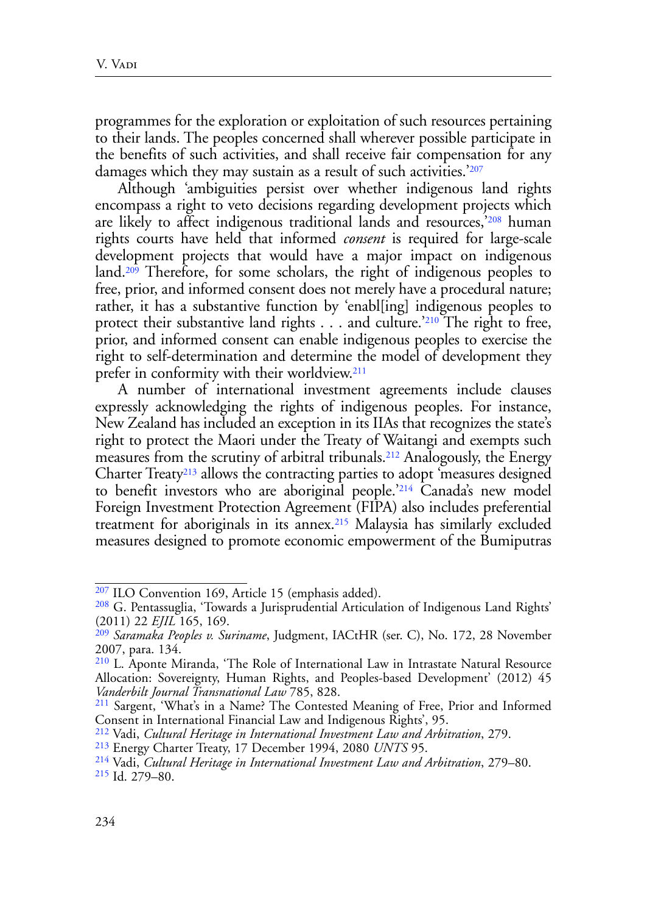programmes for the exploration or exploitation of such resources pertaining to their lands. The peoples concerned shall wherever possible participate in the benefits of such activities, and shall receive fair compensation for any damages which they may sustain as a result of such activities.<sup>'[207](#page-33-0)</sup>

<span id="page-33-11"></span><span id="page-33-10"></span><span id="page-33-9"></span>Although 'ambiguities persist over whether indigenous land rights encompass a right to veto decisions regarding development projects which are likely to affect indigenous traditional lands and resources,'[208](#page-33-1) human rights courts have held that informed *consent* is required for large-scale development projects that would have a major impact on indigenous land[.209](#page-33-2) Therefore, for some scholars, the right of indigenous peoples to free, prior, and informed consent does not merely have a procedural nature; rather, it has a substantive function by 'enabl[ing] indigenous peoples to protect their substantive land rights . . . and culture.'[210](#page-33-3) The right to free, prior, and informed consent can enable indigenous peoples to exercise the right to self-determination and determine the model of development they prefer in conformity with their worldview.[211](#page-33-4)

<span id="page-33-16"></span><span id="page-33-15"></span><span id="page-33-14"></span><span id="page-33-13"></span><span id="page-33-12"></span>A number of international investment agreements include clauses expressly acknowledging the rights of indigenous peoples. For instance, New Zealand has included an exception in its IIAs that recognizes the state's right to protect the Maori under the Treaty of Waitangi and exempts such measures from the scrutiny of arbitral tribunals.<sup>212</sup> Analogously, the Energy Charter Treaty<sup>213</sup> allows the contracting parties to adopt 'measures designed to benefit investors who are aboriginal people.['214](#page-33-7) Canada's new model Foreign Investment Protection Agreement (FIPA) also includes preferential treatment for aboriginals in its annex[.215](#page-33-8) Malaysia has similarly excluded measures designed to promote economic empowerment of the Bumiputras

<span id="page-33-17"></span><span id="page-33-0"></span>[<sup>207</sup>](#page-33-9) ILO Convention 169, Article 15 (emphasis added).

<span id="page-33-1"></span>[<sup>208</sup>](#page-33-10) G. Pentassuglia, 'Towards a Jurisprudential Articulation of Indigenous Land Rights' (2011) 22 *EJIL* 165, 169.

<span id="page-33-2"></span>[<sup>209</sup>](#page-33-11) *Saramaka Peoples v. Suriname*, Judgment, IACtHR (ser. C), No. 172, 28 November 2007, para. 134.

<span id="page-33-3"></span>[<sup>210</sup>](#page-33-12) L. Aponte Miranda, 'The Role of International Law in Intrastate Natural Resource Allocation: Sovereignty, Human Rights, and Peoples-based Development' (2012) 45 *Vanderbilt Journal Transnational Law* 785, 828.<br><sup>[211](#page-33-13)</sup> Sargent, 'What's in a Name? The Contested Meaning of Free, Prior and Informed

<span id="page-33-4"></span>Consent in International Financial Law and Indigenous Rights', 95.

<span id="page-33-5"></span>[<sup>212</sup>](#page-33-14) Vadi, *Cultural Heritage in International Investment Law and Arbitration*, 279.

<span id="page-33-6"></span>[<sup>213</sup>](#page-33-15) Energy Charter Treaty, 17 December 1994, 2080 *UNTS* 95.

<span id="page-33-8"></span><span id="page-33-7"></span>[<sup>214</sup>](#page-33-16) Vadi, *Cultural Heritage in International Investment Law and Arbitration*, 279–80. [215](#page-33-17) Id. 279–80.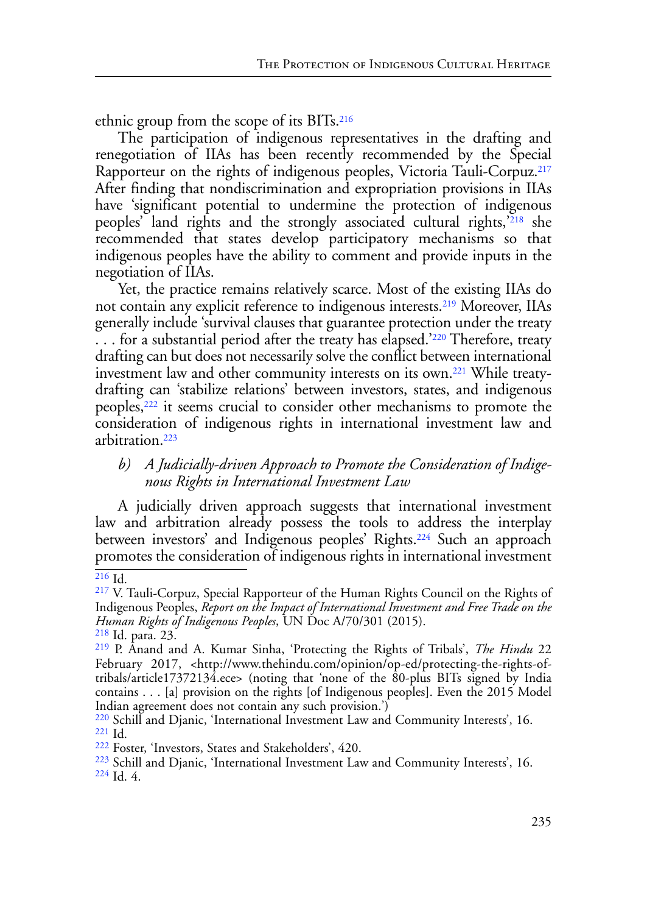<span id="page-34-9"></span>ethnic group from the scope of its BITs.[216](#page-34-0)

<span id="page-34-10"></span>The participation of indigenous representatives in the drafting and renegotiation of IIAs has been recently recommended by the Special Rapporteur on the rights of indigenous peoples, Victoria Tauli-Corpuz.[217](#page-34-1)  After finding that nondiscrimination and expropriation provisions in IIAs have 'significant potential to undermine the protection of indigenous peoples' land rights and the strongly associated cultural rights,<sup>'[218](#page-34-2)</sup> she recommended that states develop participatory mechanisms so that indigenous peoples have the ability to comment and provide inputs in the negotiation of IIAs.

<span id="page-34-11"></span>Yet, the practice remains relatively scarce. Most of the existing IIAs do not contain any explicit reference to indigenous interests.[219](#page-34-3) Moreover, IIAs generally include 'survival clauses that guarantee protection under the treaty ... for a substantial period after the treaty has elapsed.<sup>['220](#page-34-4)</sup> Therefore, treaty drafting can but does not necessarily solve the conflict between international investment law and other community interests on its own[.221](#page-34-5) While treatydrafting can 'stabilize relations' between investors, states, and indigenous peoples[,222](#page-34-6) it seems crucial to consider other mechanisms to promote the consideration of indigenous rights in international investment law and arbitration.[223](#page-34-7)

# <span id="page-34-16"></span><span id="page-34-15"></span><span id="page-34-14"></span><span id="page-34-13"></span><span id="page-34-12"></span>*b) A Judicially-driven Approach to Promote the Consideration of Indigenous Rights in International Investment Law*

A judicially driven approach suggests that international investment law and arbitration already possess the tools to address the interplay between investors' and Indigenous peoples' Rights.[224](#page-34-8) Such an approach promotes the consideration of indigenous rights in international investment

<span id="page-34-0"></span> $216$  Id.

<span id="page-34-1"></span>[<sup>217</sup>](#page-34-10) V. Tauli-Corpuz, Special Rapporteur of the Human Rights Council on the Rights of Indigenous Peoples, *Report on the Impact of International Investment and Free Trade on the Human Rights of Indigenous Peoples*, UN Doc A/70/301 (2015).

<span id="page-34-2"></span>[<sup>218</sup>](#page-34-11) Id. para. 23. [219](#page-34-12) P. Anand and A. Kumar Sinha, 'Protecting the Rights of Tribals', *The Hindu* 22

<span id="page-34-3"></span>February 2017, <http://www.thehindu.com/opinion/op-ed/protecting-the-rights-oftribals/article17372134.ece> (noting that 'none of the 80-plus BITs signed by India contains . . . [a] provision on the rights [of Indigenous peoples]. Even the 2015 Model Indian agreement does not contain any such provision.')

<span id="page-34-5"></span><span id="page-34-4"></span><sup>&</sup>lt;sup>[220](#page-34-13)</sup> Schill and Djanic, 'International Investment Law and Community Interests', 16. <sup>[221](#page-34-4)</sup> Id. <sup>[222](#page-34-14)</sup> Foster, 'Investors, States and Stakeholders', 420.

<span id="page-34-6"></span>

<span id="page-34-8"></span><span id="page-34-7"></span> $\frac{223}{223}$  $\frac{223}{223}$  $\frac{223}{223}$  Schill and Djanic, 'International Investment Law and Community Interests', 16.  $\frac{224}{100}$  $\frac{224}{100}$  $\frac{224}{100}$  Id. 4.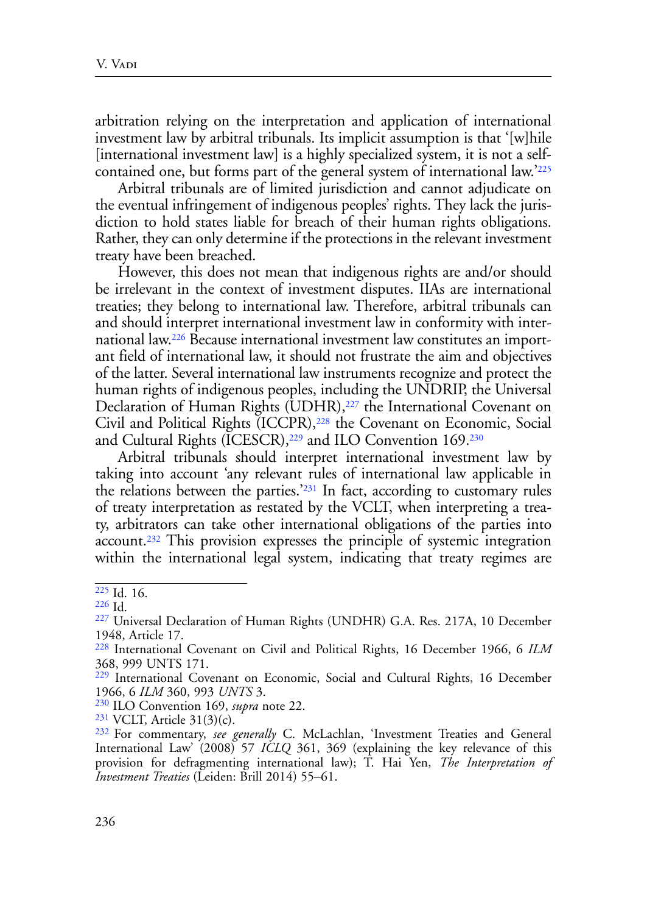arbitration relying on the interpretation and application of international investment law by arbitral tribunals. Its implicit assumption is that '[w]hile [international investment law] is a highly specialized system, it is not a selfcontained one, but forms part of the general system of international law.'[225](#page-35-0)

<span id="page-35-8"></span>Arbitral tribunals are of limited jurisdiction and cannot adjudicate on the eventual infringement of indigenous peoples' rights. They lack the jurisdiction to hold states liable for breach of their human rights obligations. Rather, they can only determine if the protections in the relevant investment treaty have been breached.

<span id="page-35-9"></span>However, this does not mean that indigenous rights are and/or should be irrelevant in the context of investment disputes. IIAs are international treaties; they belong to international law. Therefore, arbitral tribunals can and should interpret international investment law in conformity with international law[.226](#page-35-1) Because international investment law constitutes an important field of international law, it should not frustrate the aim and objectives of the latter. Several international law instruments recognize and protect the human rights of indigenous peoples, including the UNDRIP, the Universal Declaration of Human Rights (UDHR),<sup>227</sup> the International Covenant on Civil and Political Rights (ICCPR),<sup>228</sup> the Covenant on Economic, Social and Cultural Rights (ICESCR),<sup>229</sup> and ILO Convention 169.<sup>230</sup>

<span id="page-35-14"></span><span id="page-35-13"></span><span id="page-35-12"></span><span id="page-35-11"></span><span id="page-35-10"></span>Arbitral tribunals should interpret international investment law by taking into account 'any relevant rules of international law applicable in the relations between the parties.['231](#page-35-6) In fact, according to customary rules of treaty interpretation as restated by the VCLT, when interpreting a treaty, arbitrators can take other international obligations of the parties into account[.232](#page-35-7) This provision expresses the principle of systemic integration within the international legal system, indicating that treaty regimes are

<span id="page-35-15"></span><span id="page-35-0"></span> $\overline{225}$  $\overline{225}$  $\overline{225}$  Id. 16.

<span id="page-35-1"></span>[<sup>226</sup>](#page-35-9) Id.

<span id="page-35-2"></span>[<sup>227</sup>](#page-35-10) Universal Declaration of Human Rights (UNDHR) G.A. Res. 217A, 10 December 1948, Article 17.

<span id="page-35-3"></span>[<sup>228</sup>](#page-35-11) International Covenant on Civil and Political Rights, 16 December 1966, 6 *ILM* 368, 999 UNTS 171.

<span id="page-35-4"></span>[<sup>229</sup>](#page-35-12) International Covenant on Economic, Social and Cultural Rights, 16 December 1966, 6 *ILM* 360, 993 *UNTS* 3.

<span id="page-35-5"></span>[<sup>230</sup>](#page-35-13) ILO Convention 169, *supra* note 22.

<span id="page-35-6"></span> $231$  VCLT, Article 31(3)(c).

<span id="page-35-7"></span>[<sup>232</sup> F](#page-35-15)or commentary, *see generally* C. McLachlan, 'Investment Treaties and General International Law' (2008) 57 *ICLQ* 361, 369 (explaining the key relevance of this provision for defragmenting international law); T. Hai Yen, *The Interpretation of Investment Treaties* (Leiden: Brill 2014) 55–61.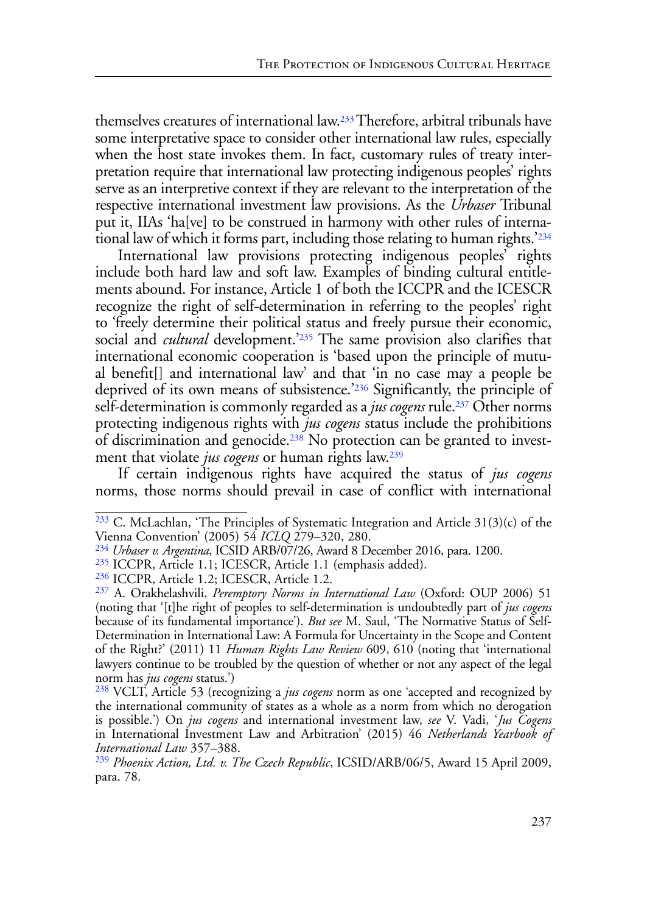<span id="page-36-7"></span>themselves creatures of international law[.233](#page-36-0) Therefore, arbitral tribunals have some interpretative space to consider other international law rules, especially when the host state invokes them. In fact, customary rules of treaty interpretation require that international law protecting indigenous peoples' rights serve as an interpretive context if they are relevant to the interpretation of the respective international investment law provisions. As the *Urbaser* Tribunal put it, IIAs 'ha[ve] to be construed in harmony with other rules of international law of which it forms part, including those relating to human rights.'[234](#page-36-1)

<span id="page-36-9"></span><span id="page-36-8"></span>International law provisions protecting indigenous peoples' rights include both hard law and soft law. Examples of binding cultural entitlements abound. For instance, Article 1 of both the ICCPR and the ICESCR recognize the right of self-determination in referring to the peoples' right to 'freely determine their political status and freely pursue their economic, social and *cultural* development.<sup>2255</sup> The same provision also clarifies that international economic cooperation is 'based upon the principle of mutual benefit[] and international law' and that 'in no case may a people be deprived of its own means of subsistence.['236](#page-36-3) Significantly, the principle of self-determination is commonly regarded as a *jus cogens* rule[.237](#page-36-4) Other norms protecting indigenous rights with *jus cogens* status include the prohibitions of discrimination and genocide.[238](#page-36-5) No protection can be granted to investment that violate *jus cogens* or human rights law[.239](#page-36-6)

<span id="page-36-13"></span><span id="page-36-12"></span><span id="page-36-11"></span><span id="page-36-10"></span>If certain indigenous rights have acquired the status of *jus cogens* norms, those norms should prevail in case of conflict with international

<span id="page-36-0"></span> $233$  C. McLachlan, 'The Principles of Systematic Integration and Article 31(3)(c) of the Vienna Convention' (2005) 54 *ICLQ* 279–320, 280.

<span id="page-36-1"></span>[<sup>234</sup>](#page-36-8) *Urbaser v. Argentina*, ICSID ARB/07/26, Award 8 December 2016, para. 1200.

<span id="page-36-2"></span>[<sup>235</sup>](#page-36-9) ICCPR, Article 1.1; ICESCR, Article 1.1 (emphasis added).

<span id="page-36-3"></span>[<sup>236</sup>](#page-36-10) ICCPR, Article 1.2; ICESCR, Article 1.2.

<span id="page-36-4"></span>[<sup>237</sup>](#page-36-11) A. Orakhelashvili, *Peremptory Norms in International Law* (Oxford: OUP 2006) 51 (noting that '[t]he right of peoples to self-determination is undoubtedly part of *jus cogens* because of its fundamental importance'). *But see* M. Saul, 'The Normative Status of Self-Determination in International Law: A Formula for Uncertainty in the Scope and Content of the Right?' (2011) 11 *Human Rights Law Review* 609, 610 (noting that 'international lawyers continue to be troubled by the question of whether or not any aspect of the legal norm has *jus cogens* status.')

<span id="page-36-5"></span>[<sup>238</sup>](#page-36-12) VCLT, Article 53 (recognizing a *jus cogens* norm as one 'accepted and recognized by the international community of states as a whole as a norm from which no derogation is possible.') On *jus cogens* and international investment law, *see* V. Vadi, '*Jus Cogens* in International Investment Law and Arbitration' (2015) 46 *Netherlands Yearbook of International Law* 357–388.

<span id="page-36-6"></span>[<sup>239</sup>](#page-36-13) *Phoenix Action, Ltd. v. The Czech Republic*, ICSID/ARB/06/5, Award 15 April 2009, para. 78.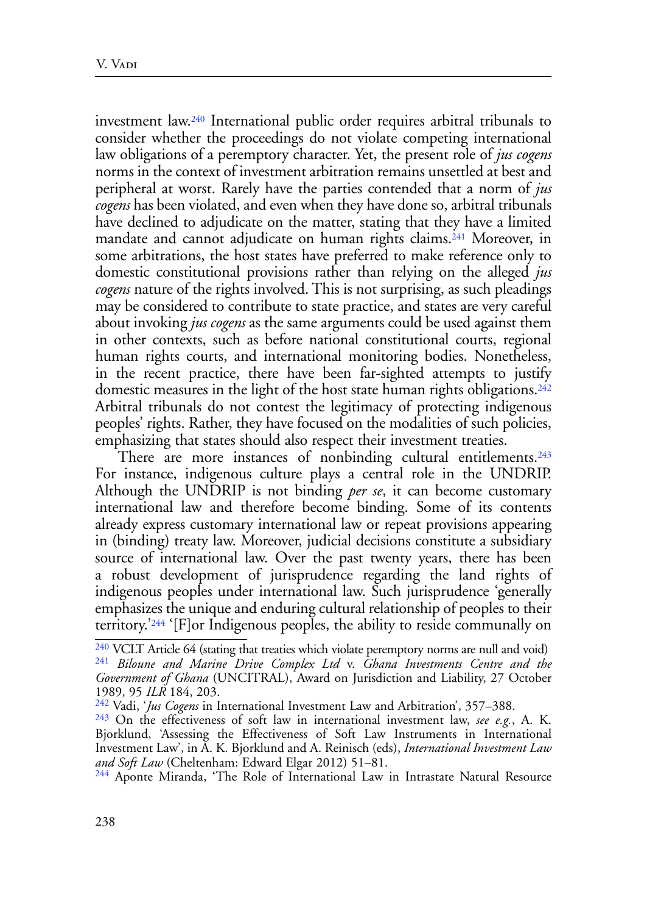<span id="page-37-6"></span><span id="page-37-5"></span>investment law[.240](#page-37-0) International public order requires arbitral tribunals to consider whether the proceedings do not violate competing international law obligations of a peremptory character. Yet, the present role of *jus cogens* norms in the context of investment arbitration remains unsettled at best and peripheral at worst. Rarely have the parties contended that a norm of *jus cogens* has been violated, and even when they have done so, arbitral tribunals have declined to adjudicate on the matter, stating that they have a limited mandate and cannot adjudicate on human rights claims.<sup>241</sup> Moreover, in some arbitrations, the host states have preferred to make reference only to domestic constitutional provisions rather than relying on the alleged *jus cogens* nature of the rights involved. This is not surprising, as such pleadings may be considered to contribute to state practice, and states are very careful about invoking *jus cogens* as the same arguments could be used against them in other contexts, such as before national constitutional courts, regional human rights courts, and international monitoring bodies. Nonetheless, in the recent practice, there have been far-sighted attempts to justify domestic measures in the light of the host state human rights obligations.<sup>[242](#page-37-2)</sup> Arbitral tribunals do not contest the legitimacy of protecting indigenous peoples' rights. Rather, they have focused on the modalities of such policies, emphasizing that states should also respect their investment treaties.

<span id="page-37-8"></span><span id="page-37-7"></span>There are more instances of nonbinding cultural entitlements.<sup>243</sup> For instance, indigenous culture plays a central role in the UNDRIP. Although the UNDRIP is not binding *per se*, it can become customary international law and therefore become binding. Some of its contents already express customary international law or repeat provisions appearing in (binding) treaty law. Moreover, judicial decisions constitute a subsidiary source of international law. Over the past twenty years, there has been a robust development of jurisprudence regarding the land rights of indigenous peoples under international law. Such jurisprudence 'generally emphasizes the unique and enduring cultural relationship of peoples to their territory.'[244](#page-37-4) '[F]or Indigenous peoples, the ability to reside communally on

<span id="page-37-9"></span><span id="page-37-1"></span><span id="page-37-0"></span>[<sup>240</sup>](#page-37-5) VCLT Article 64 (stating that treaties which violate peremptory norms are null and void) [241](#page-37-6) *Biloune and Marine Drive Complex Ltd* v. *Ghana Investments Centre and the Government of Ghana* (UNCITRAL), Award on Jurisdiction and Liability, 27 October 1989, 95 *ILR* 184, 203.

<span id="page-37-2"></span>[<sup>242</sup>](#page-37-7) Vadi, '*Jus Cogens* in International Investment Law and Arbitration', 357–388.

<span id="page-37-3"></span>[<sup>243</sup>](#page-37-8) On the effectiveness of soft law in international investment law, *see e.g.*, A. K. Bjorklund, 'Assessing the Effectiveness of Soft Law Instruments in International Investment Law', in A. K. Bjorklund and A. Reinisch (eds), *International Investment Law and Soft Law* (Cheltenham: Edward Elgar 2012) 51–81. [244](#page-37-9) Aponte Miranda, 'The Role of International Law in Intrastate Natural Resource

<span id="page-37-4"></span>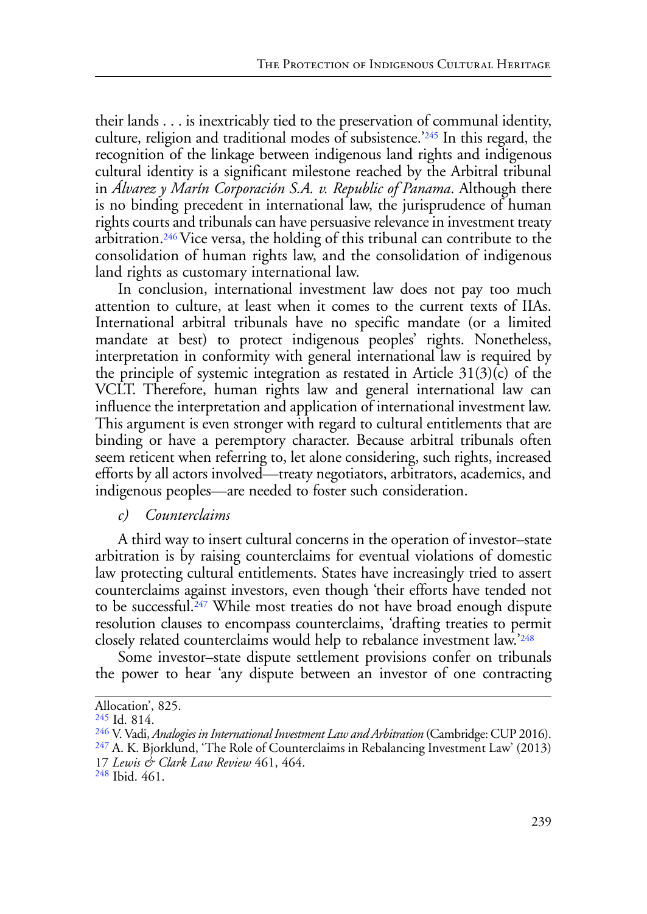<span id="page-38-4"></span>their lands . . . is inextricably tied to the preservation of communal identity, culture, religion and traditional modes of subsistence.['245](#page-38-0) In this regard, the recognition of the linkage between indigenous land rights and indigenous cultural identity is a significant milestone reached by the Arbitral tribunal in *Álvarez y Marín Corporación S.A. v. Republic of Panama*. Although there is no binding precedent in international law, the jurisprudence of human rights courts and tribunals can have persuasive relevance in investment treaty arbitration.[246 V](#page-38-1)ice versa, the holding of this tribunal can contribute to the consolidation of human rights law, and the consolidation of indigenous land rights as customary international law.

<span id="page-38-5"></span>In conclusion, international investment law does not pay too much attention to culture, at least when it comes to the current texts of IIAs. International arbitral tribunals have no specific mandate (or a limited mandate at best) to protect indigenous peoples' rights. Nonetheless, interpretation in conformity with general international law is required by the principle of systemic integration as restated in Article  $31(3)(c)$  of the VCLT. Therefore, human rights law and general international law can influence the interpretation and application of international investment law. This argument is even stronger with regard to cultural entitlements that are binding or have a peremptory character. Because arbitral tribunals often seem reticent when referring to, let alone considering, such rights, increased efforts by all actors involved—treaty negotiators, arbitrators, academics, and indigenous peoples—are needed to foster such consideration.

## *c) Counterclaims*

A third way to insert cultural concerns in the operation of investor–state arbitration is by raising counterclaims for eventual violations of domestic law protecting cultural entitlements. States have increasingly tried to assert counterclaims against investors, even though 'their efforts have tended not to be successful.[247](#page-38-2) While most treaties do not have broad enough dispute resolution clauses to encompass counterclaims, 'drafting treaties to permit closely related counterclaims would help to rebalance investment law.'[248](#page-38-3)

<span id="page-38-7"></span><span id="page-38-6"></span>Some investor–state dispute settlement provisions confer on tribunals the power to hear 'any dispute between an investor of one contracting

Allocation', 825.

<span id="page-38-0"></span>[<sup>245</sup>](#page-38-4) Id. 814.

<span id="page-38-1"></span><sup>&</sup>lt;sup>[246](#page-38-5)</sup> V. Vadi, *Analogies in International Investment Law and Arbitration* (Cambridge: CUP 2016).<br><sup>[247](#page-38-6)</sup> A. K. Bjorklund, 'The Role of Counterclaims in Rebalancing Investment Law' (2013)

<span id="page-38-2"></span><sup>17</sup> *Lewis & Clark Law Review* 461, 464.

<span id="page-38-3"></span>[<sup>248</sup>](#page-38-7) Ibid. 461.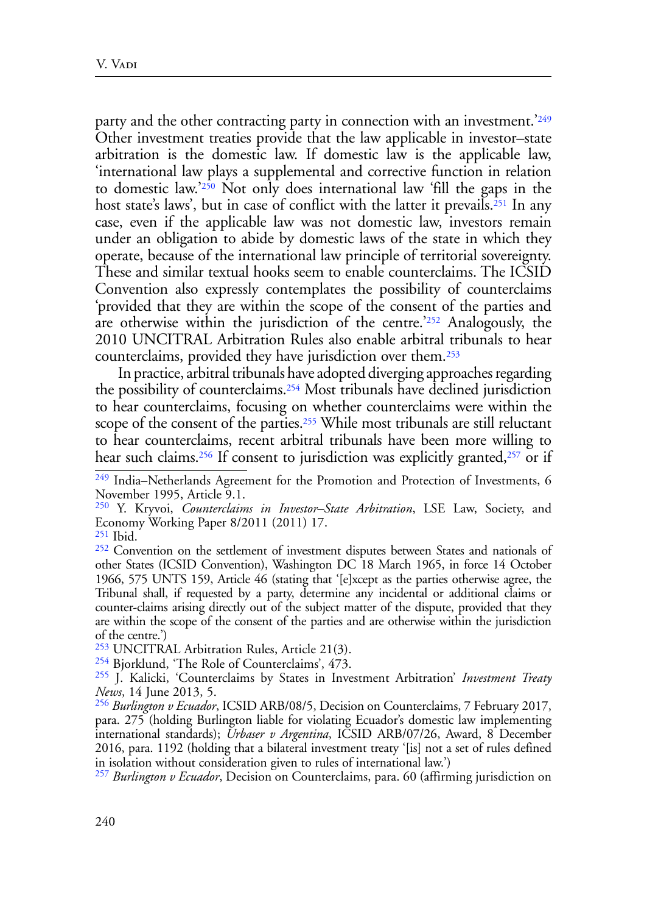<span id="page-39-11"></span><span id="page-39-10"></span><span id="page-39-9"></span>party and the other contracting party in connection with an investment.<sup>'[249](#page-39-0)</sup> Other investment treaties provide that the law applicable in investor–state arbitration is the domestic law. If domestic law is the applicable law, 'international law plays a supplemental and corrective function in relation to domestic law.['250](#page-39-1) Not only does international law 'fill the gaps in the host state's laws', but in case of conflict with the latter it prevails.<sup>251</sup> In any case, even if the applicable law was not domestic law, investors remain under an obligation to abide by domestic laws of the state in which they operate, because of the international law principle of territorial sovereignty. These and similar textual hooks seem to enable counterclaims. The ICSID Convention also expressly contemplates the possibility of counterclaims 'provided that they are within the scope of the consent of the parties and are otherwise within the jurisdiction of the centre.'<sup>[252](#page-39-3)</sup> Analogously, the 2010 UNCITRAL Arbitration Rules also enable arbitral tribunals to hear counterclaims, provided they have jurisdiction over them[.253](#page-39-4)

<span id="page-39-15"></span><span id="page-39-14"></span><span id="page-39-13"></span><span id="page-39-12"></span>In practice, arbitral tribunals have adopted diverging approaches regarding the possibility of counterclaims[.254](#page-39-5) Most tribunals have declined jurisdiction to hear counterclaims, focusing on whether counterclaims were within the scope of the consent of the parties.<sup>255</sup> While most tribunals are still reluctant to hear counterclaims, recent arbitral tribunals have been more willing to hear such claims.<sup>256</sup> If consent to jurisdiction was explicitly granted,<sup>257</sup> or if

<span id="page-39-17"></span><span id="page-39-16"></span><span id="page-39-0"></span>[<sup>249</sup>](#page-39-9) India–Netherlands Agreement for the Promotion and Protection of Investments, 6 November 1995, Article 9.1.

<span id="page-39-1"></span>[<sup>250</sup>](#page-39-10) Y. Kryvoi, *Counterclaims in Investor–State Arbitration*, LSE Law, Society, and Economy Working Paper 8/2011 (2011) 17.

<span id="page-39-2"></span>[<sup>251</sup>](#page-39-11) Ibid.

<span id="page-39-3"></span>[<sup>252</sup>](#page-39-12) Convention on the settlement of investment disputes between States and nationals of other States (ICSID Convention), Washington DC 18 March 1965, in force 14 October 1966, 575 UNTS 159, Article 46 (stating that '[e]xcept as the parties otherwise agree, the Tribunal shall, if requested by a party, determine any incidental or additional claims or counter-claims arising directly out of the subject matter of the dispute, provided that they are within the scope of the consent of the parties and are otherwise within the jurisdiction of the centre.')

<span id="page-39-4"></span>[<sup>253</sup>](#page-39-13) UNCITRAL Arbitration Rules, Article 21(3).

<span id="page-39-5"></span>[<sup>254</sup>](#page-39-14) Bjorklund, 'The Role of Counterclaims', 473.

<span id="page-39-6"></span>[<sup>255</sup>](#page-39-15) J. Kalicki, 'Counterclaims by States in Investment Arbitration' *Investment Treaty News*, 14 June 2013, 5.

<span id="page-39-7"></span>[<sup>256</sup>](#page-39-16) *Burlington v Ecuador*, ICSID ARB/08/5, Decision on Counterclaims, 7 February 2017, para. 275 (holding Burlington liable for violating Ecuador's domestic law implementing international standards); *Urbaser v Argentina*, ICSID ARB/07/26, Award, 8 December 2016, para. 1192 (holding that a bilateral investment treaty '[is] not a set of rules defined in isolation without consideration given to rules of international law.')

<span id="page-39-8"></span>[<sup>257</sup>](#page-39-17) *Burlington v Ecuador*, Decision on Counterclaims, para. 60 (affirming jurisdiction on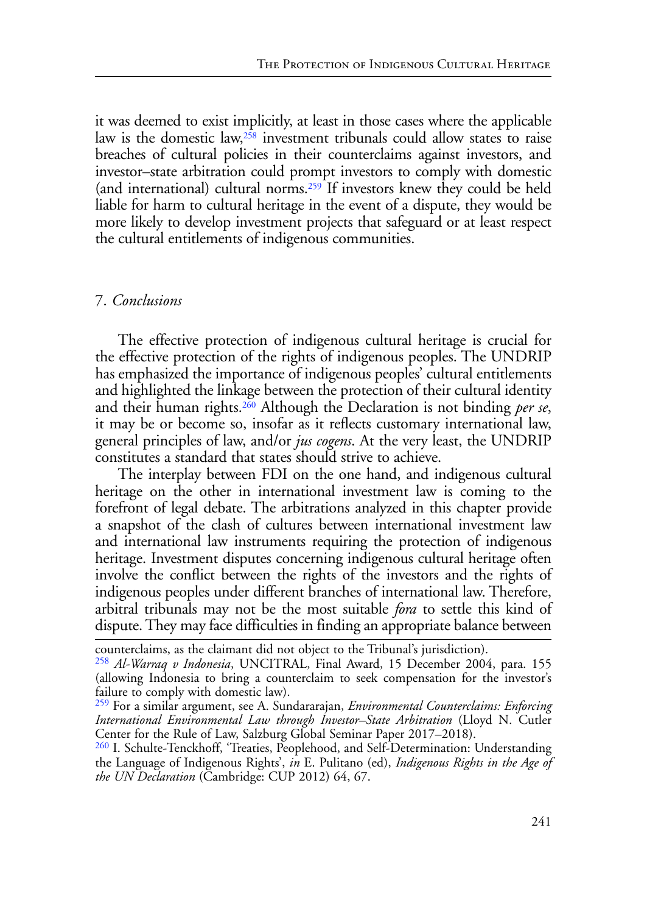<span id="page-40-4"></span><span id="page-40-3"></span>it was deemed to exist implicitly, at least in those cases where the applicable law is the domestic law,<sup>258</sup> investment tribunals could allow states to raise breaches of cultural policies in their counterclaims against investors, and investor–state arbitration could prompt investors to comply with domestic (and international) cultural norms[.259](#page-40-1) If investors knew they could be held liable for harm to cultural heritage in the event of a dispute, they would be more likely to develop investment projects that safeguard or at least respect the cultural entitlements of indigenous communities.

#### 7. *Conclusions*

<span id="page-40-5"></span>The effective protection of indigenous cultural heritage is crucial for the effective protection of the rights of indigenous peoples. The UNDRIP has emphasized the importance of indigenous peoples' cultural entitlements and highlighted the linkage between the protection of their cultural identity and their human rights[.260](#page-40-2) Although the Declaration is not binding *per se*, it may be or become so, insofar as it reflects customary international law, general principles of law, and/or *jus cogens*. At the very least, the UNDRIP constitutes a standard that states should strive to achieve.

The interplay between FDI on the one hand, and indigenous cultural heritage on the other in international investment law is coming to the forefront of legal debate. The arbitrations analyzed in this chapter provide a snapshot of the clash of cultures between international investment law and international law instruments requiring the protection of indigenous heritage. Investment disputes concerning indigenous cultural heritage often involve the conflict between the rights of the investors and the rights of indigenous peoples under different branches of international law. Therefore, arbitral tribunals may not be the most suitable *fora* to settle this kind of dispute. They may face difficulties in finding an appropriate balance between

counterclaims, as the claimant did not object to the Tribunal's jurisdiction).

<span id="page-40-0"></span>[<sup>258</sup>](#page-40-3) *Al-Warraq v Indonesia*, UNCITRAL, Final Award, 15 December 2004, para. 155 (allowing Indonesia to bring a counterclaim to seek compensation for the investor's failure to comply with domestic law).

<span id="page-40-1"></span>[<sup>259</sup>](#page-40-4) For a similar argument, see A. Sundararajan, *Environmental Counterclaims: Enforcing International Environmental Law through Investor–State Arbitration* (Lloyd N. Cutler Center for the Rule of Law, Salzburg Global Seminar Paper 2017–2018).

<span id="page-40-2"></span><sup>&</sup>lt;sup>[260](#page-40-5)</sup> I. Schulte-Tenckhoff, 'Treaties, Peoplehood, and Self-Determination: Understanding the Language of Indigenous Rights', *in* E. Pulitano (ed), *Indigenous Rights in the Age of the UN Declaration* (Cambridge: CUP 2012) 64, 67.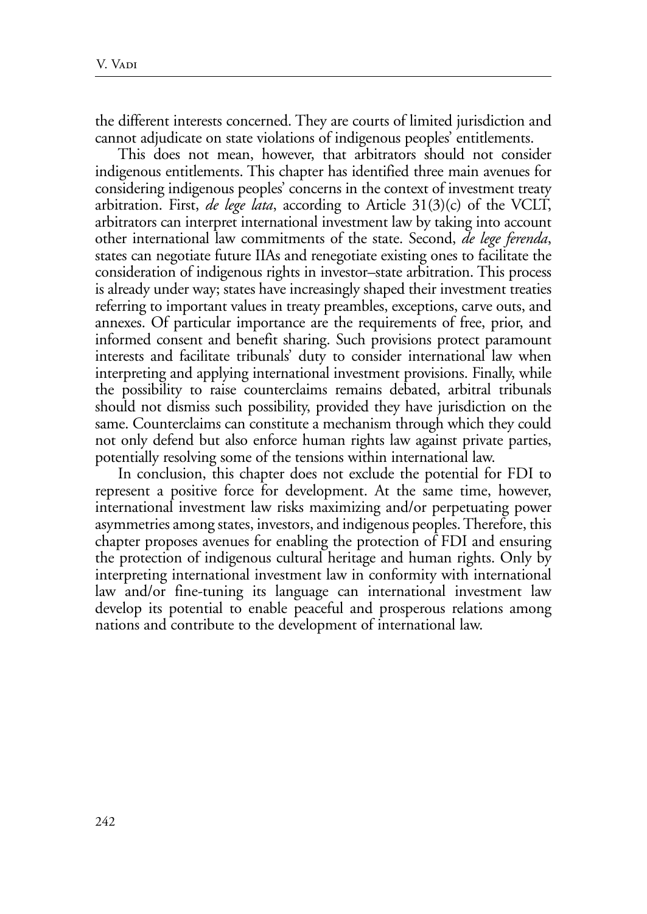the different interests concerned. They are courts of limited jurisdiction and cannot adjudicate on state violations of indigenous peoples' entitlements.

This does not mean, however, that arbitrators should not consider indigenous entitlements. This chapter has identified three main avenues for considering indigenous peoples' concerns in the context of investment treaty arbitration. First, *de lege lata*, according to Article 31(3)(c) of the VCLT, arbitrators can interpret international investment law by taking into account other international law commitments of the state. Second, *de lege ferenda*, states can negotiate future IIAs and renegotiate existing ones to facilitate the consideration of indigenous rights in investor–state arbitration. This process is already under way; states have increasingly shaped their investment treaties referring to important values in treaty preambles, exceptions, carve outs, and annexes. Of particular importance are the requirements of free, prior, and informed consent and benefit sharing. Such provisions protect paramount interests and facilitate tribunals' duty to consider international law when interpreting and applying international investment provisions. Finally, while the possibility to raise counterclaims remains debated, arbitral tribunals should not dismiss such possibility, provided they have jurisdiction on the same. Counterclaims can constitute a mechanism through which they could not only defend but also enforce human rights law against private parties, potentially resolving some of the tensions within international law.

In conclusion, this chapter does not exclude the potential for FDI to represent a positive force for development. At the same time, however, international investment law risks maximizing and/or perpetuating power asymmetries among states, investors, and indigenous peoples. Therefore, this chapter proposes avenues for enabling the protection of FDI and ensuring the protection of indigenous cultural heritage and human rights. Only by interpreting international investment law in conformity with international law and/or fine-tuning its language can international investment law develop its potential to enable peaceful and prosperous relations among nations and contribute to the development of international law.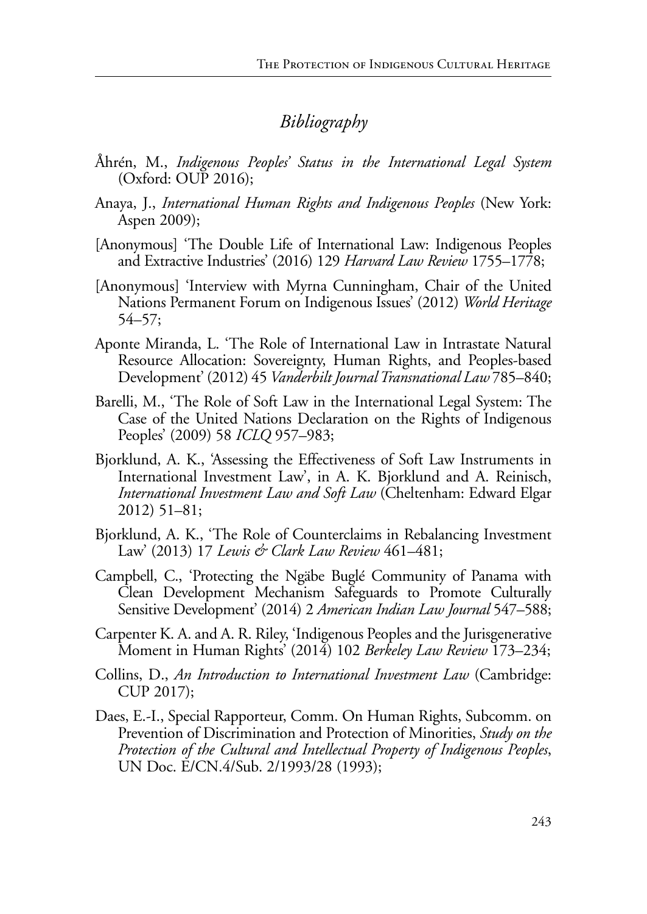# *Bibliography*

- Åhrén, M., *Indigenous Peoples' Status in the International Legal System* (Oxford: OUP 2016);
- Anaya, J., *International Human Rights and Indigenous Peoples* (New York: Aspen 2009);
- [Anonymous] 'The Double Life of International Law: Indigenous Peoples and Extractive Industries' (2016) 129 *Harvard Law Review* 1755–1778;
- [Anonymous] 'Interview with Myrna Cunningham, Chair of the United Nations Permanent Forum on Indigenous Issues' (2012) *World Heritage* 54–57;
- Aponte Miranda, L. 'The Role of International Law in Intrastate Natural Resource Allocation: Sovereignty, Human Rights, and Peoples-based Development' (2012) 45 *Vanderbilt Journal Transnational Law* 785–840;
- Barelli, M., 'The Role of Soft Law in the International Legal System: The Case of the United Nations Declaration on the Rights of Indigenous Peoples' (2009) 58 *ICLQ* 957–983;
- Bjorklund, A. K., 'Assessing the Effectiveness of Soft Law Instruments in International Investment Law', in A. K. Bjorklund and A. Reinisch, *International Investment Law and Soft Law* (Cheltenham: Edward Elgar 2012) 51–81;
- Bjorklund, A. K., 'The Role of Counterclaims in Rebalancing Investment Law' (2013) 17 *Lewis & Clark Law Review* 461–481;
- Campbell, C., 'Protecting the Ngäbe Buglé Community of Panama with Clean Development Mechanism Safeguards to Promote Culturally Sensitive Development' (2014) 2 *American Indian Law Journal* 547–588;
- Carpenter K. A. and A. R. Riley, 'Indigenous Peoples and the Jurisgenerative Moment in Human Rights' (2014) 102 *Berkeley Law Review* 173–234;
- Collins, D., *An Introduction to International Investment Law* (Cambridge: CUP 2017);
- Daes, E.-I., Special Rapporteur, Comm. On Human Rights, Subcomm. on Prevention of Discrimination and Protection of Minorities, *Study on the Protection of the Cultural and Intellectual Property of Indigenous Peoples*, UN Doc. E/CN.4/Sub. 2/1993/28 (1993);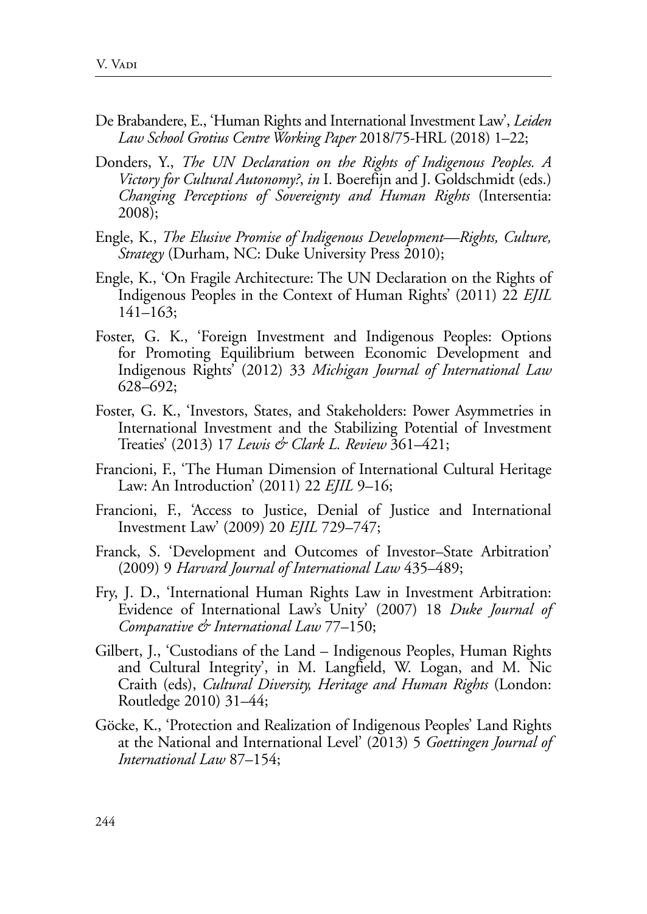- De Brabandere, E., 'Human Rights and International Investment Law', *Leiden Law School Grotius Centre Working Paper* 2018/75-HRL (2018) 1–22;
- Donders, Y., *The UN Declaration on the Rights of Indigenous Peoples. A Victory for Cultural Autonomy?*, *in* I. Boerefijn and J. Goldschmidt (eds.) *Changing Perceptions of Sovereignty and Human Rights* (Intersentia: 2008);
- Engle, K., *The Elusive Promise of Indigenous Development—Rights, Culture, Strategy* (Durham, NC: Duke University Press 2010);
- Engle, K., 'On Fragile Architecture: The UN Declaration on the Rights of Indigenous Peoples in the Context of Human Rights' (2011) 22 *EJIL* 141–163;
- Foster, G. K., 'Foreign Investment and Indigenous Peoples: Options for Promoting Equilibrium between Economic Development and Indigenous Rights' (2012) 33 *Michigan Journal of International Law*  628–692;
- Foster, G. K., 'Investors, States, and Stakeholders: Power Asymmetries in International Investment and the Stabilizing Potential of Investment Treaties' (2013) 17 *Lewis & Clark L. Review* 361–421;
- Francioni, F., 'The Human Dimension of International Cultural Heritage Law: An Introduction' (2011) 22 *EJIL* 9–16;
- Francioni, F., 'Access to Justice, Denial of Justice and International Investment Law' (2009) 20 *EJIL* 729–747;
- Franck, S. 'Development and Outcomes of Investor–State Arbitration' (2009) 9 *Harvard Journal of International Law* 435–489;
- Fry, J. D., 'International Human Rights Law in Investment Arbitration: Evidence of International Law's Unity' (2007) 18 *Duke Journal of Comparative & International Law* 77–150;
- Gilbert, J., 'Custodians of the Land Indigenous Peoples, Human Rights and Cultural Integrity', in M. Langfield, W. Logan, and M. Nic Craith (eds), *Cultural Diversity, Heritage and Human Rights* (London: Routledge 2010) 31–44;
- Göcke, K., 'Protection and Realization of Indigenous Peoples' Land Rights at the National and International Level' (2013) 5 *Goettingen Journal of International Law* 87–154;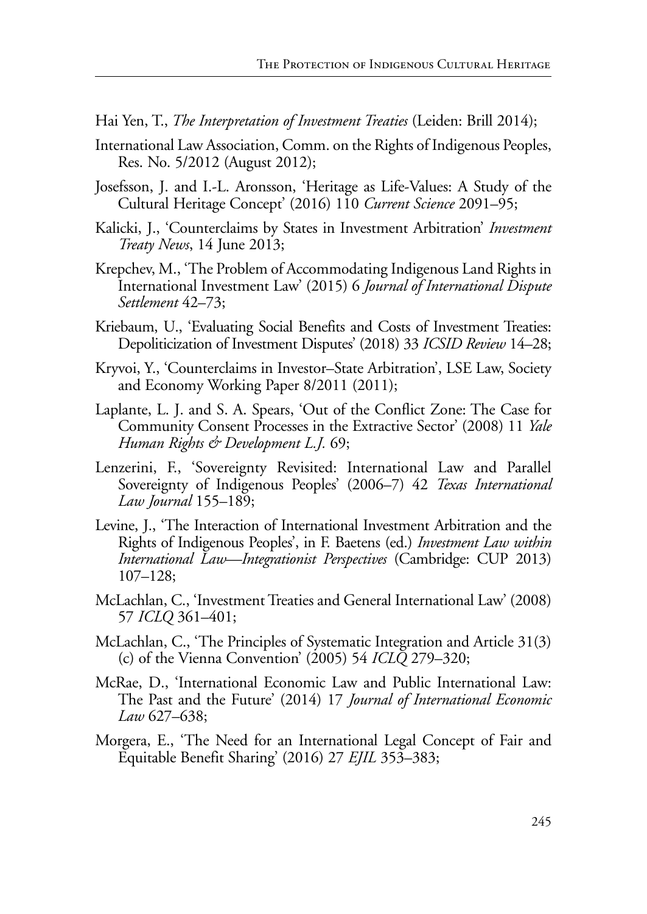Hai Yen, T., *The Interpretation of Investment Treaties* (Leiden: Brill 2014);

- International Law Association, Comm. on the Rights of Indigenous Peoples, Res. No. 5/2012 (August 2012);
- Josefsson, J. and I.-L. Aronsson, 'Heritage as Life-Values: A Study of the Cultural Heritage Concept' (2016) 110 *Current Science* 2091–95;
- Kalicki, J., 'Counterclaims by States in Investment Arbitration' *Investment Treaty News*, 14 June 2013;
- Krepchev, M., 'The Problem of Accommodating Indigenous Land Rights in International Investment Law' (2015) 6 *Journal of International Dispute Settlement* 42–73;
- Kriebaum, U., 'Evaluating Social Benefits and Costs of Investment Treaties: Depoliticization of Investment Disputes' (2018) 33 *ICSID Review* 14–28;
- Kryvoi, Y., 'Counterclaims in Investor–State Arbitration', LSE Law, Society and Economy Working Paper 8/2011 (2011);
- Laplante, L. J. and S. A. Spears, 'Out of the Conflict Zone: The Case for Community Consent Processes in the Extractive Sector' (2008) 11 *Yale Human Rights & Development L.J.* 69;
- Lenzerini, F., 'Sovereignty Revisited: International Law and Parallel Sovereignty of Indigenous Peoples' (2006–7) 42 *Texas International Law Journal* 155–189;
- Levine, J., 'The Interaction of International Investment Arbitration and the Rights of Indigenous Peoples', in F. Baetens (ed.) *Investment Law within International Law—Integrationist Perspectives* (Cambridge: CUP 2013) 107–128;
- McLachlan, C., 'Investment Treaties and General International Law' (2008) 57 *ICLQ* 361–401;
- McLachlan, C., 'The Principles of Systematic Integration and Article 31(3) (c) of the Vienna Convention' (2005) 54 *ICLQ* 279–320;
- McRae, D., 'International Economic Law and Public International Law: The Past and the Future' (2014) 17 *Journal of International Economic Law* 627–638;
- Morgera, E., 'The Need for an International Legal Concept of Fair and Equitable Benefit Sharing' (2016) 27 *EJIL* 353–383;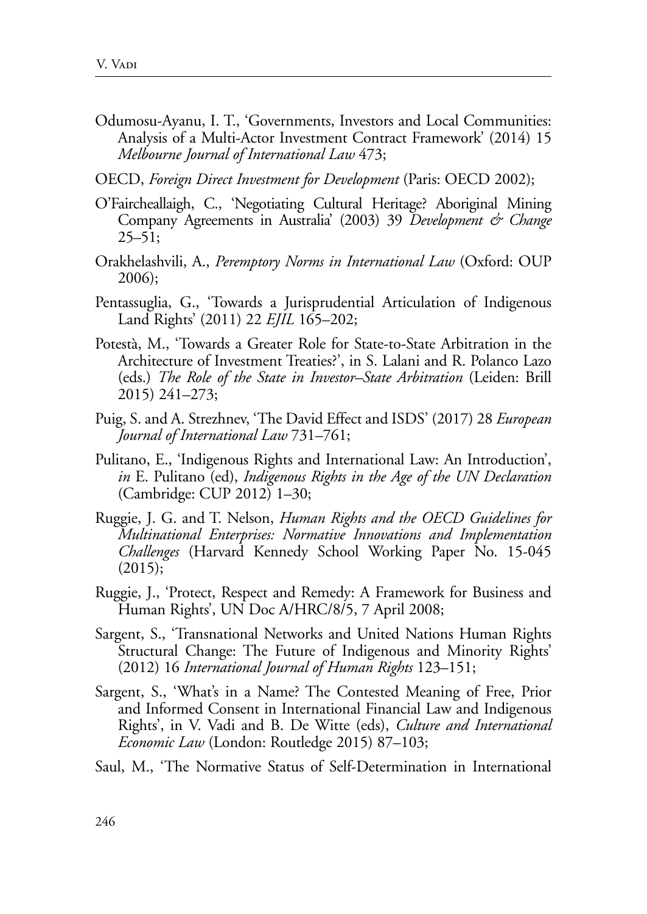- Odumosu-Ayanu, I. T., 'Governments, Investors and Local Communities: Analysis of a Multi-Actor Investment Contract Framework' (2014) 15 *Melbourne Journal of International Law* 473;
- OECD, *Foreign Direct Investment for Development* (Paris: OECD 2002);
- O'Faircheallaigh, C., 'Negotiating Cultural Heritage? Aboriginal Mining Company Agreements in Australia' (2003) 39 *Development & Change*  $25 - 51$ ;
- Orakhelashvili, A., *Peremptory Norms in International Law* (Oxford: OUP 2006);
- Pentassuglia, G., 'Towards a Jurisprudential Articulation of Indigenous Land Rights' (2011) 22 *EJIL* 165–202;
- Potestà, M., 'Towards a Greater Role for State-to-State Arbitration in the Architecture of Investment Treaties?', in S. Lalani and R. Polanco Lazo (eds.) *The Role of the State in Investor–State Arbitration* (Leiden: Brill 2015) 241–273;
- Puig, S. and A. Strezhnev, 'The David Effect and ISDS' (2017) 28 *European Journal of International Law* 731–761;
- Pulitano, E., 'Indigenous Rights and International Law: An Introduction', *in* E. Pulitano (ed), *Indigenous Rights in the Age of the UN Declaration*  (Cambridge: CUP 2012) 1–30;
- Ruggie, J. G. and T. Nelson, *Human Rights and the OECD Guidelines for Multinational Enterprises: Normative Innovations and Implementation Challenges* (Harvard Kennedy School Working Paper No. 15-045  $(2015);$
- Ruggie, J., 'Protect, Respect and Remedy: A Framework for Business and Human Rights', UN Doc A/HRC/8/5, 7 April 2008;
- Sargent, S., 'Transnational Networks and United Nations Human Rights Structural Change: The Future of Indigenous and Minority Rights' (2012) 16 *International Journal of Human Rights* 123–151;
- Sargent, S., 'What's in a Name? The Contested Meaning of Free, Prior and Informed Consent in International Financial Law and Indigenous Rights', in V. Vadi and B. De Witte (eds), *Culture and International Economic Law* (London: Routledge 2015) 87–103;
- Saul, M., 'The Normative Status of Self-Determination in International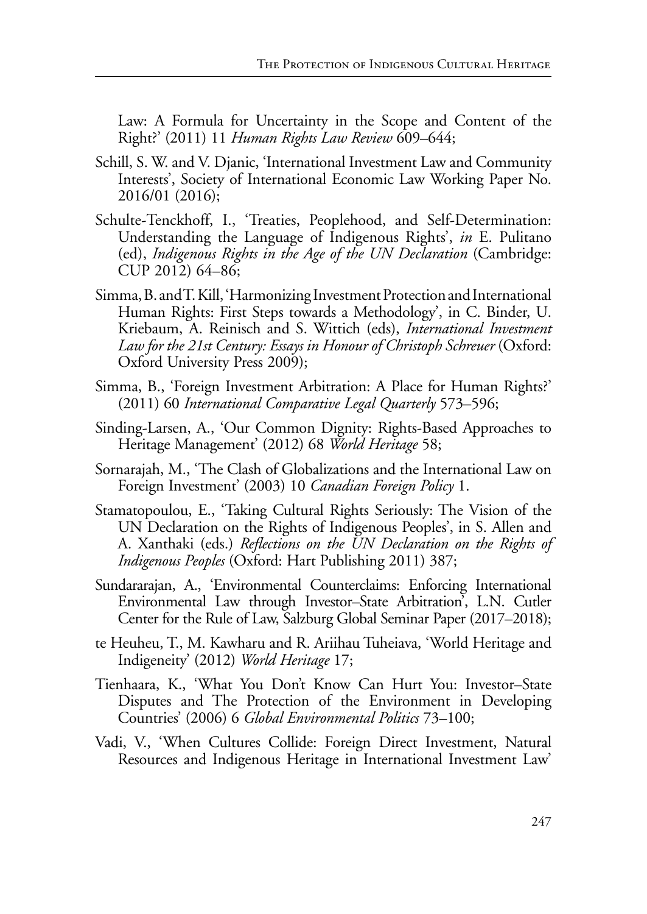Law: A Formula for Uncertainty in the Scope and Content of the Right?' (2011) 11 *Human Rights Law Review* 609–644;

- Schill, S. W. and V. Djanic, 'International Investment Law and Community Interests', Society of International Economic Law Working Paper No. 2016/01 (2016);
- Schulte-Tenckhoff, I., 'Treaties, Peoplehood, and Self-Determination: Understanding the Language of Indigenous Rights', *in* E. Pulitano (ed), *Indigenous Rights in the Age of the UN Declaration* (Cambridge: CUP 2012) 64–86;
- Simma, B. and T. Kill, 'Harmonizing Investment Protection and International Human Rights: First Steps towards a Methodology', in C. Binder, U. Kriebaum, A. Reinisch and S. Wittich (eds), *International Investment*  Law for the 21st Century: Essays in Honour of Christoph Schreuer (Oxford: Oxford University Press 2009);
- Simma, B., 'Foreign Investment Arbitration: A Place for Human Rights?' (2011) 60 *International Comparative Legal Quarterly* 573–596;
- Sinding-Larsen, A., 'Our Common Dignity: Rights-Based Approaches to Heritage Management' (2012) 68 *World Heritage* 58;
- Sornarajah, M., 'The Clash of Globalizations and the International Law on Foreign Investment' (2003) 10 *Canadian Foreign Policy* 1.
- Stamatopoulou, E., 'Taking Cultural Rights Seriously: The Vision of the UN Declaration on the Rights of Indigenous Peoples', in S. Allen and A. Xanthaki (eds.) *Reflections on the UN Declaration on the Rights of Indigenous Peoples* (Oxford: Hart Publishing 2011) 387;
- Sundararajan, A., 'Environmental Counterclaims: Enforcing International Environmental Law through Investor–State Arbitration', L.N. Cutler Center for the Rule of Law, Salzburg Global Seminar Paper (2017–2018);
- te Heuheu, T., M. Kawharu and R. Ariihau Tuheiava, 'World Heritage and Indigeneity' (2012) *World Heritage* 17;
- Tienhaara, K., 'What You Don't Know Can Hurt You: Investor–State Disputes and The Protection of the Environment in Developing Countries' (2006) 6 *Global Environmental Politics* 73–100;
- Vadi, V., 'When Cultures Collide: Foreign Direct Investment, Natural Resources and Indigenous Heritage in International Investment Law'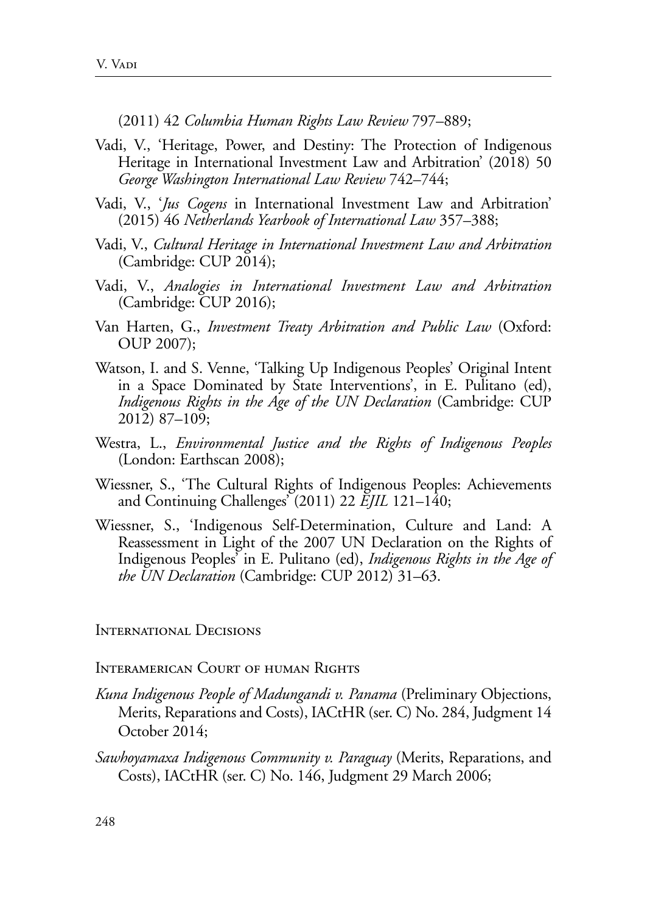(2011) 42 *Columbia Human Rights Law Review* 797–889;

- Vadi, V., 'Heritage, Power, and Destiny: The Protection of Indigenous Heritage in International Investment Law and Arbitration' (2018) 50 *George Washington International Law Review* 742–744;
- Vadi, V., '*Jus Cogens* in International Investment Law and Arbitration' (2015) 46 *Netherlands Yearbook of International Law* 357–388;
- Vadi, V., *Cultural Heritage in International Investment Law and Arbitration* (Cambridge: CUP 2014);
- Vadi, V., *Analogies in International Investment Law and Arbitration* (Cambridge: CUP 2016);
- Van Harten, G., *Investment Treaty Arbitration and Public Law* (Oxford: OUP 2007);
- Watson, I. and S. Venne, 'Talking Up Indigenous Peoples' Original Intent in a Space Dominated by State Interventions', in E. Pulitano (ed), *Indigenous Rights in the Age of the UN Declaration* (Cambridge: CUP 2012) 87–109;
- Westra, L., *Environmental Justice and the Rights of Indigenous Peoples*  (London: Earthscan 2008);
- Wiessner, S., 'The Cultural Rights of Indigenous Peoples: Achievements and Continuing Challenges' (2011) 22 *EJIL* 121–140;
- Wiessner, S., 'Indigenous Self-Determination, Culture and Land: A Reassessment in Light of the 2007 UN Declaration on the Rights of Indigenous Peoples' in E. Pulitano (ed), *Indigenous Rights in the Age of the UN Declaration* (Cambridge: CUP 2012) 31–63.

International Decisions

Interamerican Court of human Rights

- *Kuna Indigenous People of Madungandi v. Panama* (Preliminary Objections, Merits, Reparations and Costs), IACtHR (ser. C) No. 284, Judgment 14 October 2014;
- *Sawhoyamaxa Indigenous Community v. Paraguay* (Merits, Reparations, and Costs), IACtHR (ser. C) No. 146, Judgment 29 March 2006;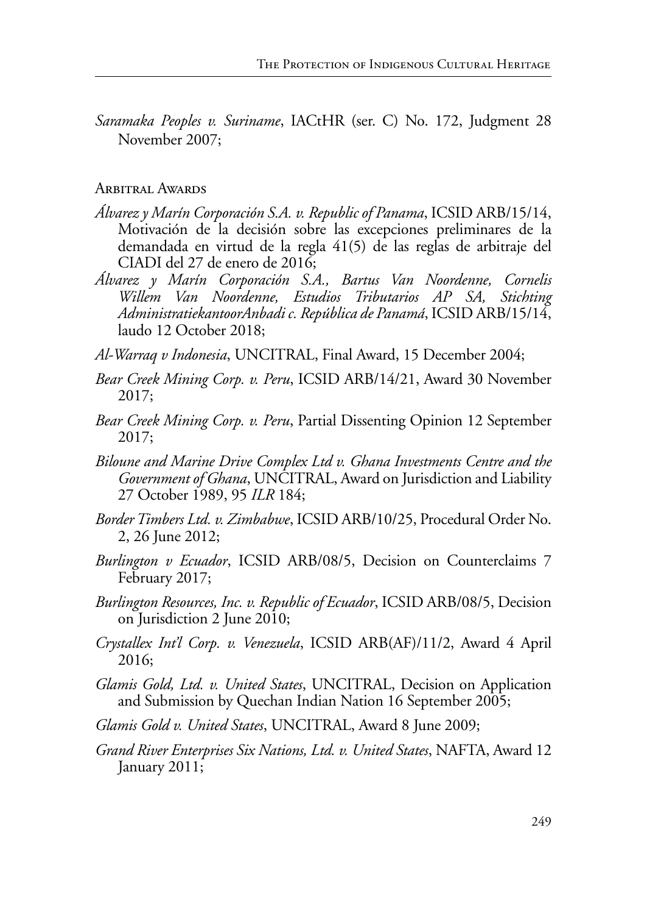*Saramaka Peoples v. Suriname*, IACtHR (ser. C) No. 172, Judgment 28 November 2007;

### Arbitral Awards

- *Álvarez y Marín Corporación S.A. v. Republic of Panama*, ICSID ARB/15/14, Motivación de la decisión sobre las excepciones preliminares de la demandada en virtud de la regla 41(5) de las reglas de arbitraje del CIADI del 27 de enero de 2016;
- *Álvarez y Marín Corporación S.A., Bartus Van Noordenne, Cornelis Willem Van Noordenne, Estudios Tributarios AP SA, Stichting AdministratiekantoorAnbadi c. República de Panamá*, ICSID ARB/15/14, laudo 12 October 2018;
- *Al-Warraq v Indonesia*, UNCITRAL, Final Award, 15 December 2004;
- *Bear Creek Mining Corp. v. Peru*, ICSID ARB/14/21, Award 30 November 2017;
- *Bear Creek Mining Corp. v. Peru*, Partial Dissenting Opinion 12 September 2017;
- *Biloune and Marine Drive Complex Ltd v. Ghana Investments Centre and the Government of Ghana*, UNCITRAL, Award on Jurisdiction and Liability 27 October 1989, 95 *ILR* 184;
- *Border Timbers Ltd. v. Zimbabwe*, ICSID ARB/10/25, Procedural Order No. 2, 26 June 2012;
- *Burlington v Ecuador*, ICSID ARB/08/5, Decision on Counterclaims 7 February 2017;
- *Burlington Resources, Inc. v. Republic of Ecuador*, ICSID ARB/08/5, Decision on Jurisdiction 2 June 2010;
- *Crystallex Int'l Corp. v. Venezuela*, ICSID ARB(AF)/11/2, Award 4 April 2016;
- *Glamis Gold, Ltd. v. United States*, UNCITRAL, Decision on Application and Submission by Quechan Indian Nation 16 September 2005;
- *Glamis Gold v. United States*, UNCITRAL, Award 8 June 2009;
- *Grand River Enterprises Six Nations, Ltd. v. United States*, NAFTA, Award 12 January 2011;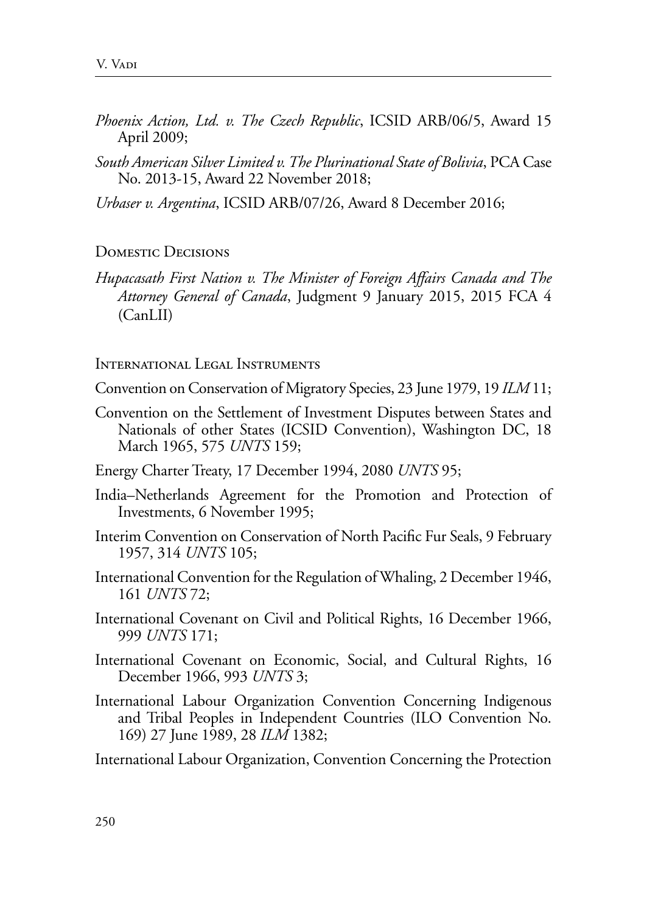- *Phoenix Action, Ltd. v. The Czech Republic*, ICSID ARB/06/5, Award 15 April 2009;
- *South American Silver Limited v. The Plurinational State of Bolivia*, PCA Case No. 2013-15, Award 22 November 2018;

*Urbaser v. Argentina*, ICSID ARB/07/26, Award 8 December 2016;

#### Domestic Decisions

*Hupacasath First Nation v. The Minister of Foreign Affairs Canada and The Attorney General of Canada*, Judgment 9 January 2015, 2015 FCA 4 (CanLII)

International Legal Instruments

Convention on Conservation of Migratory Species, 23 June 1979, 19 *ILM* 11;

- Convention on the Settlement of Investment Disputes between States and Nationals of other States (ICSID Convention), Washington DC, 18 March 1965, 575 *UNTS* 159;
- Energy Charter Treaty, 17 December 1994, 2080 *UNTS* 95;
- India–Netherlands Agreement for the Promotion and Protection of Investments, 6 November 1995;
- Interim Convention on Conservation of North Pacific Fur Seals, 9 February 1957, 314 *UNTS* 105;
- International Convention for the Regulation of Whaling, 2 December 1946, 161 *UNTS* 72;
- International Covenant on Civil and Political Rights, 16 December 1966, 999 *UNTS* 171;
- International Covenant on Economic, Social, and Cultural Rights, 16 December 1966, 993 *UNTS* 3;
- International Labour Organization Convention Concerning Indigenous and Tribal Peoples in Independent Countries (ILO Convention No. 169) 27 June 1989, 28 *ILM* 1382;

International Labour Organization, Convention Concerning the Protection